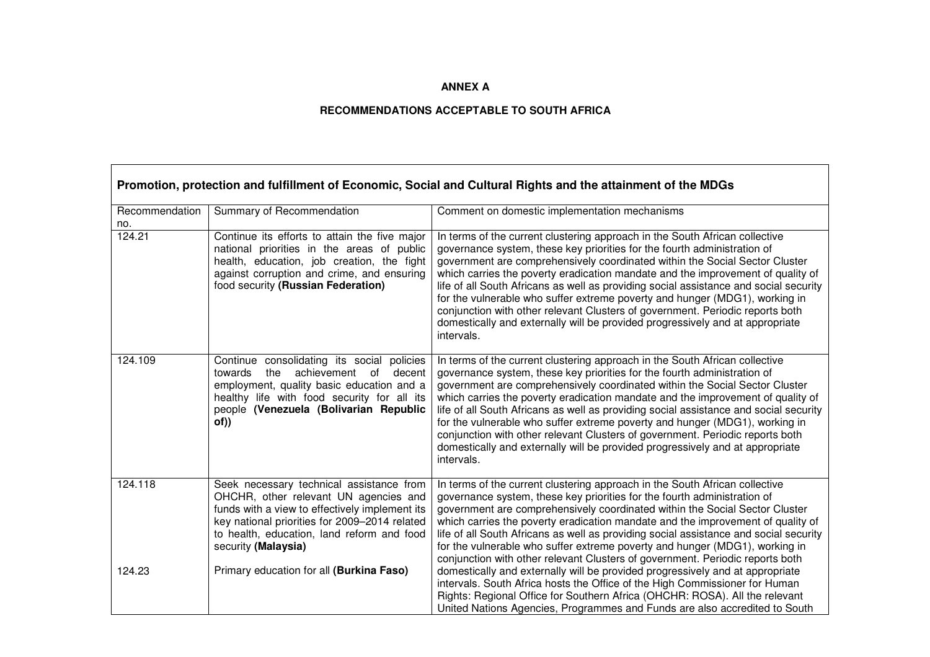## **ANNEX A**

## **RECOMMENDATIONS ACCEPTABLE TO SOUTH AFRICA**

┑

 $\Gamma$ 

| Promotion, protection and fulfillment of Economic, Social and Cultural Rights and the attainment of the MDGs |                                                                                                                                                                                                                                                           |                                                                                                                                                                                                                                                                                                                                                                                                                                                                                                                                                                                                                                                                                   |
|--------------------------------------------------------------------------------------------------------------|-----------------------------------------------------------------------------------------------------------------------------------------------------------------------------------------------------------------------------------------------------------|-----------------------------------------------------------------------------------------------------------------------------------------------------------------------------------------------------------------------------------------------------------------------------------------------------------------------------------------------------------------------------------------------------------------------------------------------------------------------------------------------------------------------------------------------------------------------------------------------------------------------------------------------------------------------------------|
| Recommendation<br>no.                                                                                        | Summary of Recommendation                                                                                                                                                                                                                                 | Comment on domestic implementation mechanisms                                                                                                                                                                                                                                                                                                                                                                                                                                                                                                                                                                                                                                     |
| 124.21                                                                                                       | Continue its efforts to attain the five major<br>national priorities in the areas of public<br>health, education, job creation, the fight<br>against corruption and crime, and ensuring<br>food security (Russian Federation)                             | In terms of the current clustering approach in the South African collective<br>governance system, these key priorities for the fourth administration of<br>government are comprehensively coordinated within the Social Sector Cluster<br>which carries the poverty eradication mandate and the improvement of quality of<br>life of all South Africans as well as providing social assistance and social security<br>for the vulnerable who suffer extreme poverty and hunger (MDG1), working in<br>conjunction with other relevant Clusters of government. Periodic reports both<br>domestically and externally will be provided progressively and at appropriate<br>intervals. |
| 124.109                                                                                                      | Continue consolidating its social policies<br>achievement of decent<br>towards<br>the<br>employment, quality basic education and a<br>healthy life with food security for all its<br>people (Venezuela (Bolivarian Republic<br>of))                       | In terms of the current clustering approach in the South African collective<br>governance system, these key priorities for the fourth administration of<br>government are comprehensively coordinated within the Social Sector Cluster<br>which carries the poverty eradication mandate and the improvement of quality of<br>life of all South Africans as well as providing social assistance and social security<br>for the vulnerable who suffer extreme poverty and hunger (MDG1), working in<br>conjunction with other relevant Clusters of government. Periodic reports both<br>domestically and externally will be provided progressively and at appropriate<br>intervals. |
| 124.118                                                                                                      | Seek necessary technical assistance from<br>OHCHR, other relevant UN agencies and<br>funds with a view to effectively implement its<br>key national priorities for 2009-2014 related<br>to health, education, land reform and food<br>security (Malaysia) | In terms of the current clustering approach in the South African collective<br>governance system, these key priorities for the fourth administration of<br>government are comprehensively coordinated within the Social Sector Cluster<br>which carries the poverty eradication mandate and the improvement of quality of<br>life of all South Africans as well as providing social assistance and social security<br>for the vulnerable who suffer extreme poverty and hunger (MDG1), working in<br>conjunction with other relevant Clusters of government. Periodic reports both                                                                                                |
| 124.23                                                                                                       | Primary education for all (Burkina Faso)                                                                                                                                                                                                                  | domestically and externally will be provided progressively and at appropriate<br>intervals. South Africa hosts the Office of the High Commissioner for Human<br>Rights: Regional Office for Southern Africa (OHCHR: ROSA). All the relevant<br>United Nations Agencies, Programmes and Funds are also accredited to South                                                                                                                                                                                                                                                                                                                                                         |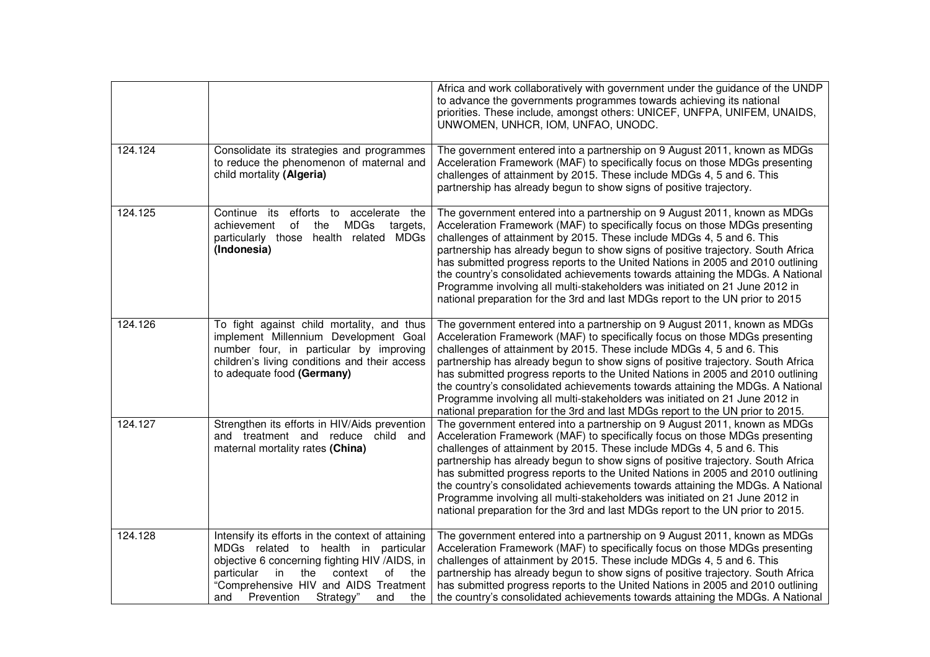|         |                                                                                                                                                                                                                                                                                        | Africa and work collaboratively with government under the guidance of the UNDP<br>to advance the governments programmes towards achieving its national<br>priorities. These include, amongst others: UNICEF, UNFPA, UNIFEM, UNAIDS,<br>UNWOMEN, UNHCR, IOM, UNFAO, UNODC.                                                                                                                                                                                                                                                                                                                                                                                   |
|---------|----------------------------------------------------------------------------------------------------------------------------------------------------------------------------------------------------------------------------------------------------------------------------------------|-------------------------------------------------------------------------------------------------------------------------------------------------------------------------------------------------------------------------------------------------------------------------------------------------------------------------------------------------------------------------------------------------------------------------------------------------------------------------------------------------------------------------------------------------------------------------------------------------------------------------------------------------------------|
| 124.124 | Consolidate its strategies and programmes<br>to reduce the phenomenon of maternal and<br>child mortality (Algeria)                                                                                                                                                                     | The government entered into a partnership on 9 August 2011, known as MDGs<br>Acceleration Framework (MAF) to specifically focus on those MDGs presenting<br>challenges of attainment by 2015. These include MDGs 4, 5 and 6. This<br>partnership has already begun to show signs of positive trajectory.                                                                                                                                                                                                                                                                                                                                                    |
| 124.125 | Continue its<br>efforts to accelerate the<br>MDGs<br>achievement<br>of<br>the<br>targets,<br><b>MDGs</b><br>particularly those<br>health related<br>(Indonesia)                                                                                                                        | The government entered into a partnership on 9 August 2011, known as MDGs<br>Acceleration Framework (MAF) to specifically focus on those MDGs presenting<br>challenges of attainment by 2015. These include MDGs 4, 5 and 6. This<br>partnership has already begun to show signs of positive trajectory. South Africa<br>has submitted progress reports to the United Nations in 2005 and 2010 outlining<br>the country's consolidated achievements towards attaining the MDGs. A National<br>Programme involving all multi-stakeholders was initiated on 21 June 2012 in<br>national preparation for the 3rd and last MDGs report to the UN prior to 2015  |
| 124.126 | To fight against child mortality, and thus<br>implement Millennium Development Goal<br>number four, in particular by improving<br>children's living conditions and their access<br>to adequate food (Germany)                                                                          | The government entered into a partnership on 9 August 2011, known as MDGs<br>Acceleration Framework (MAF) to specifically focus on those MDGs presenting<br>challenges of attainment by 2015. These include MDGs 4, 5 and 6. This<br>partnership has already begun to show signs of positive trajectory. South Africa<br>has submitted progress reports to the United Nations in 2005 and 2010 outlining<br>the country's consolidated achievements towards attaining the MDGs. A National<br>Programme involving all multi-stakeholders was initiated on 21 June 2012 in<br>national preparation for the 3rd and last MDGs report to the UN prior to 2015. |
| 124.127 | Strengthen its efforts in HIV/Aids prevention<br>and treatment and reduce child and<br>maternal mortality rates (China)                                                                                                                                                                | The government entered into a partnership on 9 August 2011, known as MDGs<br>Acceleration Framework (MAF) to specifically focus on those MDGs presenting<br>challenges of attainment by 2015. These include MDGs 4, 5 and 6. This<br>partnership has already begun to show signs of positive trajectory. South Africa<br>has submitted progress reports to the United Nations in 2005 and 2010 outlining<br>the country's consolidated achievements towards attaining the MDGs. A National<br>Programme involving all multi-stakeholders was initiated on 21 June 2012 in<br>national preparation for the 3rd and last MDGs report to the UN prior to 2015. |
| 124.128 | Intensify its efforts in the context of attaining<br>MDGs related to health in particular<br>objective 6 concerning fighting HIV /AIDS, in<br>particular<br>the<br>context<br>the<br>in<br>of<br>"Comprehensive HIV and AIDS Treatment<br>Prevention<br>Strategy"<br>and<br>and<br>the | The government entered into a partnership on 9 August 2011, known as MDGs<br>Acceleration Framework (MAF) to specifically focus on those MDGs presenting<br>challenges of attainment by 2015. These include MDGs 4, 5 and 6. This<br>partnership has already begun to show signs of positive trajectory. South Africa<br>has submitted progress reports to the United Nations in 2005 and 2010 outlining<br>the country's consolidated achievements towards attaining the MDGs. A National                                                                                                                                                                  |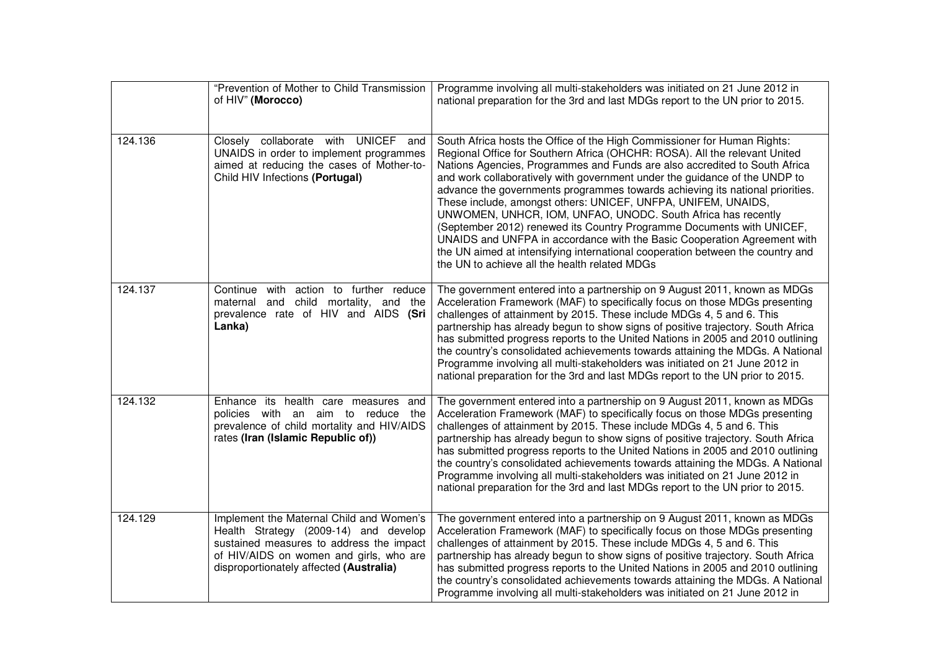|         | "Prevention of Mother to Child Transmission<br>of HIV" (Morocco)                                                                                                                                                    | Programme involving all multi-stakeholders was initiated on 21 June 2012 in<br>national preparation for the 3rd and last MDGs report to the UN prior to 2015.                                                                                                                                                                                                                                                                                                                                                                                                                                                                                                                                                                                                                                                                |
|---------|---------------------------------------------------------------------------------------------------------------------------------------------------------------------------------------------------------------------|------------------------------------------------------------------------------------------------------------------------------------------------------------------------------------------------------------------------------------------------------------------------------------------------------------------------------------------------------------------------------------------------------------------------------------------------------------------------------------------------------------------------------------------------------------------------------------------------------------------------------------------------------------------------------------------------------------------------------------------------------------------------------------------------------------------------------|
| 124.136 | Closely collaborate with UNICEF<br>and<br>UNAIDS in order to implement programmes<br>aimed at reducing the cases of Mother-to-<br>Child HIV Infections (Portugal)                                                   | South Africa hosts the Office of the High Commissioner for Human Rights:<br>Regional Office for Southern Africa (OHCHR: ROSA). All the relevant United<br>Nations Agencies, Programmes and Funds are also accredited to South Africa<br>and work collaboratively with government under the guidance of the UNDP to<br>advance the governments programmes towards achieving its national priorities.<br>These include, amongst others: UNICEF, UNFPA, UNIFEM, UNAIDS,<br>UNWOMEN, UNHCR, IOM, UNFAO, UNODC. South Africa has recently<br>(September 2012) renewed its Country Programme Documents with UNICEF,<br>UNAIDS and UNFPA in accordance with the Basic Cooperation Agreement with<br>the UN aimed at intensifying international cooperation between the country and<br>the UN to achieve all the health related MDGs |
| 124.137 | Continue with action to further reduce<br>maternal and child mortality, and the<br>prevalence rate of HIV and AIDS (Sri<br>Lanka)                                                                                   | The government entered into a partnership on 9 August 2011, known as MDGs<br>Acceleration Framework (MAF) to specifically focus on those MDGs presenting<br>challenges of attainment by 2015. These include MDGs 4, 5 and 6. This<br>partnership has already begun to show signs of positive trajectory. South Africa<br>has submitted progress reports to the United Nations in 2005 and 2010 outlining<br>the country's consolidated achievements towards attaining the MDGs. A National<br>Programme involving all multi-stakeholders was initiated on 21 June 2012 in<br>national preparation for the 3rd and last MDGs report to the UN prior to 2015.                                                                                                                                                                  |
| 124.132 | Enhance its health care measures and<br>policies with an aim to reduce<br>the<br>prevalence of child mortality and HIV/AIDS<br>rates (Iran (Islamic Republic of))                                                   | The government entered into a partnership on 9 August 2011, known as MDGs<br>Acceleration Framework (MAF) to specifically focus on those MDGs presenting<br>challenges of attainment by 2015. These include MDGs 4, 5 and 6. This<br>partnership has already begun to show signs of positive trajectory. South Africa<br>has submitted progress reports to the United Nations in 2005 and 2010 outlining<br>the country's consolidated achievements towards attaining the MDGs. A National<br>Programme involving all multi-stakeholders was initiated on 21 June 2012 in<br>national preparation for the 3rd and last MDGs report to the UN prior to 2015.                                                                                                                                                                  |
| 124.129 | Implement the Maternal Child and Women's<br>Health Strategy (2009-14) and develop<br>sustained measures to address the impact<br>of HIV/AIDS on women and girls, who are<br>disproportionately affected (Australia) | The government entered into a partnership on 9 August 2011, known as MDGs<br>Acceleration Framework (MAF) to specifically focus on those MDGs presenting<br>challenges of attainment by 2015. These include MDGs 4, 5 and 6. This<br>partnership has already begun to show signs of positive trajectory. South Africa<br>has submitted progress reports to the United Nations in 2005 and 2010 outlining<br>the country's consolidated achievements towards attaining the MDGs. A National<br>Programme involving all multi-stakeholders was initiated on 21 June 2012 in                                                                                                                                                                                                                                                    |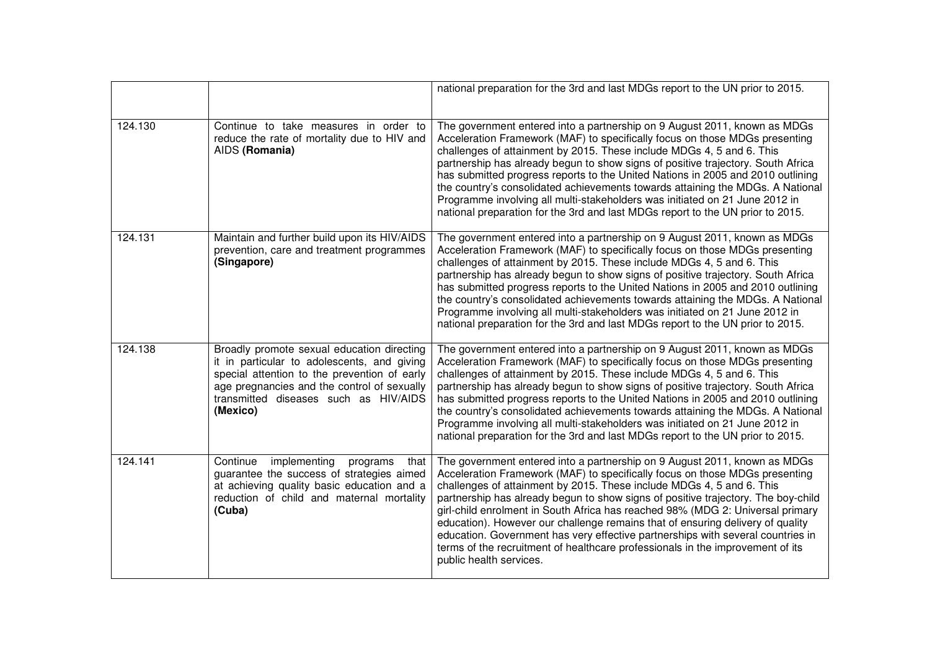|         |                                                                                                                                                                                                                                               | national preparation for the 3rd and last MDGs report to the UN prior to 2015.                                                                                                                                                                                                                                                                                                                                                                                                                                                                                                                                                                                                             |
|---------|-----------------------------------------------------------------------------------------------------------------------------------------------------------------------------------------------------------------------------------------------|--------------------------------------------------------------------------------------------------------------------------------------------------------------------------------------------------------------------------------------------------------------------------------------------------------------------------------------------------------------------------------------------------------------------------------------------------------------------------------------------------------------------------------------------------------------------------------------------------------------------------------------------------------------------------------------------|
| 124.130 | Continue to take measures in order to<br>reduce the rate of mortality due to HIV and<br>AIDS (Romania)                                                                                                                                        | The government entered into a partnership on 9 August 2011, known as MDGs<br>Acceleration Framework (MAF) to specifically focus on those MDGs presenting<br>challenges of attainment by 2015. These include MDGs 4, 5 and 6. This<br>partnership has already begun to show signs of positive trajectory. South Africa<br>has submitted progress reports to the United Nations in 2005 and 2010 outlining<br>the country's consolidated achievements towards attaining the MDGs. A National<br>Programme involving all multi-stakeholders was initiated on 21 June 2012 in<br>national preparation for the 3rd and last MDGs report to the UN prior to 2015.                                |
| 124.131 | Maintain and further build upon its HIV/AIDS<br>prevention, care and treatment programmes<br>(Singapore)                                                                                                                                      | The government entered into a partnership on 9 August 2011, known as MDGs<br>Acceleration Framework (MAF) to specifically focus on those MDGs presenting<br>challenges of attainment by 2015. These include MDGs 4, 5 and 6. This<br>partnership has already begun to show signs of positive trajectory. South Africa<br>has submitted progress reports to the United Nations in 2005 and 2010 outlining<br>the country's consolidated achievements towards attaining the MDGs. A National<br>Programme involving all multi-stakeholders was initiated on 21 June 2012 in<br>national preparation for the 3rd and last MDGs report to the UN prior to 2015.                                |
| 124.138 | Broadly promote sexual education directing<br>it in particular to adolescents, and giving<br>special attention to the prevention of early<br>age pregnancies and the control of sexually<br>transmitted diseases such as HIV/AIDS<br>(Mexico) | The government entered into a partnership on 9 August 2011, known as MDGs<br>Acceleration Framework (MAF) to specifically focus on those MDGs presenting<br>challenges of attainment by 2015. These include MDGs 4, 5 and 6. This<br>partnership has already begun to show signs of positive trajectory. South Africa<br>has submitted progress reports to the United Nations in 2005 and 2010 outlining<br>the country's consolidated achievements towards attaining the MDGs. A National<br>Programme involving all multi-stakeholders was initiated on 21 June 2012 in<br>national preparation for the 3rd and last MDGs report to the UN prior to 2015.                                |
| 124.141 | Continue<br>implementing<br>programs<br>that<br>guarantee the success of strategies aimed<br>at achieving quality basic education and a<br>reduction of child and maternal mortality<br>(Cuba)                                                | The government entered into a partnership on 9 August 2011, known as MDGs<br>Acceleration Framework (MAF) to specifically focus on those MDGs presenting<br>challenges of attainment by 2015. These include MDGs 4, 5 and 6. This<br>partnership has already begun to show signs of positive trajectory. The boy-child<br>girl-child enrolment in South Africa has reached 98% (MDG 2: Universal primary<br>education). However our challenge remains that of ensuring delivery of quality<br>education. Government has very effective partnerships with several countries in<br>terms of the recruitment of healthcare professionals in the improvement of its<br>public health services. |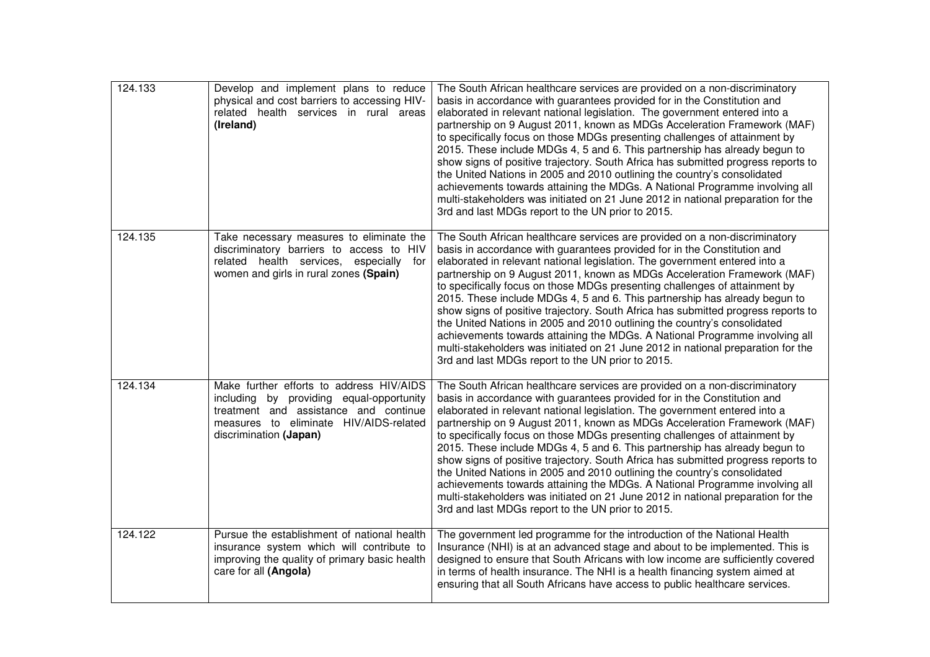| 124.133 | Develop and implement plans to reduce<br>physical and cost barriers to accessing HIV-<br>related health services in rural areas<br>(Ireland)                                                      | The South African healthcare services are provided on a non-discriminatory<br>basis in accordance with guarantees provided for in the Constitution and<br>elaborated in relevant national legislation. The government entered into a<br>partnership on 9 August 2011, known as MDGs Acceleration Framework (MAF)<br>to specifically focus on those MDGs presenting challenges of attainment by<br>2015. These include MDGs 4, 5 and 6. This partnership has already begun to<br>show signs of positive trajectory. South Africa has submitted progress reports to<br>the United Nations in 2005 and 2010 outlining the country's consolidated<br>achievements towards attaining the MDGs. A National Programme involving all<br>multi-stakeholders was initiated on 21 June 2012 in national preparation for the<br>3rd and last MDGs report to the UN prior to 2015. |
|---------|---------------------------------------------------------------------------------------------------------------------------------------------------------------------------------------------------|-----------------------------------------------------------------------------------------------------------------------------------------------------------------------------------------------------------------------------------------------------------------------------------------------------------------------------------------------------------------------------------------------------------------------------------------------------------------------------------------------------------------------------------------------------------------------------------------------------------------------------------------------------------------------------------------------------------------------------------------------------------------------------------------------------------------------------------------------------------------------|
| 124.135 | Take necessary measures to eliminate the<br>discriminatory barriers to access to HIV<br>related health services, especially<br>for<br>women and girls in rural zones (Spain)                      | The South African healthcare services are provided on a non-discriminatory<br>basis in accordance with guarantees provided for in the Constitution and<br>elaborated in relevant national legislation. The government entered into a<br>partnership on 9 August 2011, known as MDGs Acceleration Framework (MAF)<br>to specifically focus on those MDGs presenting challenges of attainment by<br>2015. These include MDGs 4, 5 and 6. This partnership has already begun to<br>show signs of positive trajectory. South Africa has submitted progress reports to<br>the United Nations in 2005 and 2010 outlining the country's consolidated<br>achievements towards attaining the MDGs. A National Programme involving all<br>multi-stakeholders was initiated on 21 June 2012 in national preparation for the<br>3rd and last MDGs report to the UN prior to 2015. |
| 124.134 | Make further efforts to address HIV/AIDS<br>including by providing equal-opportunity<br>treatment and assistance and continue<br>measures to eliminate HIV/AIDS-related<br>discrimination (Japan) | The South African healthcare services are provided on a non-discriminatory<br>basis in accordance with guarantees provided for in the Constitution and<br>elaborated in relevant national legislation. The government entered into a<br>partnership on 9 August 2011, known as MDGs Acceleration Framework (MAF)<br>to specifically focus on those MDGs presenting challenges of attainment by<br>2015. These include MDGs 4, 5 and 6. This partnership has already begun to<br>show signs of positive trajectory. South Africa has submitted progress reports to<br>the United Nations in 2005 and 2010 outlining the country's consolidated<br>achievements towards attaining the MDGs. A National Programme involving all<br>multi-stakeholders was initiated on 21 June 2012 in national preparation for the<br>3rd and last MDGs report to the UN prior to 2015. |
| 124.122 | Pursue the establishment of national health<br>insurance system which will contribute to<br>improving the quality of primary basic health<br>care for all (Angola)                                | The government led programme for the introduction of the National Health<br>Insurance (NHI) is at an advanced stage and about to be implemented. This is<br>designed to ensure that South Africans with low income are sufficiently covered<br>in terms of health insurance. The NHI is a health financing system aimed at<br>ensuring that all South Africans have access to public healthcare services.                                                                                                                                                                                                                                                                                                                                                                                                                                                             |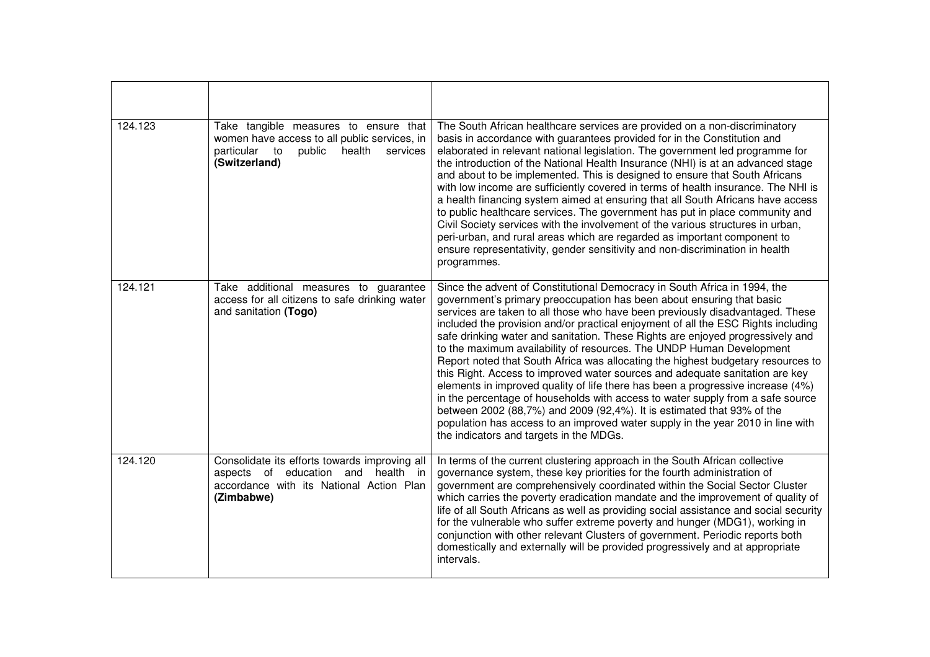| 124.123 | Take tangible measures to ensure that<br>women have access to all public services, in<br>particular<br>to<br>public<br>health<br>services<br>(Switzerland) | The South African healthcare services are provided on a non-discriminatory<br>basis in accordance with guarantees provided for in the Constitution and<br>elaborated in relevant national legislation. The government led programme for<br>the introduction of the National Health Insurance (NHI) is at an advanced stage<br>and about to be implemented. This is designed to ensure that South Africans<br>with low income are sufficiently covered in terms of health insurance. The NHI is<br>a health financing system aimed at ensuring that all South Africans have access<br>to public healthcare services. The government has put in place community and<br>Civil Society services with the involvement of the various structures in urban,<br>peri-urban, and rural areas which are regarded as important component to<br>ensure representativity, gender sensitivity and non-discrimination in health<br>programmes.                                                                                                     |
|---------|------------------------------------------------------------------------------------------------------------------------------------------------------------|-------------------------------------------------------------------------------------------------------------------------------------------------------------------------------------------------------------------------------------------------------------------------------------------------------------------------------------------------------------------------------------------------------------------------------------------------------------------------------------------------------------------------------------------------------------------------------------------------------------------------------------------------------------------------------------------------------------------------------------------------------------------------------------------------------------------------------------------------------------------------------------------------------------------------------------------------------------------------------------------------------------------------------------|
| 124.121 | Take additional measures to guarantee<br>access for all citizens to safe drinking water<br>and sanitation (Togo)                                           | Since the advent of Constitutional Democracy in South Africa in 1994, the<br>government's primary preoccupation has been about ensuring that basic<br>services are taken to all those who have been previously disadvantaged. These<br>included the provision and/or practical enjoyment of all the ESC Rights including<br>safe drinking water and sanitation. These Rights are enjoyed progressively and<br>to the maximum availability of resources. The UNDP Human Development<br>Report noted that South Africa was allocating the highest budgetary resources to<br>this Right. Access to improved water sources and adequate sanitation are key<br>elements in improved quality of life there has been a progressive increase (4%)<br>in the percentage of households with access to water supply from a safe source<br>between 2002 (88,7%) and 2009 (92,4%). It is estimated that 93% of the<br>population has access to an improved water supply in the year 2010 in line with<br>the indicators and targets in the MDGs. |
| 124.120 | Consolidate its efforts towards improving all<br>aspects of education and health in<br>accordance with its National Action Plan<br>(Zimbabwe)              | In terms of the current clustering approach in the South African collective<br>governance system, these key priorities for the fourth administration of<br>government are comprehensively coordinated within the Social Sector Cluster<br>which carries the poverty eradication mandate and the improvement of quality of<br>life of all South Africans as well as providing social assistance and social security<br>for the vulnerable who suffer extreme poverty and hunger (MDG1), working in<br>conjunction with other relevant Clusters of government. Periodic reports both<br>domestically and externally will be provided progressively and at appropriate<br>intervals.                                                                                                                                                                                                                                                                                                                                                   |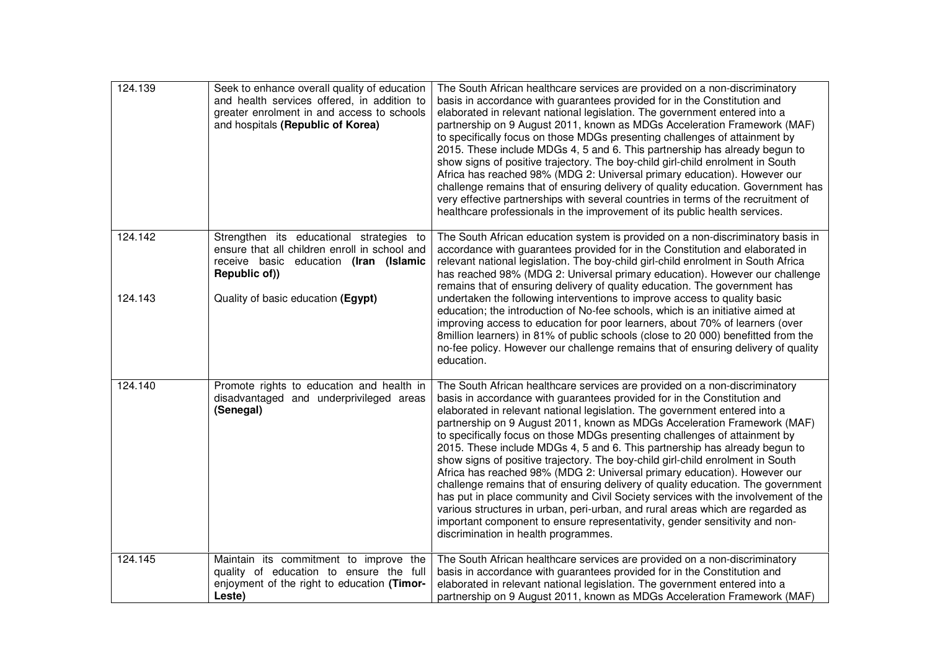| 124.139            | Seek to enhance overall quality of education<br>and health services offered, in addition to<br>greater enrolment in and access to schools<br>and hospitals (Republic of Korea)             | The South African healthcare services are provided on a non-discriminatory<br>basis in accordance with guarantees provided for in the Constitution and<br>elaborated in relevant national legislation. The government entered into a<br>partnership on 9 August 2011, known as MDGs Acceleration Framework (MAF)<br>to specifically focus on those MDGs presenting challenges of attainment by<br>2015. These include MDGs 4, 5 and 6. This partnership has already begun to<br>show signs of positive trajectory. The boy-child girl-child enrolment in South<br>Africa has reached 98% (MDG 2: Universal primary education). However our<br>challenge remains that of ensuring delivery of quality education. Government has<br>very effective partnerships with several countries in terms of the recruitment of<br>healthcare professionals in the improvement of its public health services.                                                                                                                            |
|--------------------|--------------------------------------------------------------------------------------------------------------------------------------------------------------------------------------------|------------------------------------------------------------------------------------------------------------------------------------------------------------------------------------------------------------------------------------------------------------------------------------------------------------------------------------------------------------------------------------------------------------------------------------------------------------------------------------------------------------------------------------------------------------------------------------------------------------------------------------------------------------------------------------------------------------------------------------------------------------------------------------------------------------------------------------------------------------------------------------------------------------------------------------------------------------------------------------------------------------------------------|
| 124.142<br>124.143 | Strengthen its educational strategies to<br>ensure that all children enroll in school and<br>receive basic education (Iran (Islamic<br>Republic of))<br>Quality of basic education (Egypt) | The South African education system is provided on a non-discriminatory basis in<br>accordance with guarantees provided for in the Constitution and elaborated in<br>relevant national legislation. The boy-child girl-child enrolment in South Africa<br>has reached 98% (MDG 2: Universal primary education). However our challenge<br>remains that of ensuring delivery of quality education. The government has<br>undertaken the following interventions to improve access to quality basic<br>education; the introduction of No-fee schools, which is an initiative aimed at<br>improving access to education for poor learners, about 70% of learners (over<br>8million learners) in 81% of public schools (close to 20 000) benefitted from the<br>no-fee policy. However our challenge remains that of ensuring delivery of quality<br>education.                                                                                                                                                                    |
| 124.140            | Promote rights to education and health in<br>disadvantaged and underprivileged areas<br>(Senegal)                                                                                          | The South African healthcare services are provided on a non-discriminatory<br>basis in accordance with guarantees provided for in the Constitution and<br>elaborated in relevant national legislation. The government entered into a<br>partnership on 9 August 2011, known as MDGs Acceleration Framework (MAF)<br>to specifically focus on those MDGs presenting challenges of attainment by<br>2015. These include MDGs 4, 5 and 6. This partnership has already begun to<br>show signs of positive trajectory. The boy-child girl-child enrolment in South<br>Africa has reached 98% (MDG 2: Universal primary education). However our<br>challenge remains that of ensuring delivery of quality education. The government<br>has put in place community and Civil Society services with the involvement of the<br>various structures in urban, peri-urban, and rural areas which are regarded as<br>important component to ensure representativity, gender sensitivity and non-<br>discrimination in health programmes. |
| 124.145            | Maintain its commitment to improve the<br>quality of education to ensure the full<br>enjoyment of the right to education (Timor-<br>Leste)                                                 | The South African healthcare services are provided on a non-discriminatory<br>basis in accordance with guarantees provided for in the Constitution and<br>elaborated in relevant national legislation. The government entered into a<br>partnership on 9 August 2011, known as MDGs Acceleration Framework (MAF)                                                                                                                                                                                                                                                                                                                                                                                                                                                                                                                                                                                                                                                                                                             |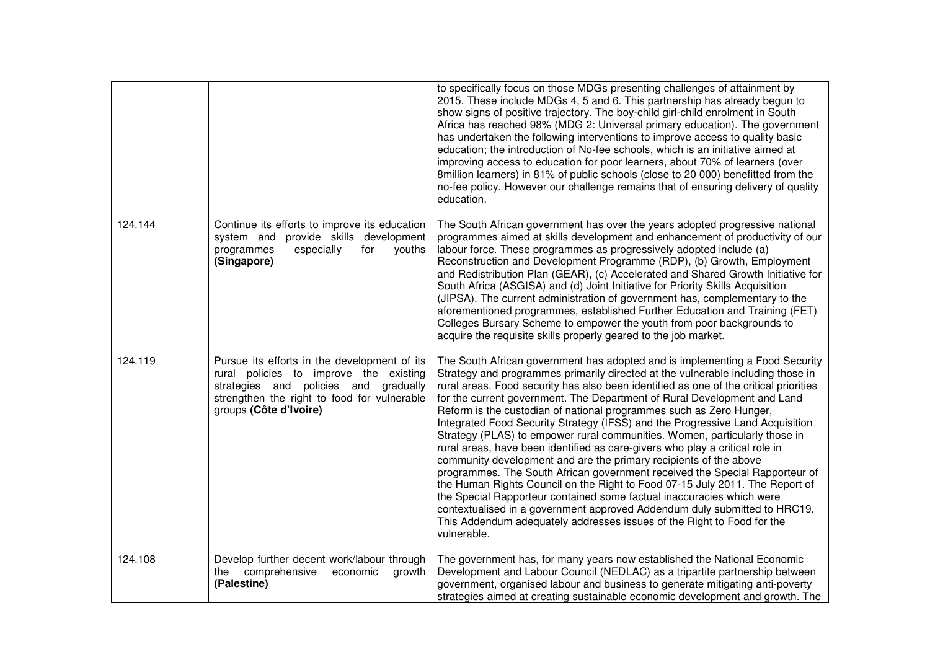|         |                                                                                                                                                                                                          | to specifically focus on those MDGs presenting challenges of attainment by<br>2015. These include MDGs 4, 5 and 6. This partnership has already begun to<br>show signs of positive trajectory. The boy-child girl-child enrolment in South<br>Africa has reached 98% (MDG 2: Universal primary education). The government<br>has undertaken the following interventions to improve access to quality basic<br>education; the introduction of No-fee schools, which is an initiative aimed at<br>improving access to education for poor learners, about 70% of learners (over<br>8million learners) in 81% of public schools (close to 20 000) benefitted from the<br>no-fee policy. However our challenge remains that of ensuring delivery of quality<br>education.                                                                                                                                                                                                                                                                                                                                                                          |
|---------|----------------------------------------------------------------------------------------------------------------------------------------------------------------------------------------------------------|-----------------------------------------------------------------------------------------------------------------------------------------------------------------------------------------------------------------------------------------------------------------------------------------------------------------------------------------------------------------------------------------------------------------------------------------------------------------------------------------------------------------------------------------------------------------------------------------------------------------------------------------------------------------------------------------------------------------------------------------------------------------------------------------------------------------------------------------------------------------------------------------------------------------------------------------------------------------------------------------------------------------------------------------------------------------------------------------------------------------------------------------------|
| 124.144 | Continue its efforts to improve its education<br>system and provide skills development<br>especially<br>programmes<br>for<br>youths<br>(Singapore)                                                       | The South African government has over the years adopted progressive national<br>programmes aimed at skills development and enhancement of productivity of our<br>labour force. These programmes as progressively adopted include (a)<br>Reconstruction and Development Programme (RDP), (b) Growth, Employment<br>and Redistribution Plan (GEAR), (c) Accelerated and Shared Growth Initiative for<br>South Africa (ASGISA) and (d) Joint Initiative for Priority Skills Acquisition<br>(JIPSA). The current administration of government has, complementary to the<br>aforementioned programmes, established Further Education and Training (FET)<br>Colleges Bursary Scheme to empower the youth from poor backgrounds to<br>acquire the requisite skills properly geared to the job market.                                                                                                                                                                                                                                                                                                                                                |
| 124.119 | Pursue its efforts in the development of its<br>rural policies to improve the existing<br>strategies and policies and gradually<br>strengthen the right to food for vulnerable<br>groups (Côte d'Ivoire) | The South African government has adopted and is implementing a Food Security<br>Strategy and programmes primarily directed at the vulnerable including those in<br>rural areas. Food security has also been identified as one of the critical priorities<br>for the current government. The Department of Rural Development and Land<br>Reform is the custodian of national programmes such as Zero Hunger,<br>Integrated Food Security Strategy (IFSS) and the Progressive Land Acquisition<br>Strategy (PLAS) to empower rural communities. Women, particularly those in<br>rural areas, have been identified as care-givers who play a critical role in<br>community development and are the primary recipients of the above<br>programmes. The South African government received the Special Rapporteur of<br>the Human Rights Council on the Right to Food 07-15 July 2011. The Report of<br>the Special Rapporteur contained some factual inaccuracies which were<br>contextualised in a government approved Addendum duly submitted to HRC19.<br>This Addendum adequately addresses issues of the Right to Food for the<br>vulnerable. |
| 124.108 | Develop further decent work/labour through<br>comprehensive<br>the<br>economic<br>growth<br>(Palestine)                                                                                                  | The government has, for many years now established the National Economic<br>Development and Labour Council (NEDLAC) as a tripartite partnership between<br>government, organised labour and business to generate mitigating anti-poverty<br>strategies aimed at creating sustainable economic development and growth. The                                                                                                                                                                                                                                                                                                                                                                                                                                                                                                                                                                                                                                                                                                                                                                                                                     |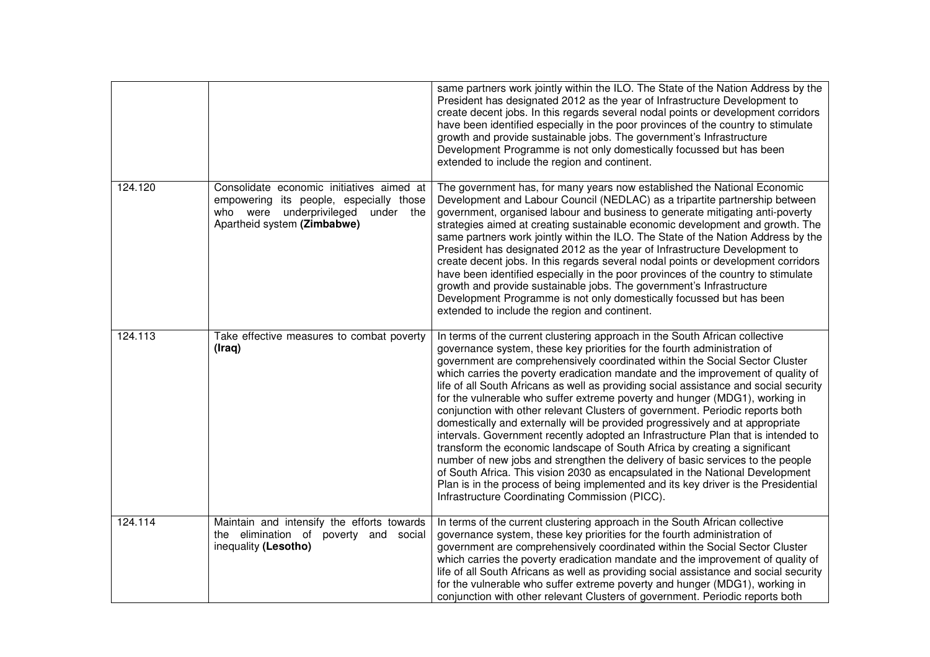|         |                                                                                                                                                                 | same partners work jointly within the ILO. The State of the Nation Address by the<br>President has designated 2012 as the year of Infrastructure Development to<br>create decent jobs. In this regards several nodal points or development corridors<br>have been identified especially in the poor provinces of the country to stimulate<br>growth and provide sustainable jobs. The government's Infrastructure<br>Development Programme is not only domestically focussed but has been<br>extended to include the region and continent.                                                                                                                                                                                                                                                                                                                                                                                                                                                                                                                                                                                                        |
|---------|-----------------------------------------------------------------------------------------------------------------------------------------------------------------|---------------------------------------------------------------------------------------------------------------------------------------------------------------------------------------------------------------------------------------------------------------------------------------------------------------------------------------------------------------------------------------------------------------------------------------------------------------------------------------------------------------------------------------------------------------------------------------------------------------------------------------------------------------------------------------------------------------------------------------------------------------------------------------------------------------------------------------------------------------------------------------------------------------------------------------------------------------------------------------------------------------------------------------------------------------------------------------------------------------------------------------------------|
| 124.120 | Consolidate economic initiatives aimed at<br>empowering its people, especially those<br>underprivileged<br>who were<br>under the<br>Apartheid system (Zimbabwe) | The government has, for many years now established the National Economic<br>Development and Labour Council (NEDLAC) as a tripartite partnership between<br>government, organised labour and business to generate mitigating anti-poverty<br>strategies aimed at creating sustainable economic development and growth. The<br>same partners work jointly within the ILO. The State of the Nation Address by the<br>President has designated 2012 as the year of Infrastructure Development to<br>create decent jobs. In this regards several nodal points or development corridors<br>have been identified especially in the poor provinces of the country to stimulate<br>growth and provide sustainable jobs. The government's Infrastructure<br>Development Programme is not only domestically focussed but has been<br>extended to include the region and continent.                                                                                                                                                                                                                                                                           |
| 124.113 | Take effective measures to combat poverty<br>(Iraq)                                                                                                             | In terms of the current clustering approach in the South African collective<br>governance system, these key priorities for the fourth administration of<br>government are comprehensively coordinated within the Social Sector Cluster<br>which carries the poverty eradication mandate and the improvement of quality of<br>life of all South Africans as well as providing social assistance and social security<br>for the vulnerable who suffer extreme poverty and hunger (MDG1), working in<br>conjunction with other relevant Clusters of government. Periodic reports both<br>domestically and externally will be provided progressively and at appropriate<br>intervals. Government recently adopted an Infrastructure Plan that is intended to<br>transform the economic landscape of South Africa by creating a significant<br>number of new jobs and strengthen the delivery of basic services to the people<br>of South Africa. This vision 2030 as encapsulated in the National Development<br>Plan is in the process of being implemented and its key driver is the Presidential<br>Infrastructure Coordinating Commission (PICC). |
| 124.114 | Maintain and intensify the efforts towards<br>the elimination of poverty and social<br>inequality (Lesotho)                                                     | In terms of the current clustering approach in the South African collective<br>governance system, these key priorities for the fourth administration of<br>government are comprehensively coordinated within the Social Sector Cluster<br>which carries the poverty eradication mandate and the improvement of quality of<br>life of all South Africans as well as providing social assistance and social security<br>for the vulnerable who suffer extreme poverty and hunger (MDG1), working in<br>conjunction with other relevant Clusters of government. Periodic reports both                                                                                                                                                                                                                                                                                                                                                                                                                                                                                                                                                                |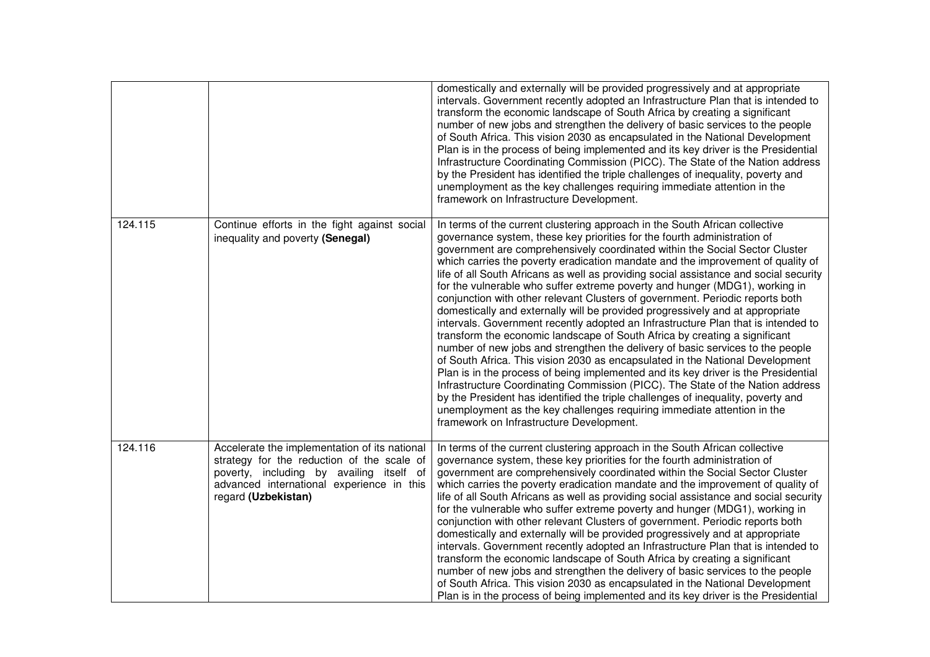|         |                                                                                                                                                                                                             | domestically and externally will be provided progressively and at appropriate<br>intervals. Government recently adopted an Infrastructure Plan that is intended to<br>transform the economic landscape of South Africa by creating a significant<br>number of new jobs and strengthen the delivery of basic services to the people<br>of South Africa. This vision 2030 as encapsulated in the National Development<br>Plan is in the process of being implemented and its key driver is the Presidential<br>Infrastructure Coordinating Commission (PICC). The State of the Nation address<br>by the President has identified the triple challenges of inequality, poverty and<br>unemployment as the key challenges requiring immediate attention in the<br>framework on Infrastructure Development.                                                                                                                                                                                                                                                                                                                                                                                                                                                                                                                                                                                       |
|---------|-------------------------------------------------------------------------------------------------------------------------------------------------------------------------------------------------------------|----------------------------------------------------------------------------------------------------------------------------------------------------------------------------------------------------------------------------------------------------------------------------------------------------------------------------------------------------------------------------------------------------------------------------------------------------------------------------------------------------------------------------------------------------------------------------------------------------------------------------------------------------------------------------------------------------------------------------------------------------------------------------------------------------------------------------------------------------------------------------------------------------------------------------------------------------------------------------------------------------------------------------------------------------------------------------------------------------------------------------------------------------------------------------------------------------------------------------------------------------------------------------------------------------------------------------------------------------------------------------------------------|
| 124.115 | Continue efforts in the fight against social<br>inequality and poverty (Senegal)                                                                                                                            | In terms of the current clustering approach in the South African collective<br>governance system, these key priorities for the fourth administration of<br>government are comprehensively coordinated within the Social Sector Cluster<br>which carries the poverty eradication mandate and the improvement of quality of<br>life of all South Africans as well as providing social assistance and social security<br>for the vulnerable who suffer extreme poverty and hunger (MDG1), working in<br>conjunction with other relevant Clusters of government. Periodic reports both<br>domestically and externally will be provided progressively and at appropriate<br>intervals. Government recently adopted an Infrastructure Plan that is intended to<br>transform the economic landscape of South Africa by creating a significant<br>number of new jobs and strengthen the delivery of basic services to the people<br>of South Africa. This vision 2030 as encapsulated in the National Development<br>Plan is in the process of being implemented and its key driver is the Presidential<br>Infrastructure Coordinating Commission (PICC). The State of the Nation address<br>by the President has identified the triple challenges of inequality, poverty and<br>unemployment as the key challenges requiring immediate attention in the<br>framework on Infrastructure Development. |
| 124.116 | Accelerate the implementation of its national<br>strategy for the reduction of the scale of<br>poverty, including by availing itself of<br>advanced international experience in this<br>regard (Uzbekistan) | In terms of the current clustering approach in the South African collective<br>governance system, these key priorities for the fourth administration of<br>government are comprehensively coordinated within the Social Sector Cluster<br>which carries the poverty eradication mandate and the improvement of quality of<br>life of all South Africans as well as providing social assistance and social security<br>for the vulnerable who suffer extreme poverty and hunger (MDG1), working in<br>conjunction with other relevant Clusters of government. Periodic reports both<br>domestically and externally will be provided progressively and at appropriate<br>intervals. Government recently adopted an Infrastructure Plan that is intended to<br>transform the economic landscape of South Africa by creating a significant<br>number of new jobs and strengthen the delivery of basic services to the people<br>of South Africa. This vision 2030 as encapsulated in the National Development<br>Plan is in the process of being implemented and its key driver is the Presidential                                                                                                                                                                                                                                                                                              |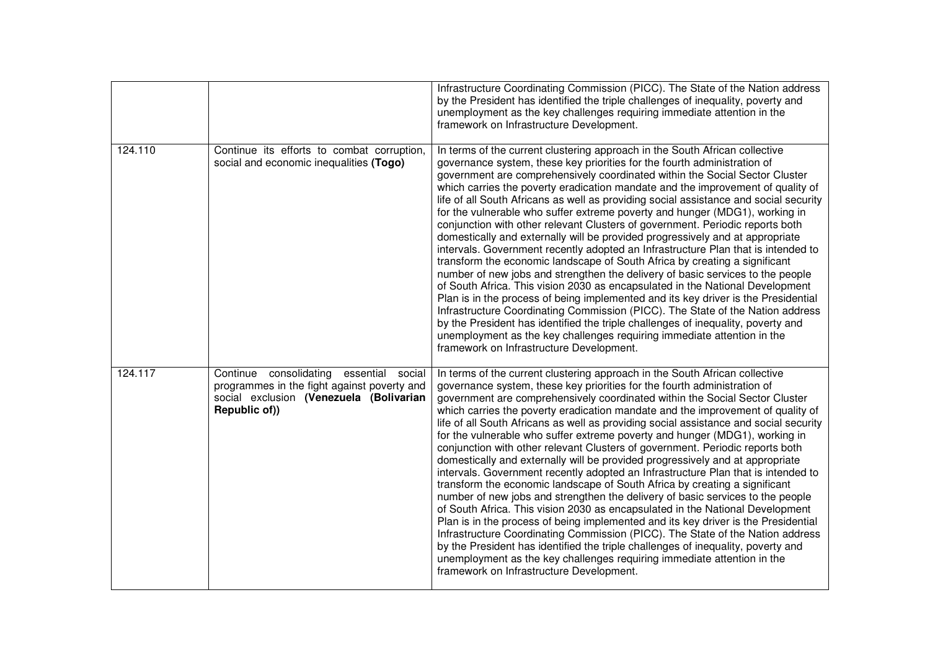|         |                                                                                                                                                    | Infrastructure Coordinating Commission (PICC). The State of the Nation address<br>by the President has identified the triple challenges of inequality, poverty and<br>unemployment as the key challenges requiring immediate attention in the<br>framework on Infrastructure Development.                                                                                                                                                                                                                                                                                                                                                                                                                                                                                                                                                                                                                                                                                                                                                                                                                                                                                                                                                                                                                                                                                                    |
|---------|----------------------------------------------------------------------------------------------------------------------------------------------------|----------------------------------------------------------------------------------------------------------------------------------------------------------------------------------------------------------------------------------------------------------------------------------------------------------------------------------------------------------------------------------------------------------------------------------------------------------------------------------------------------------------------------------------------------------------------------------------------------------------------------------------------------------------------------------------------------------------------------------------------------------------------------------------------------------------------------------------------------------------------------------------------------------------------------------------------------------------------------------------------------------------------------------------------------------------------------------------------------------------------------------------------------------------------------------------------------------------------------------------------------------------------------------------------------------------------------------------------------------------------------------------------|
| 124.110 | Continue its efforts to combat corruption,<br>social and economic inequalities (Togo)                                                              | In terms of the current clustering approach in the South African collective<br>governance system, these key priorities for the fourth administration of<br>government are comprehensively coordinated within the Social Sector Cluster<br>which carries the poverty eradication mandate and the improvement of quality of<br>life of all South Africans as well as providing social assistance and social security<br>for the vulnerable who suffer extreme poverty and hunger (MDG1), working in<br>conjunction with other relevant Clusters of government. Periodic reports both<br>domestically and externally will be provided progressively and at appropriate<br>intervals. Government recently adopted an Infrastructure Plan that is intended to<br>transform the economic landscape of South Africa by creating a significant<br>number of new jobs and strengthen the delivery of basic services to the people<br>of South Africa. This vision 2030 as encapsulated in the National Development<br>Plan is in the process of being implemented and its key driver is the Presidential<br>Infrastructure Coordinating Commission (PICC). The State of the Nation address<br>by the President has identified the triple challenges of inequality, poverty and<br>unemployment as the key challenges requiring immediate attention in the<br>framework on Infrastructure Development. |
| 124.117 | Continue consolidating essential social<br>programmes in the fight against poverty and<br>social exclusion (Venezuela (Bolivarian<br>Republic of)) | In terms of the current clustering approach in the South African collective<br>governance system, these key priorities for the fourth administration of<br>government are comprehensively coordinated within the Social Sector Cluster<br>which carries the poverty eradication mandate and the improvement of quality of<br>life of all South Africans as well as providing social assistance and social security<br>for the vulnerable who suffer extreme poverty and hunger (MDG1), working in<br>conjunction with other relevant Clusters of government. Periodic reports both<br>domestically and externally will be provided progressively and at appropriate<br>intervals. Government recently adopted an Infrastructure Plan that is intended to<br>transform the economic landscape of South Africa by creating a significant<br>number of new jobs and strengthen the delivery of basic services to the people<br>of South Africa. This vision 2030 as encapsulated in the National Development<br>Plan is in the process of being implemented and its key driver is the Presidential<br>Infrastructure Coordinating Commission (PICC). The State of the Nation address<br>by the President has identified the triple challenges of inequality, poverty and<br>unemployment as the key challenges requiring immediate attention in the<br>framework on Infrastructure Development. |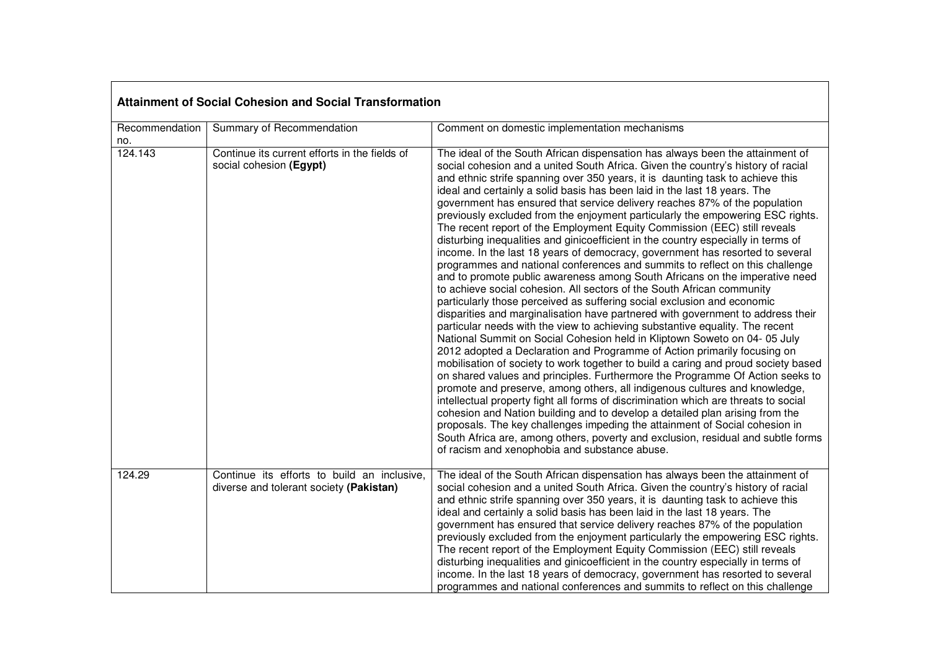| <b>Attainment of Social Cohesion and Social Transformation</b> |                                                                                        |                                                                                                                                                                                                                                                                                                                                                                                                                                                                                                                                                                                                                                                                                                                                                                                                                                                                                                                                                                                                                                                                                                                                                                                                                                                                                                                                                                                                                                                                                                                                                                                                                                                                                                                                                                                                                                                                                                                                                                                                                                                    |
|----------------------------------------------------------------|----------------------------------------------------------------------------------------|----------------------------------------------------------------------------------------------------------------------------------------------------------------------------------------------------------------------------------------------------------------------------------------------------------------------------------------------------------------------------------------------------------------------------------------------------------------------------------------------------------------------------------------------------------------------------------------------------------------------------------------------------------------------------------------------------------------------------------------------------------------------------------------------------------------------------------------------------------------------------------------------------------------------------------------------------------------------------------------------------------------------------------------------------------------------------------------------------------------------------------------------------------------------------------------------------------------------------------------------------------------------------------------------------------------------------------------------------------------------------------------------------------------------------------------------------------------------------------------------------------------------------------------------------------------------------------------------------------------------------------------------------------------------------------------------------------------------------------------------------------------------------------------------------------------------------------------------------------------------------------------------------------------------------------------------------------------------------------------------------------------------------------------------------|
| Recommendation<br>no.                                          | Summary of Recommendation                                                              | Comment on domestic implementation mechanisms                                                                                                                                                                                                                                                                                                                                                                                                                                                                                                                                                                                                                                                                                                                                                                                                                                                                                                                                                                                                                                                                                                                                                                                                                                                                                                                                                                                                                                                                                                                                                                                                                                                                                                                                                                                                                                                                                                                                                                                                      |
| 124.143                                                        | Continue its current efforts in the fields of<br>social cohesion (Egypt)               | The ideal of the South African dispensation has always been the attainment of<br>social cohesion and a united South Africa. Given the country's history of racial<br>and ethnic strife spanning over 350 years, it is daunting task to achieve this<br>ideal and certainly a solid basis has been laid in the last 18 years. The<br>government has ensured that service delivery reaches 87% of the population<br>previously excluded from the enjoyment particularly the empowering ESC rights.<br>The recent report of the Employment Equity Commission (EEC) still reveals<br>disturbing inequalities and ginicoefficient in the country especially in terms of<br>income. In the last 18 years of democracy, government has resorted to several<br>programmes and national conferences and summits to reflect on this challenge<br>and to promote public awareness among South Africans on the imperative need<br>to achieve social cohesion. All sectors of the South African community<br>particularly those perceived as suffering social exclusion and economic<br>disparities and marginalisation have partnered with government to address their<br>particular needs with the view to achieving substantive equality. The recent<br>National Summit on Social Cohesion held in Kliptown Soweto on 04-05 July<br>2012 adopted a Declaration and Programme of Action primarily focusing on<br>mobilisation of society to work together to build a caring and proud society based<br>on shared values and principles. Furthermore the Programme Of Action seeks to<br>promote and preserve, among others, all indigenous cultures and knowledge,<br>intellectual property fight all forms of discrimination which are threats to social<br>cohesion and Nation building and to develop a detailed plan arising from the<br>proposals. The key challenges impeding the attainment of Social cohesion in<br>South Africa are, among others, poverty and exclusion, residual and subtle forms<br>of racism and xenophobia and substance abuse. |
| 124.29                                                         | Continue its efforts to build an inclusive,<br>diverse and tolerant society (Pakistan) | The ideal of the South African dispensation has always been the attainment of<br>social cohesion and a united South Africa. Given the country's history of racial<br>and ethnic strife spanning over 350 years, it is daunting task to achieve this<br>ideal and certainly a solid basis has been laid in the last 18 years. The<br>government has ensured that service delivery reaches 87% of the population<br>previously excluded from the enjoyment particularly the empowering ESC rights.<br>The recent report of the Employment Equity Commission (EEC) still reveals<br>disturbing inequalities and ginicoefficient in the country especially in terms of<br>income. In the last 18 years of democracy, government has resorted to several<br>programmes and national conferences and summits to reflect on this challenge                                                                                                                                                                                                                                                                                                                                                                                                                                                                                                                                                                                                                                                                                                                                                                                                                                                                                                                                                                                                                                                                                                                                                                                                                |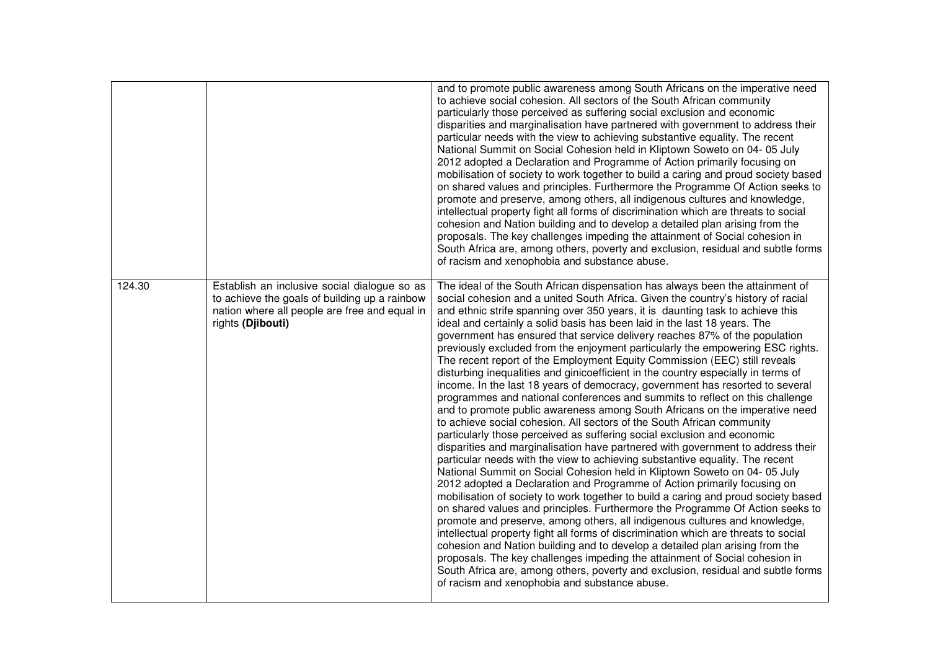|        |                                                                                                                                                                     | and to promote public awareness among South Africans on the imperative need<br>to achieve social cohesion. All sectors of the South African community<br>particularly those perceived as suffering social exclusion and economic<br>disparities and marginalisation have partnered with government to address their<br>particular needs with the view to achieving substantive equality. The recent<br>National Summit on Social Cohesion held in Kliptown Soweto on 04- 05 July<br>2012 adopted a Declaration and Programme of Action primarily focusing on<br>mobilisation of society to work together to build a caring and proud society based<br>on shared values and principles. Furthermore the Programme Of Action seeks to<br>promote and preserve, among others, all indigenous cultures and knowledge,<br>intellectual property fight all forms of discrimination which are threats to social<br>cohesion and Nation building and to develop a detailed plan arising from the<br>proposals. The key challenges impeding the attainment of Social cohesion in<br>South Africa are, among others, poverty and exclusion, residual and subtle forms<br>of racism and xenophobia and substance abuse.                                                                                                                                                                                                                                                                                                                                                                                                                                                                                                                                                                                                                                                                                                                                                                                                                                       |
|--------|---------------------------------------------------------------------------------------------------------------------------------------------------------------------|----------------------------------------------------------------------------------------------------------------------------------------------------------------------------------------------------------------------------------------------------------------------------------------------------------------------------------------------------------------------------------------------------------------------------------------------------------------------------------------------------------------------------------------------------------------------------------------------------------------------------------------------------------------------------------------------------------------------------------------------------------------------------------------------------------------------------------------------------------------------------------------------------------------------------------------------------------------------------------------------------------------------------------------------------------------------------------------------------------------------------------------------------------------------------------------------------------------------------------------------------------------------------------------------------------------------------------------------------------------------------------------------------------------------------------------------------------------------------------------------------------------------------------------------------------------------------------------------------------------------------------------------------------------------------------------------------------------------------------------------------------------------------------------------------------------------------------------------------------------------------------------------------------------------------------------------------------------------------------------------------------------------------------------------------|
| 124.30 | Establish an inclusive social dialogue so as<br>to achieve the goals of building up a rainbow<br>nation where all people are free and equal in<br>rights (Djibouti) | The ideal of the South African dispensation has always been the attainment of<br>social cohesion and a united South Africa. Given the country's history of racial<br>and ethnic strife spanning over 350 years, it is daunting task to achieve this<br>ideal and certainly a solid basis has been laid in the last 18 years. The<br>government has ensured that service delivery reaches 87% of the population<br>previously excluded from the enjoyment particularly the empowering ESC rights.<br>The recent report of the Employment Equity Commission (EEC) still reveals<br>disturbing inequalities and ginicoefficient in the country especially in terms of<br>income. In the last 18 years of democracy, government has resorted to several<br>programmes and national conferences and summits to reflect on this challenge<br>and to promote public awareness among South Africans on the imperative need<br>to achieve social cohesion. All sectors of the South African community<br>particularly those perceived as suffering social exclusion and economic<br>disparities and marginalisation have partnered with government to address their<br>particular needs with the view to achieving substantive equality. The recent<br>National Summit on Social Cohesion held in Kliptown Soweto on 04-05 July<br>2012 adopted a Declaration and Programme of Action primarily focusing on<br>mobilisation of society to work together to build a caring and proud society based<br>on shared values and principles. Furthermore the Programme Of Action seeks to<br>promote and preserve, among others, all indigenous cultures and knowledge,<br>intellectual property fight all forms of discrimination which are threats to social<br>cohesion and Nation building and to develop a detailed plan arising from the<br>proposals. The key challenges impeding the attainment of Social cohesion in<br>South Africa are, among others, poverty and exclusion, residual and subtle forms<br>of racism and xenophobia and substance abuse. |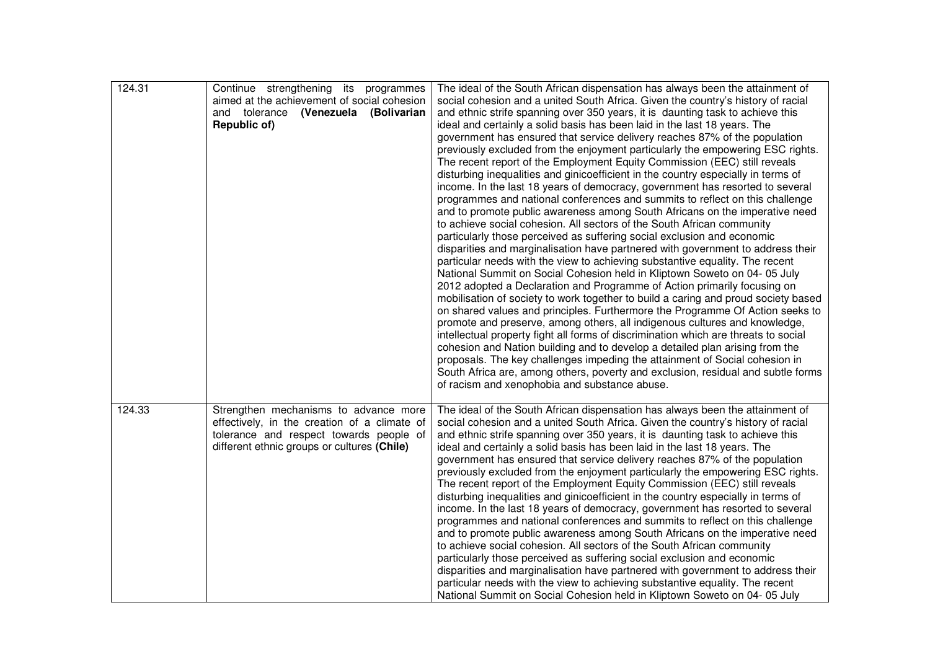| 124.31 | Continue strengthening its programmes<br>aimed at the achievement of social cohesion<br>and tolerance (Venezuela (Bolivarian<br>Republic of)                                    | The ideal of the South African dispensation has always been the attainment of<br>social cohesion and a united South Africa. Given the country's history of racial<br>and ethnic strife spanning over 350 years, it is daunting task to achieve this<br>ideal and certainly a solid basis has been laid in the last 18 years. The<br>government has ensured that service delivery reaches 87% of the population<br>previously excluded from the enjoyment particularly the empowering ESC rights.<br>The recent report of the Employment Equity Commission (EEC) still reveals<br>disturbing inequalities and ginicoefficient in the country especially in terms of<br>income. In the last 18 years of democracy, government has resorted to several<br>programmes and national conferences and summits to reflect on this challenge<br>and to promote public awareness among South Africans on the imperative need<br>to achieve social cohesion. All sectors of the South African community<br>particularly those perceived as suffering social exclusion and economic<br>disparities and marginalisation have partnered with government to address their<br>particular needs with the view to achieving substantive equality. The recent<br>National Summit on Social Cohesion held in Kliptown Soweto on 04- 05 July<br>2012 adopted a Declaration and Programme of Action primarily focusing on<br>mobilisation of society to work together to build a caring and proud society based<br>on shared values and principles. Furthermore the Programme Of Action seeks to<br>promote and preserve, among others, all indigenous cultures and knowledge,<br>intellectual property fight all forms of discrimination which are threats to social<br>cohesion and Nation building and to develop a detailed plan arising from the<br>proposals. The key challenges impeding the attainment of Social cohesion in<br>South Africa are, among others, poverty and exclusion, residual and subtle forms<br>of racism and xenophobia and substance abuse. |
|--------|---------------------------------------------------------------------------------------------------------------------------------------------------------------------------------|-----------------------------------------------------------------------------------------------------------------------------------------------------------------------------------------------------------------------------------------------------------------------------------------------------------------------------------------------------------------------------------------------------------------------------------------------------------------------------------------------------------------------------------------------------------------------------------------------------------------------------------------------------------------------------------------------------------------------------------------------------------------------------------------------------------------------------------------------------------------------------------------------------------------------------------------------------------------------------------------------------------------------------------------------------------------------------------------------------------------------------------------------------------------------------------------------------------------------------------------------------------------------------------------------------------------------------------------------------------------------------------------------------------------------------------------------------------------------------------------------------------------------------------------------------------------------------------------------------------------------------------------------------------------------------------------------------------------------------------------------------------------------------------------------------------------------------------------------------------------------------------------------------------------------------------------------------------------------------------------------------------------------------------------------------|
| 124.33 | Strengthen mechanisms to advance more<br>effectively, in the creation of a climate of<br>tolerance and respect towards people of<br>different ethnic groups or cultures (Chile) | The ideal of the South African dispensation has always been the attainment of<br>social cohesion and a united South Africa. Given the country's history of racial<br>and ethnic strife spanning over 350 years, it is daunting task to achieve this<br>ideal and certainly a solid basis has been laid in the last 18 years. The<br>government has ensured that service delivery reaches 87% of the population<br>previously excluded from the enjoyment particularly the empowering ESC rights.<br>The recent report of the Employment Equity Commission (EEC) still reveals<br>disturbing inequalities and ginicoefficient in the country especially in terms of<br>income. In the last 18 years of democracy, government has resorted to several<br>programmes and national conferences and summits to reflect on this challenge<br>and to promote public awareness among South Africans on the imperative need<br>to achieve social cohesion. All sectors of the South African community<br>particularly those perceived as suffering social exclusion and economic<br>disparities and marginalisation have partnered with government to address their<br>particular needs with the view to achieving substantive equality. The recent<br>National Summit on Social Cohesion held in Kliptown Soweto on 04-05 July                                                                                                                                                                                                                                                                                                                                                                                                                                                                                                                                                                                                                                                                                                                              |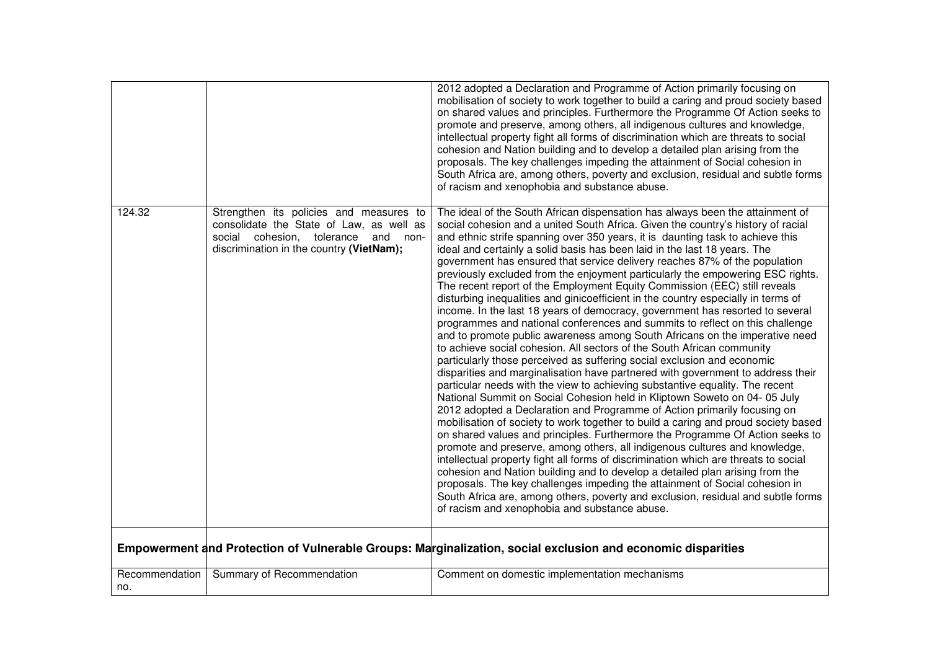|                       |                                                                                                                                                                                  | 2012 adopted a Declaration and Programme of Action primarily focusing on<br>mobilisation of society to work together to build a caring and proud society based<br>on shared values and principles. Furthermore the Programme Of Action seeks to<br>promote and preserve, among others, all indigenous cultures and knowledge,<br>intellectual property fight all forms of discrimination which are threats to social<br>cohesion and Nation building and to develop a detailed plan arising from the<br>proposals. The key challenges impeding the attainment of Social cohesion in<br>South Africa are, among others, poverty and exclusion, residual and subtle forms<br>of racism and xenophobia and substance abuse.                                                                                                                                                                                                                                                                                                                                                                                                                                                                                                                                                                                                                                                                                                                                                                                                                                                                                                                                                                                                                                                                                                                                                                                                                                                                                                                            |
|-----------------------|----------------------------------------------------------------------------------------------------------------------------------------------------------------------------------|-----------------------------------------------------------------------------------------------------------------------------------------------------------------------------------------------------------------------------------------------------------------------------------------------------------------------------------------------------------------------------------------------------------------------------------------------------------------------------------------------------------------------------------------------------------------------------------------------------------------------------------------------------------------------------------------------------------------------------------------------------------------------------------------------------------------------------------------------------------------------------------------------------------------------------------------------------------------------------------------------------------------------------------------------------------------------------------------------------------------------------------------------------------------------------------------------------------------------------------------------------------------------------------------------------------------------------------------------------------------------------------------------------------------------------------------------------------------------------------------------------------------------------------------------------------------------------------------------------------------------------------------------------------------------------------------------------------------------------------------------------------------------------------------------------------------------------------------------------------------------------------------------------------------------------------------------------------------------------------------------------------------------------------------------------|
| 124.32                | Strengthen its policies and measures to<br>consolidate the State of Law, as well as<br>social<br>cohesion, tolerance<br>and<br>-non-<br>discrimination in the country (VietNam); | The ideal of the South African dispensation has always been the attainment of<br>social cohesion and a united South Africa. Given the country's history of racial<br>and ethnic strife spanning over 350 years, it is daunting task to achieve this<br>ideal and certainly a solid basis has been laid in the last 18 years. The<br>government has ensured that service delivery reaches 87% of the population<br>previously excluded from the enjoyment particularly the empowering ESC rights.<br>The recent report of the Employment Equity Commission (EEC) still reveals<br>disturbing inequalities and ginicoefficient in the country especially in terms of<br>income. In the last 18 years of democracy, government has resorted to several<br>programmes and national conferences and summits to reflect on this challenge<br>and to promote public awareness among South Africans on the imperative need<br>to achieve social cohesion. All sectors of the South African community<br>particularly those perceived as suffering social exclusion and economic<br>disparities and marginalisation have partnered with government to address their<br>particular needs with the view to achieving substantive equality. The recent<br>National Summit on Social Cohesion held in Kliptown Soweto on 04- 05 July<br>2012 adopted a Declaration and Programme of Action primarily focusing on<br>mobilisation of society to work together to build a caring and proud society based<br>on shared values and principles. Furthermore the Programme Of Action seeks to<br>promote and preserve, among others, all indigenous cultures and knowledge,<br>intellectual property fight all forms of discrimination which are threats to social<br>cohesion and Nation building and to develop a detailed plan arising from the<br>proposals. The key challenges impeding the attainment of Social cohesion in<br>South Africa are, among others, poverty and exclusion, residual and subtle forms<br>of racism and xenophobia and substance abuse. |
|                       |                                                                                                                                                                                  | Empowerment and Protection of Vulnerable Groups: Marginalization, social exclusion and economic disparities                                                                                                                                                                                                                                                                                                                                                                                                                                                                                                                                                                                                                                                                                                                                                                                                                                                                                                                                                                                                                                                                                                                                                                                                                                                                                                                                                                                                                                                                                                                                                                                                                                                                                                                                                                                                                                                                                                                                         |
| Recommendation<br>no. | Summary of Recommendation                                                                                                                                                        | Comment on domestic implementation mechanisms                                                                                                                                                                                                                                                                                                                                                                                                                                                                                                                                                                                                                                                                                                                                                                                                                                                                                                                                                                                                                                                                                                                                                                                                                                                                                                                                                                                                                                                                                                                                                                                                                                                                                                                                                                                                                                                                                                                                                                                                       |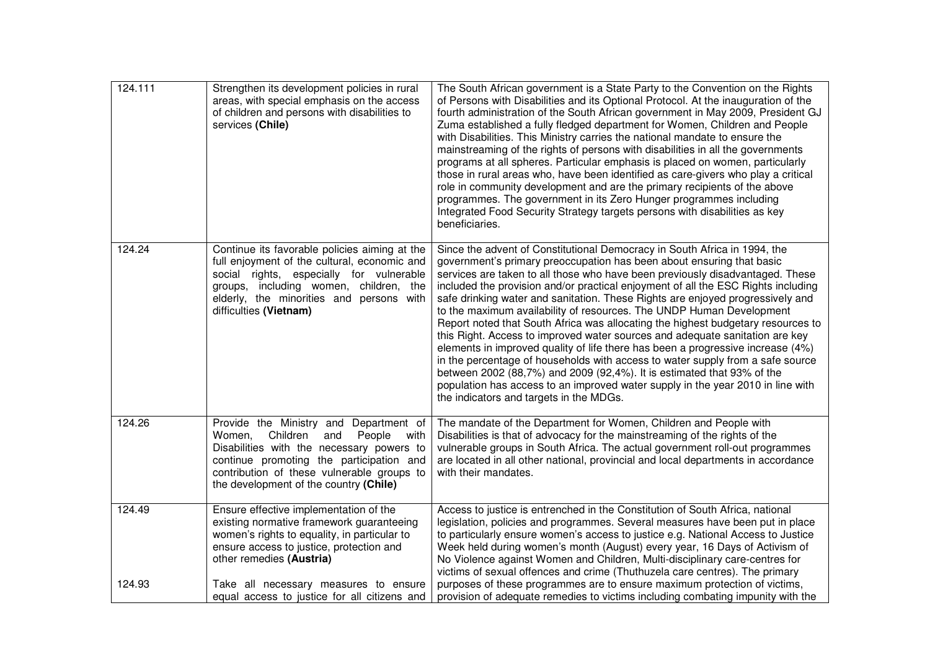| 124.111 | Strengthen its development policies in rural<br>areas, with special emphasis on the access<br>of children and persons with disabilities to<br>services (Chile)                                                                                                         | The South African government is a State Party to the Convention on the Rights<br>of Persons with Disabilities and its Optional Protocol. At the inauguration of the<br>fourth administration of the South African government in May 2009, President GJ<br>Zuma established a fully fledged department for Women, Children and People<br>with Disabilities. This Ministry carries the national mandate to ensure the<br>mainstreaming of the rights of persons with disabilities in all the governments<br>programs at all spheres. Particular emphasis is placed on women, particularly<br>those in rural areas who, have been identified as care-givers who play a critical<br>role in community development and are the primary recipients of the above<br>programmes. The government in its Zero Hunger programmes including<br>Integrated Food Security Strategy targets persons with disabilities as key<br>beneficiaries.                                                                                                     |
|---------|------------------------------------------------------------------------------------------------------------------------------------------------------------------------------------------------------------------------------------------------------------------------|-------------------------------------------------------------------------------------------------------------------------------------------------------------------------------------------------------------------------------------------------------------------------------------------------------------------------------------------------------------------------------------------------------------------------------------------------------------------------------------------------------------------------------------------------------------------------------------------------------------------------------------------------------------------------------------------------------------------------------------------------------------------------------------------------------------------------------------------------------------------------------------------------------------------------------------------------------------------------------------------------------------------------------------|
| 124.24  | Continue its favorable policies aiming at the<br>full enjoyment of the cultural, economic and<br>social rights, especially for vulnerable<br>groups, including women, children, the<br>elderly, the minorities and persons with<br>difficulties (Vietnam)              | Since the advent of Constitutional Democracy in South Africa in 1994, the<br>government's primary preoccupation has been about ensuring that basic<br>services are taken to all those who have been previously disadvantaged. These<br>included the provision and/or practical enjoyment of all the ESC Rights including<br>safe drinking water and sanitation. These Rights are enjoyed progressively and<br>to the maximum availability of resources. The UNDP Human Development<br>Report noted that South Africa was allocating the highest budgetary resources to<br>this Right. Access to improved water sources and adequate sanitation are key<br>elements in improved quality of life there has been a progressive increase (4%)<br>in the percentage of households with access to water supply from a safe source<br>between 2002 (88,7%) and 2009 (92,4%). It is estimated that 93% of the<br>population has access to an improved water supply in the year 2010 in line with<br>the indicators and targets in the MDGs. |
| 124.26  | Provide the Ministry and Department of<br>Children<br>People<br>Women,<br>and<br>with<br>Disabilities with the necessary powers to<br>continue promoting the participation and<br>contribution of these vulnerable groups to<br>the development of the country (Chile) | The mandate of the Department for Women, Children and People with<br>Disabilities is that of advocacy for the mainstreaming of the rights of the<br>vulnerable groups in South Africa. The actual government roll-out programmes<br>are located in all other national, provincial and local departments in accordance<br>with their mandates.                                                                                                                                                                                                                                                                                                                                                                                                                                                                                                                                                                                                                                                                                       |
| 124.49  | Ensure effective implementation of the<br>existing normative framework guaranteeing<br>women's rights to equality, in particular to<br>ensure access to justice, protection and<br>other remedies (Austria)                                                            | Access to justice is entrenched in the Constitution of South Africa, national<br>legislation, policies and programmes. Several measures have been put in place<br>to particularly ensure women's access to justice e.g. National Access to Justice<br>Week held during women's month (August) every year, 16 Days of Activism of<br>No Violence against Women and Children, Multi-disciplinary care-centres for<br>victims of sexual offences and crime (Thuthuzela care centres). The primary                                                                                                                                                                                                                                                                                                                                                                                                                                                                                                                                      |
| 124.93  | Take all necessary measures to ensure<br>equal access to justice for all citizens and                                                                                                                                                                                  | purposes of these programmes are to ensure maximum protection of victims,<br>provision of adequate remedies to victims including combating impunity with the                                                                                                                                                                                                                                                                                                                                                                                                                                                                                                                                                                                                                                                                                                                                                                                                                                                                        |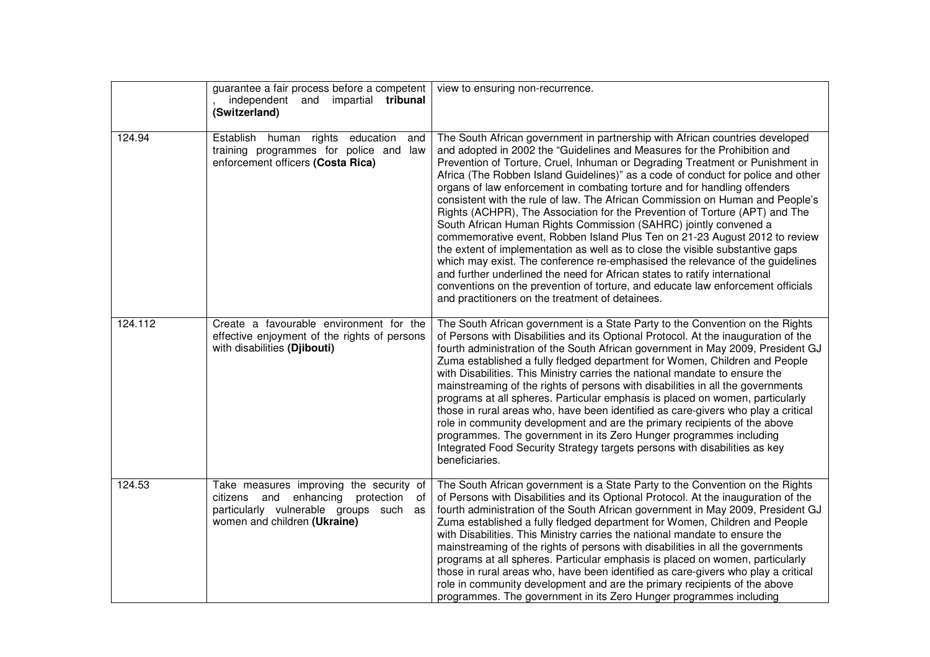|         | guarantee a fair process before a competent<br>independent and impartial tribunal<br>(Switzerland)                                                              | view to ensuring non-recurrence.                                                                                                                                                                                                                                                                                                                                                                                                                                                                                                                                                                                                                                                                                                                                                                                                                                                                                                                                                                                                                                                                                    |
|---------|-----------------------------------------------------------------------------------------------------------------------------------------------------------------|---------------------------------------------------------------------------------------------------------------------------------------------------------------------------------------------------------------------------------------------------------------------------------------------------------------------------------------------------------------------------------------------------------------------------------------------------------------------------------------------------------------------------------------------------------------------------------------------------------------------------------------------------------------------------------------------------------------------------------------------------------------------------------------------------------------------------------------------------------------------------------------------------------------------------------------------------------------------------------------------------------------------------------------------------------------------------------------------------------------------|
| 124.94  | Establish human rights<br>education<br>and<br>training programmes for police and<br>law<br>enforcement officers (Costa Rica)                                    | The South African government in partnership with African countries developed<br>and adopted in 2002 the "Guidelines and Measures for the Prohibition and<br>Prevention of Torture, Cruel, Inhuman or Degrading Treatment or Punishment in<br>Africa (The Robben Island Guidelines)" as a code of conduct for police and other<br>organs of law enforcement in combating torture and for handling offenders<br>consistent with the rule of law. The African Commission on Human and People's<br>Rights (ACHPR), The Association for the Prevention of Torture (APT) and The<br>South African Human Rights Commission (SAHRC) jointly convened a<br>commemorative event, Robben Island Plus Ten on 21-23 August 2012 to review<br>the extent of implementation as well as to close the visible substantive gaps<br>which may exist. The conference re-emphasised the relevance of the guidelines<br>and further underlined the need for African states to ratify international<br>conventions on the prevention of torture, and educate law enforcement officials<br>and practitioners on the treatment of detainees. |
| 124.112 | Create a favourable environment for the<br>effective enjoyment of the rights of persons<br>with disabilities (Djibouti)                                         | The South African government is a State Party to the Convention on the Rights<br>of Persons with Disabilities and its Optional Protocol. At the inauguration of the<br>fourth administration of the South African government in May 2009, President GJ<br>Zuma established a fully fledged department for Women, Children and People<br>with Disabilities. This Ministry carries the national mandate to ensure the<br>mainstreaming of the rights of persons with disabilities in all the governments<br>programs at all spheres. Particular emphasis is placed on women, particularly<br>those in rural areas who, have been identified as care-givers who play a critical<br>role in community development and are the primary recipients of the above<br>programmes. The government in its Zero Hunger programmes including<br>Integrated Food Security Strategy targets persons with disabilities as key<br>beneficiaries.                                                                                                                                                                                     |
| 124.53  | Take measures improving the security of<br>citizens and enhancing protection<br>of<br>particularly vulnerable groups such<br>as<br>women and children (Ukraine) | The South African government is a State Party to the Convention on the Rights<br>of Persons with Disabilities and its Optional Protocol. At the inauguration of the<br>fourth administration of the South African government in May 2009, President GJ<br>Zuma established a fully fledged department for Women, Children and People<br>with Disabilities. This Ministry carries the national mandate to ensure the<br>mainstreaming of the rights of persons with disabilities in all the governments<br>programs at all spheres. Particular emphasis is placed on women, particularly<br>those in rural areas who, have been identified as care-givers who play a critical<br>role in community development and are the primary recipients of the above<br>programmes. The government in its Zero Hunger programmes including                                                                                                                                                                                                                                                                                     |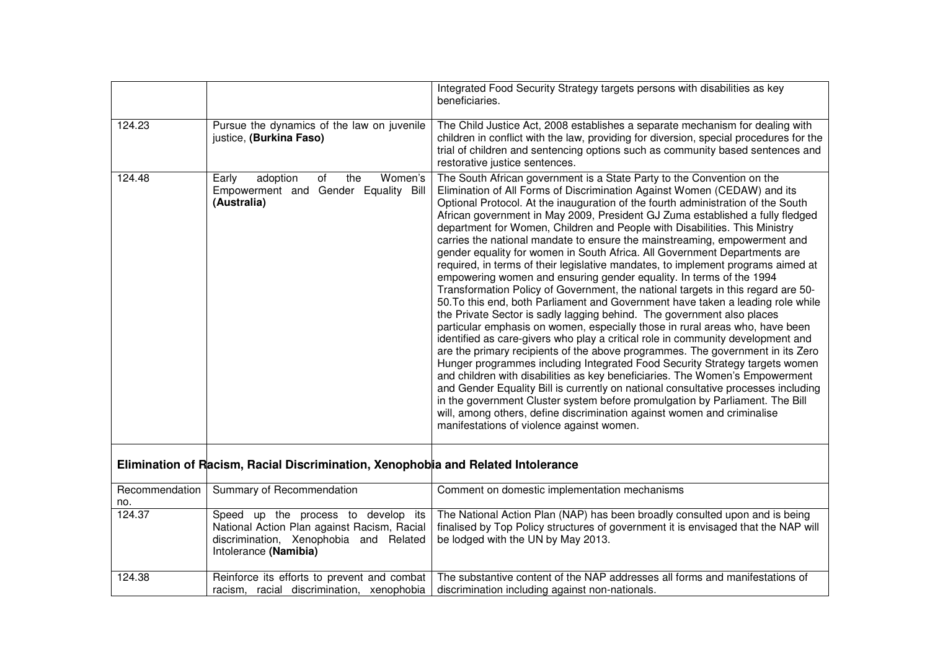|                       |                                                                                                                                                       | Integrated Food Security Strategy targets persons with disabilities as key<br>beneficiaries.                                                                                                                                                                                                                                                                                                                                                                                                                                                                                                                                                                                                                                                                                                                                                                                                                                                                                                                                                                                                                                                                                                                                                                                                                                                                                                                                                                                                                                                                                                                                                                                                  |
|-----------------------|-------------------------------------------------------------------------------------------------------------------------------------------------------|-----------------------------------------------------------------------------------------------------------------------------------------------------------------------------------------------------------------------------------------------------------------------------------------------------------------------------------------------------------------------------------------------------------------------------------------------------------------------------------------------------------------------------------------------------------------------------------------------------------------------------------------------------------------------------------------------------------------------------------------------------------------------------------------------------------------------------------------------------------------------------------------------------------------------------------------------------------------------------------------------------------------------------------------------------------------------------------------------------------------------------------------------------------------------------------------------------------------------------------------------------------------------------------------------------------------------------------------------------------------------------------------------------------------------------------------------------------------------------------------------------------------------------------------------------------------------------------------------------------------------------------------------------------------------------------------------|
| 124.23                | Pursue the dynamics of the law on juvenile<br>justice, (Burkina Faso)                                                                                 | The Child Justice Act, 2008 establishes a separate mechanism for dealing with<br>children in conflict with the law, providing for diversion, special procedures for the<br>trial of children and sentencing options such as community based sentences and<br>restorative justice sentences.                                                                                                                                                                                                                                                                                                                                                                                                                                                                                                                                                                                                                                                                                                                                                                                                                                                                                                                                                                                                                                                                                                                                                                                                                                                                                                                                                                                                   |
| 124.48                | adoption<br>Women's<br>Early<br>of<br>the<br>Empowerment and Gender Equality Bill<br>(Australia)                                                      | The South African government is a State Party to the Convention on the<br>Elimination of All Forms of Discrimination Against Women (CEDAW) and its<br>Optional Protocol. At the inauguration of the fourth administration of the South<br>African government in May 2009, President GJ Zuma established a fully fledged<br>department for Women, Children and People with Disabilities. This Ministry<br>carries the national mandate to ensure the mainstreaming, empowerment and<br>gender equality for women in South Africa. All Government Departments are<br>required, in terms of their legislative mandates, to implement programs aimed at<br>empowering women and ensuring gender equality. In terms of the 1994<br>Transformation Policy of Government, the national targets in this regard are 50-<br>50. To this end, both Parliament and Government have taken a leading role while<br>the Private Sector is sadly lagging behind. The government also places<br>particular emphasis on women, especially those in rural areas who, have been<br>identified as care-givers who play a critical role in community development and<br>are the primary recipients of the above programmes. The government in its Zero<br>Hunger programmes including Integrated Food Security Strategy targets women<br>and children with disabilities as key beneficiaries. The Women's Empowerment<br>and Gender Equality Bill is currently on national consultative processes including<br>in the government Cluster system before promulgation by Parliament. The Bill<br>will, among others, define discrimination against women and criminalise<br>manifestations of violence against women. |
|                       | Elimination of Racism, Racial Discrimination, Xenophobia and Related Intolerance                                                                      |                                                                                                                                                                                                                                                                                                                                                                                                                                                                                                                                                                                                                                                                                                                                                                                                                                                                                                                                                                                                                                                                                                                                                                                                                                                                                                                                                                                                                                                                                                                                                                                                                                                                                               |
| Recommendation<br>no. | Summary of Recommendation                                                                                                                             | Comment on domestic implementation mechanisms                                                                                                                                                                                                                                                                                                                                                                                                                                                                                                                                                                                                                                                                                                                                                                                                                                                                                                                                                                                                                                                                                                                                                                                                                                                                                                                                                                                                                                                                                                                                                                                                                                                 |
| 124.37                | Speed up the process to develop its<br>National Action Plan against Racism, Racial<br>discrimination, Xenophobia and Related<br>Intolerance (Namibia) | The National Action Plan (NAP) has been broadly consulted upon and is being<br>finalised by Top Policy structures of government it is envisaged that the NAP will<br>be lodged with the UN by May 2013.                                                                                                                                                                                                                                                                                                                                                                                                                                                                                                                                                                                                                                                                                                                                                                                                                                                                                                                                                                                                                                                                                                                                                                                                                                                                                                                                                                                                                                                                                       |
| 124.38                | Reinforce its efforts to prevent and combat<br>racism, racial discrimination, xenophobia                                                              | The substantive content of the NAP addresses all forms and manifestations of<br>discrimination including against non-nationals.                                                                                                                                                                                                                                                                                                                                                                                                                                                                                                                                                                                                                                                                                                                                                                                                                                                                                                                                                                                                                                                                                                                                                                                                                                                                                                                                                                                                                                                                                                                                                               |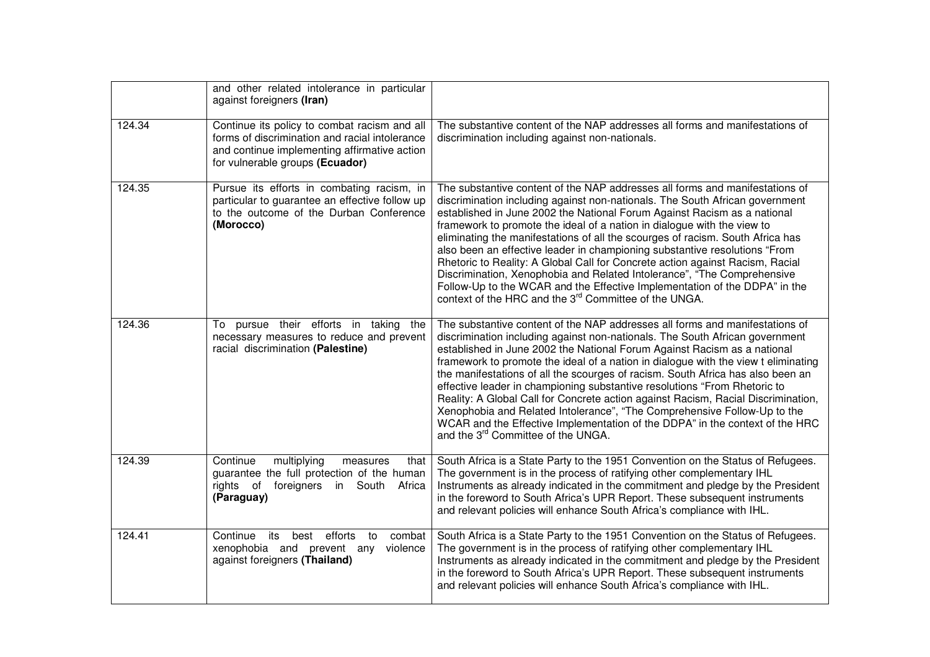|        | and other related intolerance in particular<br>against foreigners (Iran)                                                                                                          |                                                                                                                                                                                                                                                                                                                                                                                                                                                                                                                                                                                                                                                                                                                                                                                                    |
|--------|-----------------------------------------------------------------------------------------------------------------------------------------------------------------------------------|----------------------------------------------------------------------------------------------------------------------------------------------------------------------------------------------------------------------------------------------------------------------------------------------------------------------------------------------------------------------------------------------------------------------------------------------------------------------------------------------------------------------------------------------------------------------------------------------------------------------------------------------------------------------------------------------------------------------------------------------------------------------------------------------------|
| 124.34 | Continue its policy to combat racism and all<br>forms of discrimination and racial intolerance<br>and continue implementing affirmative action<br>for vulnerable groups (Ecuador) | The substantive content of the NAP addresses all forms and manifestations of<br>discrimination including against non-nationals.                                                                                                                                                                                                                                                                                                                                                                                                                                                                                                                                                                                                                                                                    |
| 124.35 | Pursue its efforts in combating racism, in<br>particular to guarantee an effective follow up<br>to the outcome of the Durban Conference<br>(Morocco)                              | The substantive content of the NAP addresses all forms and manifestations of<br>discrimination including against non-nationals. The South African government<br>established in June 2002 the National Forum Against Racism as a national<br>framework to promote the ideal of a nation in dialogue with the view to<br>eliminating the manifestations of all the scourges of racism. South Africa has<br>also been an effective leader in championing substantive resolutions "From<br>Rhetoric to Reality: A Global Call for Concrete action against Racism, Racial<br>Discrimination, Xenophobia and Related Intolerance", "The Comprehensive<br>Follow-Up to the WCAR and the Effective Implementation of the DDPA" in the<br>context of the HRC and the 3 <sup>rd</sup> Committee of the UNGA. |
| 124.36 | To pursue their efforts in taking the<br>necessary measures to reduce and prevent<br>racial discrimination (Palestine)                                                            | The substantive content of the NAP addresses all forms and manifestations of<br>discrimination including against non-nationals. The South African government<br>established in June 2002 the National Forum Against Racism as a national<br>framework to promote the ideal of a nation in dialogue with the view t eliminating<br>the manifestations of all the scourges of racism. South Africa has also been an<br>effective leader in championing substantive resolutions "From Rhetoric to<br>Reality: A Global Call for Concrete action against Racism, Racial Discrimination,<br>Xenophobia and Related Intolerance", "The Comprehensive Follow-Up to the<br>WCAR and the Effective Implementation of the DDPA" in the context of the HRC<br>and the 3 <sup>rd</sup> Committee of the UNGA.  |
| 124.39 | Continue<br>multiplying<br>measures<br>that<br>guarantee the full protection of the human<br>rights of<br>foreigners<br>South<br>Africa<br>in.<br>(Paraguay)                      | South Africa is a State Party to the 1951 Convention on the Status of Refugees.<br>The government is in the process of ratifying other complementary IHL<br>Instruments as already indicated in the commitment and pledge by the President<br>in the foreword to South Africa's UPR Report. These subsequent instruments<br>and relevant policies will enhance South Africa's compliance with IHL.                                                                                                                                                                                                                                                                                                                                                                                                 |
| 124.41 | efforts<br>Continue<br>combat<br>its<br>best<br>to<br>xenophobia and prevent any<br>violence<br>against foreigners (Thailand)                                                     | South Africa is a State Party to the 1951 Convention on the Status of Refugees.<br>The government is in the process of ratifying other complementary IHL<br>Instruments as already indicated in the commitment and pledge by the President<br>in the foreword to South Africa's UPR Report. These subsequent instruments<br>and relevant policies will enhance South Africa's compliance with IHL.                                                                                                                                                                                                                                                                                                                                                                                                 |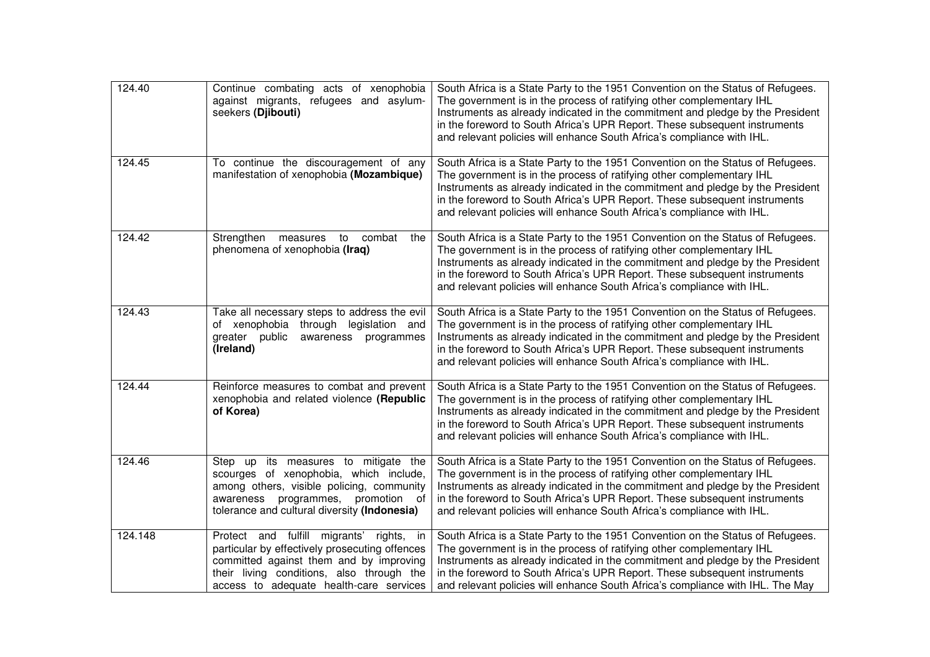| 124.40  | Continue combating acts of xenophobia<br>against migrants, refugees and asylum-<br>seekers (Djibouti)                                                                                                                               | South Africa is a State Party to the 1951 Convention on the Status of Refugees.<br>The government is in the process of ratifying other complementary IHL<br>Instruments as already indicated in the commitment and pledge by the President<br>in the foreword to South Africa's UPR Report. These subsequent instruments<br>and relevant policies will enhance South Africa's compliance with IHL.         |
|---------|-------------------------------------------------------------------------------------------------------------------------------------------------------------------------------------------------------------------------------------|------------------------------------------------------------------------------------------------------------------------------------------------------------------------------------------------------------------------------------------------------------------------------------------------------------------------------------------------------------------------------------------------------------|
| 124.45  | To continue the discouragement of any<br>manifestation of xenophobia (Mozambique)                                                                                                                                                   | South Africa is a State Party to the 1951 Convention on the Status of Refugees.<br>The government is in the process of ratifying other complementary IHL<br>Instruments as already indicated in the commitment and pledge by the President<br>in the foreword to South Africa's UPR Report. These subsequent instruments<br>and relevant policies will enhance South Africa's compliance with IHL.         |
| 124.42  | Strengthen measures<br>combat<br>to<br>the<br>phenomena of xenophobia (Iraq)                                                                                                                                                        | South Africa is a State Party to the 1951 Convention on the Status of Refugees.<br>The government is in the process of ratifying other complementary IHL<br>Instruments as already indicated in the commitment and pledge by the President<br>in the foreword to South Africa's UPR Report. These subsequent instruments<br>and relevant policies will enhance South Africa's compliance with IHL.         |
| 124.43  | Take all necessary steps to address the evil<br>of xenophobia through legislation and<br>greater public<br>awareness programmes<br>(Ireland)                                                                                        | South Africa is a State Party to the 1951 Convention on the Status of Refugees.<br>The government is in the process of ratifying other complementary IHL<br>Instruments as already indicated in the commitment and pledge by the President<br>in the foreword to South Africa's UPR Report. These subsequent instruments<br>and relevant policies will enhance South Africa's compliance with IHL.         |
| 124.44  | Reinforce measures to combat and prevent<br>xenophobia and related violence (Republic<br>of Korea)                                                                                                                                  | South Africa is a State Party to the 1951 Convention on the Status of Refugees.<br>The government is in the process of ratifying other complementary IHL<br>Instruments as already indicated in the commitment and pledge by the President<br>in the foreword to South Africa's UPR Report. These subsequent instruments<br>and relevant policies will enhance South Africa's compliance with IHL.         |
| 124.46  | Step up its measures to mitigate the<br>scourges of xenophobia, which include,<br>among others, visible policing, community<br>programmes,<br>promotion of<br>awareness<br>tolerance and cultural diversity (Indonesia)             | South Africa is a State Party to the 1951 Convention on the Status of Refugees.<br>The government is in the process of ratifying other complementary IHL<br>Instruments as already indicated in the commitment and pledge by the President<br>in the foreword to South Africa's UPR Report. These subsequent instruments<br>and relevant policies will enhance South Africa's compliance with IHL.         |
| 124.148 | Protect and fulfill<br>migrants'<br>rights, in<br>particular by effectively prosecuting offences<br>committed against them and by improving<br>their living conditions, also through the<br>access to adequate health-care services | South Africa is a State Party to the 1951 Convention on the Status of Refugees.<br>The government is in the process of ratifying other complementary IHL<br>Instruments as already indicated in the commitment and pledge by the President<br>in the foreword to South Africa's UPR Report. These subsequent instruments<br>and relevant policies will enhance South Africa's compliance with IHL. The May |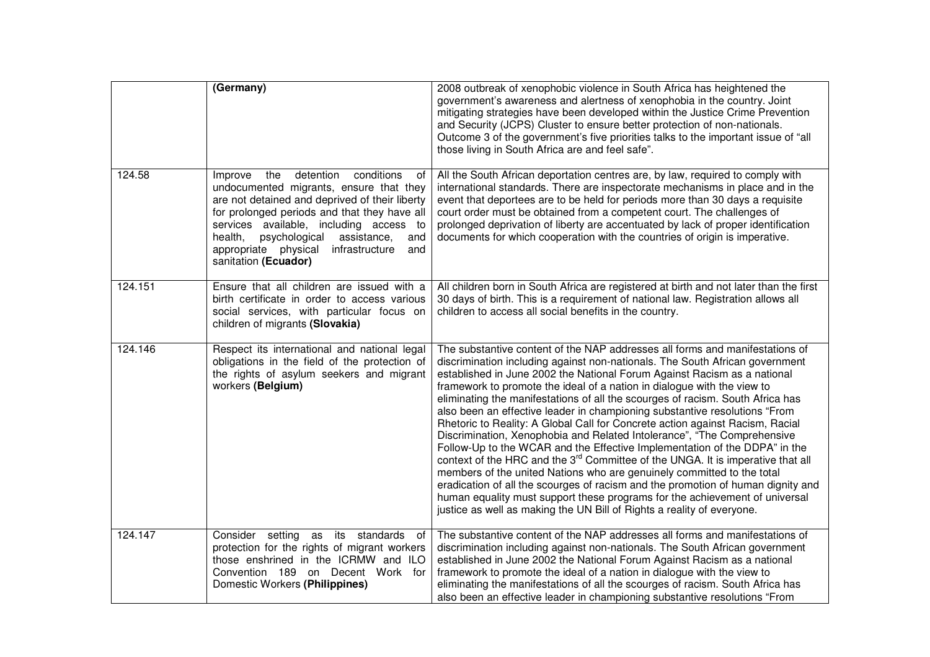|         | (Germany)                                                                                                                                                                                                                                                                                                                                                          | 2008 outbreak of xenophobic violence in South Africa has heightened the<br>government's awareness and alertness of xenophobia in the country. Joint<br>mitigating strategies have been developed within the Justice Crime Prevention<br>and Security (JCPS) Cluster to ensure better protection of non-nationals.<br>Outcome 3 of the government's five priorities talks to the important issue of "all<br>those living in South Africa are and feel safe".                                                                                                                                                                                                                                                                                                                                                                                                                                                                                                                                                                                                                                                                                         |
|---------|--------------------------------------------------------------------------------------------------------------------------------------------------------------------------------------------------------------------------------------------------------------------------------------------------------------------------------------------------------------------|-----------------------------------------------------------------------------------------------------------------------------------------------------------------------------------------------------------------------------------------------------------------------------------------------------------------------------------------------------------------------------------------------------------------------------------------------------------------------------------------------------------------------------------------------------------------------------------------------------------------------------------------------------------------------------------------------------------------------------------------------------------------------------------------------------------------------------------------------------------------------------------------------------------------------------------------------------------------------------------------------------------------------------------------------------------------------------------------------------------------------------------------------------|
| 124.58  | the<br>detention<br>conditions<br>Improve<br>0f<br>undocumented migrants, ensure that they<br>are not detained and deprived of their liberty<br>for prolonged periods and that they have all<br>services available, including access to<br>health,<br>psychological<br>assistance,<br>and<br>appropriate physical<br>infrastructure<br>and<br>sanitation (Ecuador) | All the South African deportation centres are, by law, required to comply with<br>international standards. There are inspectorate mechanisms in place and in the<br>event that deportees are to be held for periods more than 30 days a requisite<br>court order must be obtained from a competent court. The challenges of<br>prolonged deprivation of liberty are accentuated by lack of proper identification<br>documents for which cooperation with the countries of origin is imperative.                                                                                                                                                                                                                                                                                                                                                                                                                                                                                                                                                                                                                                                     |
| 124.151 | Ensure that all children are issued with a<br>birth certificate in order to access various<br>social services, with particular focus on<br>children of migrants (Slovakia)                                                                                                                                                                                         | All children born in South Africa are registered at birth and not later than the first<br>30 days of birth. This is a requirement of national law. Registration allows all<br>children to access all social benefits in the country.                                                                                                                                                                                                                                                                                                                                                                                                                                                                                                                                                                                                                                                                                                                                                                                                                                                                                                                |
| 124.146 | Respect its international and national legal<br>obligations in the field of the protection of<br>the rights of asylum seekers and migrant<br>workers (Belgium)                                                                                                                                                                                                     | The substantive content of the NAP addresses all forms and manifestations of<br>discrimination including against non-nationals. The South African government<br>established in June 2002 the National Forum Against Racism as a national<br>framework to promote the ideal of a nation in dialogue with the view to<br>eliminating the manifestations of all the scourges of racism. South Africa has<br>also been an effective leader in championing substantive resolutions "From<br>Rhetoric to Reality: A Global Call for Concrete action against Racism, Racial<br>Discrimination, Xenophobia and Related Intolerance", "The Comprehensive<br>Follow-Up to the WCAR and the Effective Implementation of the DDPA" in the<br>context of the HRC and the 3 <sup>rd</sup> Committee of the UNGA. It is imperative that all<br>members of the united Nations who are genuinely committed to the total<br>eradication of all the scourges of racism and the promotion of human dignity and<br>human equality must support these programs for the achievement of universal<br>justice as well as making the UN Bill of Rights a reality of everyone. |
| 124.147 | Consider setting as its standards<br>of<br>protection for the rights of migrant workers<br>those enshrined in the ICRMW and ILO<br>Convention 189 on Decent Work for<br>Domestic Workers (Philippines)                                                                                                                                                             | The substantive content of the NAP addresses all forms and manifestations of<br>discrimination including against non-nationals. The South African government<br>established in June 2002 the National Forum Against Racism as a national<br>framework to promote the ideal of a nation in dialogue with the view to<br>eliminating the manifestations of all the scourges of racism. South Africa has<br>also been an effective leader in championing substantive resolutions "From                                                                                                                                                                                                                                                                                                                                                                                                                                                                                                                                                                                                                                                                 |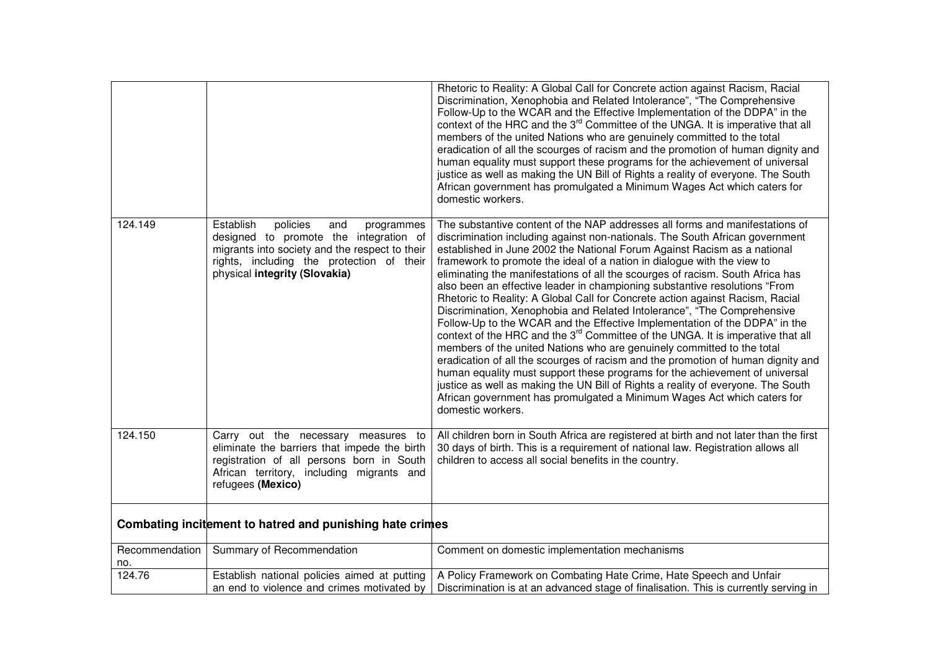|                       |                                                                                                                                                                                                                      | Rhetoric to Reality: A Global Call for Concrete action against Racism, Racial<br>Discrimination, Xenophobia and Related Intolerance", "The Comprehensive<br>Follow-Up to the WCAR and the Effective Implementation of the DDPA" in the<br>context of the HRC and the 3 <sup>rd</sup> Committee of the UNGA. It is imperative that all<br>members of the united Nations who are genuinely committed to the total<br>eradication of all the scourges of racism and the promotion of human dignity and<br>human equality must support these programs for the achievement of universal<br>justice as well as making the UN Bill of Rights a reality of everyone. The South<br>African government has promulgated a Minimum Wages Act which caters for<br>domestic workers.                                                                                                                                                                                                                                                                                                                                                                                                                                                                                        |
|-----------------------|----------------------------------------------------------------------------------------------------------------------------------------------------------------------------------------------------------------------|---------------------------------------------------------------------------------------------------------------------------------------------------------------------------------------------------------------------------------------------------------------------------------------------------------------------------------------------------------------------------------------------------------------------------------------------------------------------------------------------------------------------------------------------------------------------------------------------------------------------------------------------------------------------------------------------------------------------------------------------------------------------------------------------------------------------------------------------------------------------------------------------------------------------------------------------------------------------------------------------------------------------------------------------------------------------------------------------------------------------------------------------------------------------------------------------------------------------------------------------------------------|
| 124.149               | Establish<br>policies<br>and<br>programmes<br>designed to promote the integration of<br>migrants into society and the respect to their<br>rights, including the protection of their<br>physical integrity (Slovakia) | The substantive content of the NAP addresses all forms and manifestations of<br>discrimination including against non-nationals. The South African government<br>established in June 2002 the National Forum Against Racism as a national<br>framework to promote the ideal of a nation in dialogue with the view to<br>eliminating the manifestations of all the scourges of racism. South Africa has<br>also been an effective leader in championing substantive resolutions "From<br>Rhetoric to Reality: A Global Call for Concrete action against Racism, Racial<br>Discrimination, Xenophobia and Related Intolerance", "The Comprehensive<br>Follow-Up to the WCAR and the Effective Implementation of the DDPA" in the<br>context of the HRC and the 3 <sup>rd</sup> Committee of the UNGA. It is imperative that all<br>members of the united Nations who are genuinely committed to the total<br>eradication of all the scourges of racism and the promotion of human dignity and<br>human equality must support these programs for the achievement of universal<br>justice as well as making the UN Bill of Rights a reality of everyone. The South<br>African government has promulgated a Minimum Wages Act which caters for<br>domestic workers. |
| 124.150               | Carry out the necessary measures to<br>eliminate the barriers that impede the birth<br>registration of all persons born in South<br>African territory, including migrants and<br>refugees (Mexico)                   | All children born in South Africa are registered at birth and not later than the first<br>30 days of birth. This is a requirement of national law. Registration allows all<br>children to access all social benefits in the country.                                                                                                                                                                                                                                                                                                                                                                                                                                                                                                                                                                                                                                                                                                                                                                                                                                                                                                                                                                                                                          |
|                       | Combating incitement to hatred and punishing hate crimes                                                                                                                                                             |                                                                                                                                                                                                                                                                                                                                                                                                                                                                                                                                                                                                                                                                                                                                                                                                                                                                                                                                                                                                                                                                                                                                                                                                                                                               |
| Recommendation<br>no. | Summary of Recommendation                                                                                                                                                                                            | Comment on domestic implementation mechanisms                                                                                                                                                                                                                                                                                                                                                                                                                                                                                                                                                                                                                                                                                                                                                                                                                                                                                                                                                                                                                                                                                                                                                                                                                 |
| 124.76                | Establish national policies aimed at putting<br>an end to violence and crimes motivated by                                                                                                                           | A Policy Framework on Combating Hate Crime, Hate Speech and Unfair<br>Discrimination is at an advanced stage of finalisation. This is currently serving in                                                                                                                                                                                                                                                                                                                                                                                                                                                                                                                                                                                                                                                                                                                                                                                                                                                                                                                                                                                                                                                                                                    |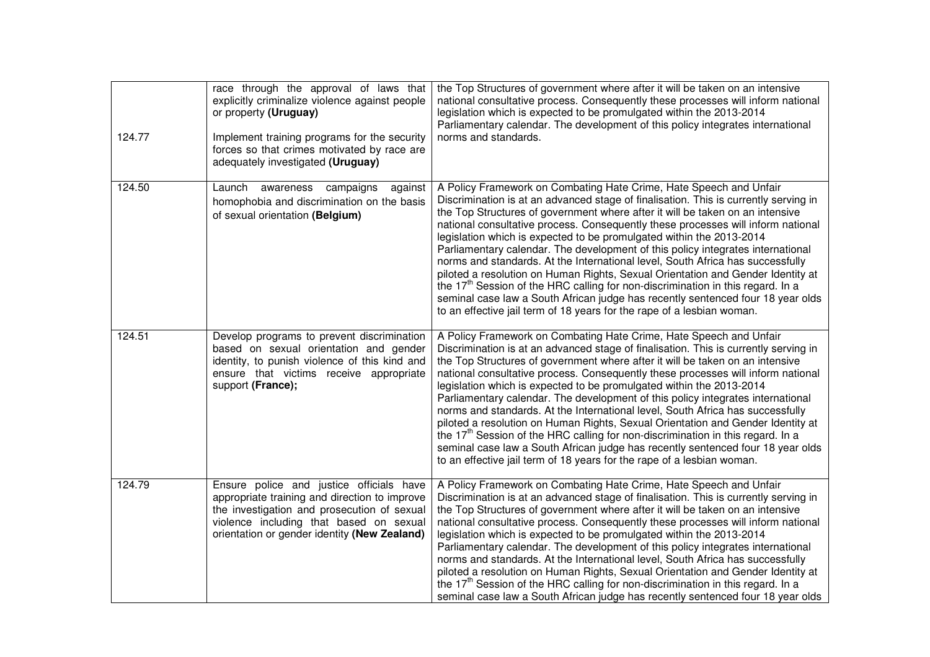| 124.77 | race through the approval of laws that<br>explicitly criminalize violence against people<br>or property (Uruguay)<br>Implement training programs for the security<br>forces so that crimes motivated by race are<br>adequately investigated (Uruguay) | the Top Structures of government where after it will be taken on an intensive<br>national consultative process. Consequently these processes will inform national<br>legislation which is expected to be promulgated within the 2013-2014<br>Parliamentary calendar. The development of this policy integrates international<br>norms and standards.                                                                                                                                                                                                                                                                                                                                                                                                                                                                                                                                                                        |
|--------|-------------------------------------------------------------------------------------------------------------------------------------------------------------------------------------------------------------------------------------------------------|-----------------------------------------------------------------------------------------------------------------------------------------------------------------------------------------------------------------------------------------------------------------------------------------------------------------------------------------------------------------------------------------------------------------------------------------------------------------------------------------------------------------------------------------------------------------------------------------------------------------------------------------------------------------------------------------------------------------------------------------------------------------------------------------------------------------------------------------------------------------------------------------------------------------------------|
| 124.50 | Launch<br>awareness campaigns<br>against<br>homophobia and discrimination on the basis<br>of sexual orientation (Belgium)                                                                                                                             | A Policy Framework on Combating Hate Crime, Hate Speech and Unfair<br>Discrimination is at an advanced stage of finalisation. This is currently serving in<br>the Top Structures of government where after it will be taken on an intensive<br>national consultative process. Consequently these processes will inform national<br>legislation which is expected to be promulgated within the 2013-2014<br>Parliamentary calendar. The development of this policy integrates international<br>norms and standards. At the International level, South Africa has successfully<br>piloted a resolution on Human Rights, Sexual Orientation and Gender Identity at<br>the 17 <sup>th</sup> Session of the HRC calling for non-discrimination in this regard. In a<br>seminal case law a South African judge has recently sentenced four 18 year olds<br>to an effective jail term of 18 years for the rape of a lesbian woman. |
| 124.51 | Develop programs to prevent discrimination<br>based on sexual orientation and gender<br>identity, to punish violence of this kind and<br>ensure that victims receive appropriate<br>support (France);                                                 | A Policy Framework on Combating Hate Crime, Hate Speech and Unfair<br>Discrimination is at an advanced stage of finalisation. This is currently serving in<br>the Top Structures of government where after it will be taken on an intensive<br>national consultative process. Consequently these processes will inform national<br>legislation which is expected to be promulgated within the 2013-2014<br>Parliamentary calendar. The development of this policy integrates international<br>norms and standards. At the International level, South Africa has successfully<br>piloted a resolution on Human Rights, Sexual Orientation and Gender Identity at<br>the 17 <sup>th</sup> Session of the HRC calling for non-discrimination in this regard. In a<br>seminal case law a South African judge has recently sentenced four 18 year olds<br>to an effective jail term of 18 years for the rape of a lesbian woman. |
| 124.79 | Ensure police and justice officials have<br>appropriate training and direction to improve<br>the investigation and prosecution of sexual<br>violence including that based on sexual<br>orientation or gender identity (New Zealand)                   | A Policy Framework on Combating Hate Crime, Hate Speech and Unfair<br>Discrimination is at an advanced stage of finalisation. This is currently serving in<br>the Top Structures of government where after it will be taken on an intensive<br>national consultative process. Consequently these processes will inform national<br>legislation which is expected to be promulgated within the 2013-2014<br>Parliamentary calendar. The development of this policy integrates international<br>norms and standards. At the International level, South Africa has successfully<br>piloted a resolution on Human Rights, Sexual Orientation and Gender Identity at<br>the 17 <sup>th</sup> Session of the HRC calling for non-discrimination in this regard. In a<br>seminal case law a South African judge has recently sentenced four 18 year olds                                                                           |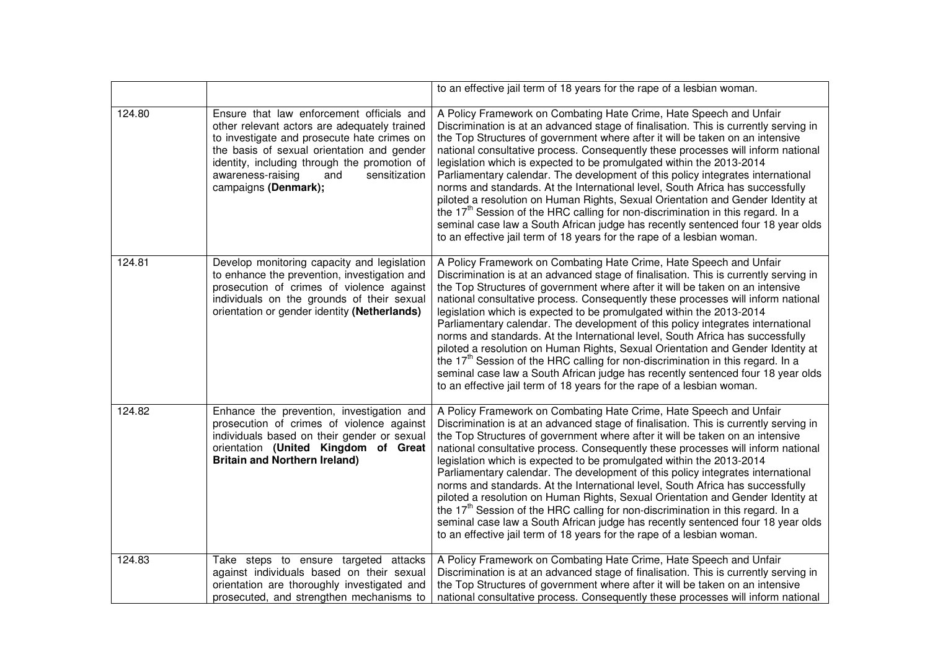|        |                                                                                                                                                                                                                                                                                                             | to an effective jail term of 18 years for the rape of a lesbian woman.                                                                                                                                                                                                                                                                                                                                                                                                                                                                                                                                                                                                                                                                                                                                                                                                                                                      |
|--------|-------------------------------------------------------------------------------------------------------------------------------------------------------------------------------------------------------------------------------------------------------------------------------------------------------------|-----------------------------------------------------------------------------------------------------------------------------------------------------------------------------------------------------------------------------------------------------------------------------------------------------------------------------------------------------------------------------------------------------------------------------------------------------------------------------------------------------------------------------------------------------------------------------------------------------------------------------------------------------------------------------------------------------------------------------------------------------------------------------------------------------------------------------------------------------------------------------------------------------------------------------|
| 124.80 | Ensure that law enforcement officials and<br>other relevant actors are adequately trained<br>to investigate and prosecute hate crimes on<br>the basis of sexual orientation and gender<br>identity, including through the promotion of<br>sensitization<br>awareness-raising<br>and<br>campaigns (Denmark); | A Policy Framework on Combating Hate Crime, Hate Speech and Unfair<br>Discrimination is at an advanced stage of finalisation. This is currently serving in<br>the Top Structures of government where after it will be taken on an intensive<br>national consultative process. Consequently these processes will inform national<br>legislation which is expected to be promulgated within the 2013-2014<br>Parliamentary calendar. The development of this policy integrates international<br>norms and standards. At the International level, South Africa has successfully<br>piloted a resolution on Human Rights, Sexual Orientation and Gender Identity at<br>the 17 <sup>th</sup> Session of the HRC calling for non-discrimination in this regard. In a<br>seminal case law a South African judge has recently sentenced four 18 year olds<br>to an effective jail term of 18 years for the rape of a lesbian woman. |
| 124.81 | Develop monitoring capacity and legislation<br>to enhance the prevention, investigation and<br>prosecution of crimes of violence against<br>individuals on the grounds of their sexual<br>orientation or gender identity (Netherlands)                                                                      | A Policy Framework on Combating Hate Crime, Hate Speech and Unfair<br>Discrimination is at an advanced stage of finalisation. This is currently serving in<br>the Top Structures of government where after it will be taken on an intensive<br>national consultative process. Consequently these processes will inform national<br>legislation which is expected to be promulgated within the 2013-2014<br>Parliamentary calendar. The development of this policy integrates international<br>norms and standards. At the International level, South Africa has successfully<br>piloted a resolution on Human Rights, Sexual Orientation and Gender Identity at<br>the 17 <sup>th</sup> Session of the HRC calling for non-discrimination in this regard. In a<br>seminal case law a South African judge has recently sentenced four 18 year olds<br>to an effective jail term of 18 years for the rape of a lesbian woman. |
| 124.82 | Enhance the prevention, investigation and<br>prosecution of crimes of violence against<br>individuals based on their gender or sexual<br>orientation (United Kingdom of Great<br><b>Britain and Northern Ireland)</b>                                                                                       | A Policy Framework on Combating Hate Crime, Hate Speech and Unfair<br>Discrimination is at an advanced stage of finalisation. This is currently serving in<br>the Top Structures of government where after it will be taken on an intensive<br>national consultative process. Consequently these processes will inform national<br>legislation which is expected to be promulgated within the 2013-2014<br>Parliamentary calendar. The development of this policy integrates international<br>norms and standards. At the International level, South Africa has successfully<br>piloted a resolution on Human Rights, Sexual Orientation and Gender Identity at<br>the 17 <sup>th</sup> Session of the HRC calling for non-discrimination in this regard. In a<br>seminal case law a South African judge has recently sentenced four 18 year olds<br>to an effective jail term of 18 years for the rape of a lesbian woman. |
| 124.83 | Take steps to ensure targeted attacks<br>against individuals based on their sexual<br>orientation are thoroughly investigated and<br>prosecuted, and strengthen mechanisms to                                                                                                                               | A Policy Framework on Combating Hate Crime, Hate Speech and Unfair<br>Discrimination is at an advanced stage of finalisation. This is currently serving in<br>the Top Structures of government where after it will be taken on an intensive<br>national consultative process. Consequently these processes will inform national                                                                                                                                                                                                                                                                                                                                                                                                                                                                                                                                                                                             |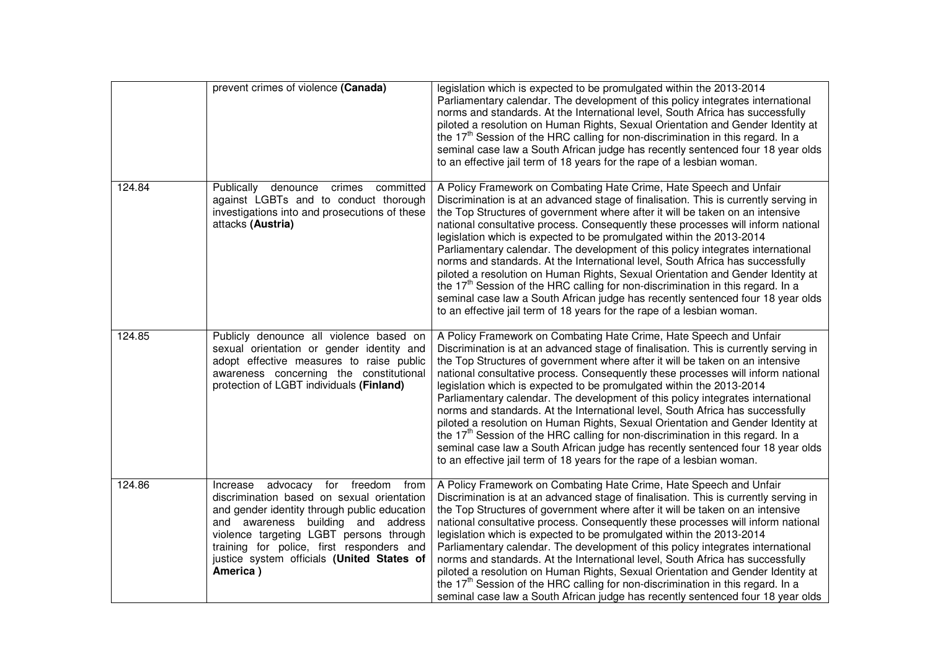|        | prevent crimes of violence (Canada)                                                                                                                                                                                                                                                                                                  | legislation which is expected to be promulgated within the 2013-2014<br>Parliamentary calendar. The development of this policy integrates international<br>norms and standards. At the International level, South Africa has successfully<br>piloted a resolution on Human Rights, Sexual Orientation and Gender Identity at<br>the 17 <sup>th</sup> Session of the HRC calling for non-discrimination in this regard. In a<br>seminal case law a South African judge has recently sentenced four 18 year olds<br>to an effective jail term of 18 years for the rape of a lesbian woman.                                                                                                                                                                                                                                                                                                                                    |
|--------|--------------------------------------------------------------------------------------------------------------------------------------------------------------------------------------------------------------------------------------------------------------------------------------------------------------------------------------|-----------------------------------------------------------------------------------------------------------------------------------------------------------------------------------------------------------------------------------------------------------------------------------------------------------------------------------------------------------------------------------------------------------------------------------------------------------------------------------------------------------------------------------------------------------------------------------------------------------------------------------------------------------------------------------------------------------------------------------------------------------------------------------------------------------------------------------------------------------------------------------------------------------------------------|
| 124.84 | Publically denounce<br>crimes<br>committed<br>against LGBTs and to conduct thorough<br>investigations into and prosecutions of these<br>attacks (Austria)                                                                                                                                                                            | A Policy Framework on Combating Hate Crime, Hate Speech and Unfair<br>Discrimination is at an advanced stage of finalisation. This is currently serving in<br>the Top Structures of government where after it will be taken on an intensive<br>national consultative process. Consequently these processes will inform national<br>legislation which is expected to be promulgated within the 2013-2014<br>Parliamentary calendar. The development of this policy integrates international<br>norms and standards. At the International level, South Africa has successfully<br>piloted a resolution on Human Rights, Sexual Orientation and Gender Identity at<br>the 17 <sup>th</sup> Session of the HRC calling for non-discrimination in this regard. In a<br>seminal case law a South African judge has recently sentenced four 18 year olds<br>to an effective jail term of 18 years for the rape of a lesbian woman. |
| 124.85 | Publicly denounce all violence based on<br>sexual orientation or gender identity and<br>adopt effective measures to raise public<br>awareness concerning the constitutional<br>protection of LGBT individuals (Finland)                                                                                                              | A Policy Framework on Combating Hate Crime, Hate Speech and Unfair<br>Discrimination is at an advanced stage of finalisation. This is currently serving in<br>the Top Structures of government where after it will be taken on an intensive<br>national consultative process. Consequently these processes will inform national<br>legislation which is expected to be promulgated within the 2013-2014<br>Parliamentary calendar. The development of this policy integrates international<br>norms and standards. At the International level, South Africa has successfully<br>piloted a resolution on Human Rights, Sexual Orientation and Gender Identity at<br>the 17 <sup>th</sup> Session of the HRC calling for non-discrimination in this regard. In a<br>seminal case law a South African judge has recently sentenced four 18 year olds<br>to an effective jail term of 18 years for the rape of a lesbian woman. |
| 124.86 | for<br>freedom<br>Increase<br>advocacy<br>from<br>discrimination based on sexual orientation<br>and gender identity through public education<br>and awareness building and address<br>violence targeting LGBT persons through<br>training for police, first responders and<br>justice system officials (United States of<br>America) | A Policy Framework on Combating Hate Crime, Hate Speech and Unfair<br>Discrimination is at an advanced stage of finalisation. This is currently serving in<br>the Top Structures of government where after it will be taken on an intensive<br>national consultative process. Consequently these processes will inform national<br>legislation which is expected to be promulgated within the 2013-2014<br>Parliamentary calendar. The development of this policy integrates international<br>norms and standards. At the International level, South Africa has successfully<br>piloted a resolution on Human Rights, Sexual Orientation and Gender Identity at<br>the 17 <sup>th</sup> Session of the HRC calling for non-discrimination in this regard. In a<br>seminal case law a South African judge has recently sentenced four 18 year olds                                                                           |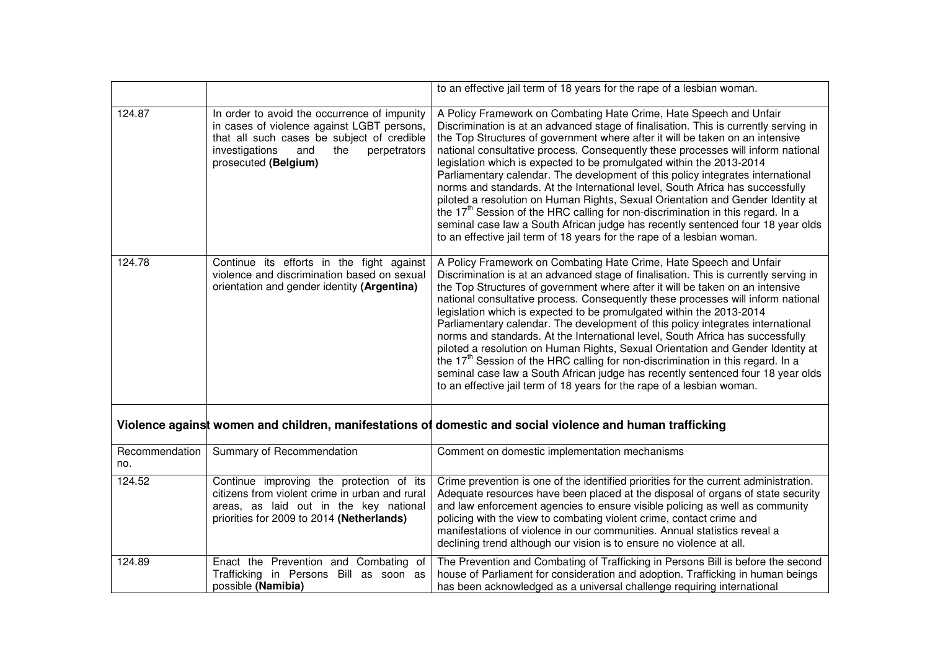|                       |                                                                                                                                                                                                                  | to an effective jail term of 18 years for the rape of a lesbian woman.                                                                                                                                                                                                                                                                                                                                                                                                                                                                                                                                                                                                                                                                                                                                                                                                                                                      |
|-----------------------|------------------------------------------------------------------------------------------------------------------------------------------------------------------------------------------------------------------|-----------------------------------------------------------------------------------------------------------------------------------------------------------------------------------------------------------------------------------------------------------------------------------------------------------------------------------------------------------------------------------------------------------------------------------------------------------------------------------------------------------------------------------------------------------------------------------------------------------------------------------------------------------------------------------------------------------------------------------------------------------------------------------------------------------------------------------------------------------------------------------------------------------------------------|
| 124.87                | In order to avoid the occurrence of impunity<br>in cases of violence against LGBT persons,<br>that all such cases be subject of credible<br>investigations<br>and<br>the<br>perpetrators<br>prosecuted (Belgium) | A Policy Framework on Combating Hate Crime, Hate Speech and Unfair<br>Discrimination is at an advanced stage of finalisation. This is currently serving in<br>the Top Structures of government where after it will be taken on an intensive<br>national consultative process. Consequently these processes will inform national<br>legislation which is expected to be promulgated within the 2013-2014<br>Parliamentary calendar. The development of this policy integrates international<br>norms and standards. At the International level, South Africa has successfully<br>piloted a resolution on Human Rights, Sexual Orientation and Gender Identity at<br>the 17 <sup>th</sup> Session of the HRC calling for non-discrimination in this regard. In a<br>seminal case law a South African judge has recently sentenced four 18 year olds<br>to an effective jail term of 18 years for the rape of a lesbian woman. |
| 124.78                | Continue its efforts in the fight against<br>violence and discrimination based on sexual<br>orientation and gender identity (Argentina)                                                                          | A Policy Framework on Combating Hate Crime, Hate Speech and Unfair<br>Discrimination is at an advanced stage of finalisation. This is currently serving in<br>the Top Structures of government where after it will be taken on an intensive<br>national consultative process. Consequently these processes will inform national<br>legislation which is expected to be promulgated within the 2013-2014<br>Parliamentary calendar. The development of this policy integrates international<br>norms and standards. At the International level, South Africa has successfully<br>piloted a resolution on Human Rights, Sexual Orientation and Gender Identity at<br>the 17 <sup>th</sup> Session of the HRC calling for non-discrimination in this regard. In a<br>seminal case law a South African judge has recently sentenced four 18 year olds<br>to an effective jail term of 18 years for the rape of a lesbian woman. |
|                       |                                                                                                                                                                                                                  | Violence against women and children, manifestations of domestic and social violence and human trafficking                                                                                                                                                                                                                                                                                                                                                                                                                                                                                                                                                                                                                                                                                                                                                                                                                   |
| Recommendation<br>no. | Summary of Recommendation                                                                                                                                                                                        | Comment on domestic implementation mechanisms                                                                                                                                                                                                                                                                                                                                                                                                                                                                                                                                                                                                                                                                                                                                                                                                                                                                               |
| 124.52                | Continue improving the protection of its<br>citizens from violent crime in urban and rural<br>areas, as laid out in the key national<br>priorities for 2009 to 2014 (Netherlands)                                | Crime prevention is one of the identified priorities for the current administration.<br>Adequate resources have been placed at the disposal of organs of state security<br>and law enforcement agencies to ensure visible policing as well as community<br>policing with the view to combating violent crime, contact crime and<br>manifestations of violence in our communities. Annual statistics reveal a<br>declining trend although our vision is to ensure no violence at all.                                                                                                                                                                                                                                                                                                                                                                                                                                        |
| 124.89                | Enact the Prevention and Combating of<br>Trafficking in Persons Bill as soon as<br>possible (Namibia)                                                                                                            | The Prevention and Combating of Trafficking in Persons Bill is before the second<br>house of Parliament for consideration and adoption. Trafficking in human beings<br>has been acknowledged as a universal challenge requiring international                                                                                                                                                                                                                                                                                                                                                                                                                                                                                                                                                                                                                                                                               |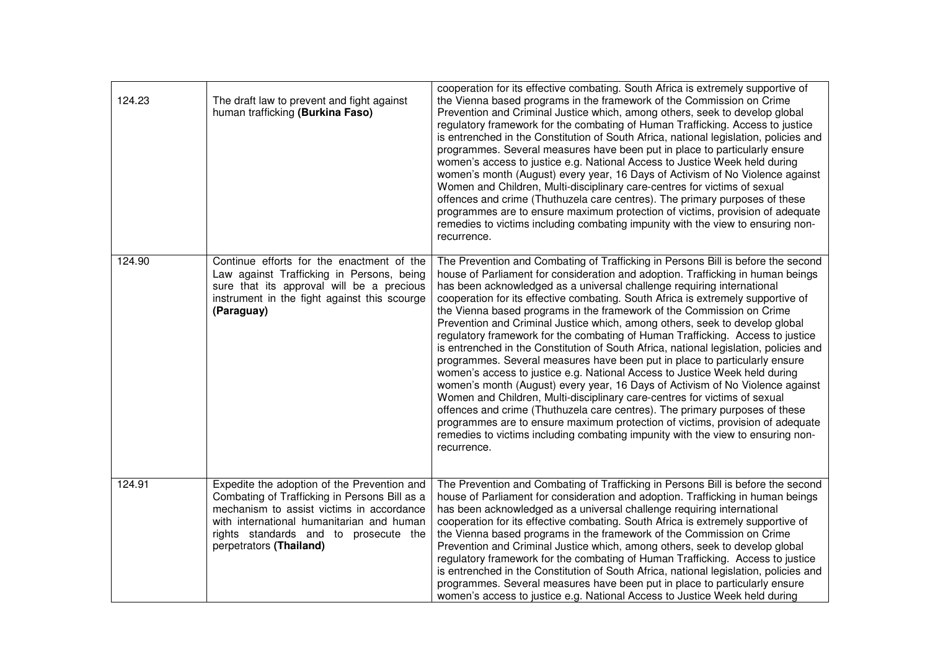| 124.23 | The draft law to prevent and fight against<br>human trafficking (Burkina Faso)                                                                                                                                                                             | cooperation for its effective combating. South Africa is extremely supportive of<br>the Vienna based programs in the framework of the Commission on Crime<br>Prevention and Criminal Justice which, among others, seek to develop global<br>regulatory framework for the combating of Human Trafficking. Access to justice<br>is entrenched in the Constitution of South Africa, national legislation, policies and<br>programmes. Several measures have been put in place to particularly ensure<br>women's access to justice e.g. National Access to Justice Week held during<br>women's month (August) every year, 16 Days of Activism of No Violence against<br>Women and Children, Multi-disciplinary care-centres for victims of sexual<br>offences and crime (Thuthuzela care centres). The primary purposes of these<br>programmes are to ensure maximum protection of victims, provision of adequate<br>remedies to victims including combating impunity with the view to ensuring non-<br>recurrence.                                                                                                                                                                                                                                                  |
|--------|------------------------------------------------------------------------------------------------------------------------------------------------------------------------------------------------------------------------------------------------------------|------------------------------------------------------------------------------------------------------------------------------------------------------------------------------------------------------------------------------------------------------------------------------------------------------------------------------------------------------------------------------------------------------------------------------------------------------------------------------------------------------------------------------------------------------------------------------------------------------------------------------------------------------------------------------------------------------------------------------------------------------------------------------------------------------------------------------------------------------------------------------------------------------------------------------------------------------------------------------------------------------------------------------------------------------------------------------------------------------------------------------------------------------------------------------------------------------------------------------------------------------------------|
| 124.90 | Continue efforts for the enactment of the<br>Law against Trafficking in Persons, being<br>sure that its approval will be a precious<br>instrument in the fight against this scourge<br>(Paraguay)                                                          | The Prevention and Combating of Trafficking in Persons Bill is before the second<br>house of Parliament for consideration and adoption. Trafficking in human beings<br>has been acknowledged as a universal challenge requiring international<br>cooperation for its effective combating. South Africa is extremely supportive of<br>the Vienna based programs in the framework of the Commission on Crime<br>Prevention and Criminal Justice which, among others, seek to develop global<br>regulatory framework for the combating of Human Trafficking. Access to justice<br>is entrenched in the Constitution of South Africa, national legislation, policies and<br>programmes. Several measures have been put in place to particularly ensure<br>women's access to justice e.g. National Access to Justice Week held during<br>women's month (August) every year, 16 Days of Activism of No Violence against<br>Women and Children, Multi-disciplinary care-centres for victims of sexual<br>offences and crime (Thuthuzela care centres). The primary purposes of these<br>programmes are to ensure maximum protection of victims, provision of adequate<br>remedies to victims including combating impunity with the view to ensuring non-<br>recurrence. |
| 124.91 | Expedite the adoption of the Prevention and<br>Combating of Trafficking in Persons Bill as a<br>mechanism to assist victims in accordance<br>with international humanitarian and human<br>rights standards and to prosecute the<br>perpetrators (Thailand) | The Prevention and Combating of Trafficking in Persons Bill is before the second<br>house of Parliament for consideration and adoption. Trafficking in human beings<br>has been acknowledged as a universal challenge requiring international<br>cooperation for its effective combating. South Africa is extremely supportive of<br>the Vienna based programs in the framework of the Commission on Crime<br>Prevention and Criminal Justice which, among others, seek to develop global<br>regulatory framework for the combating of Human Trafficking. Access to justice<br>is entrenched in the Constitution of South Africa, national legislation, policies and<br>programmes. Several measures have been put in place to particularly ensure<br>women's access to justice e.g. National Access to Justice Week held during                                                                                                                                                                                                                                                                                                                                                                                                                                 |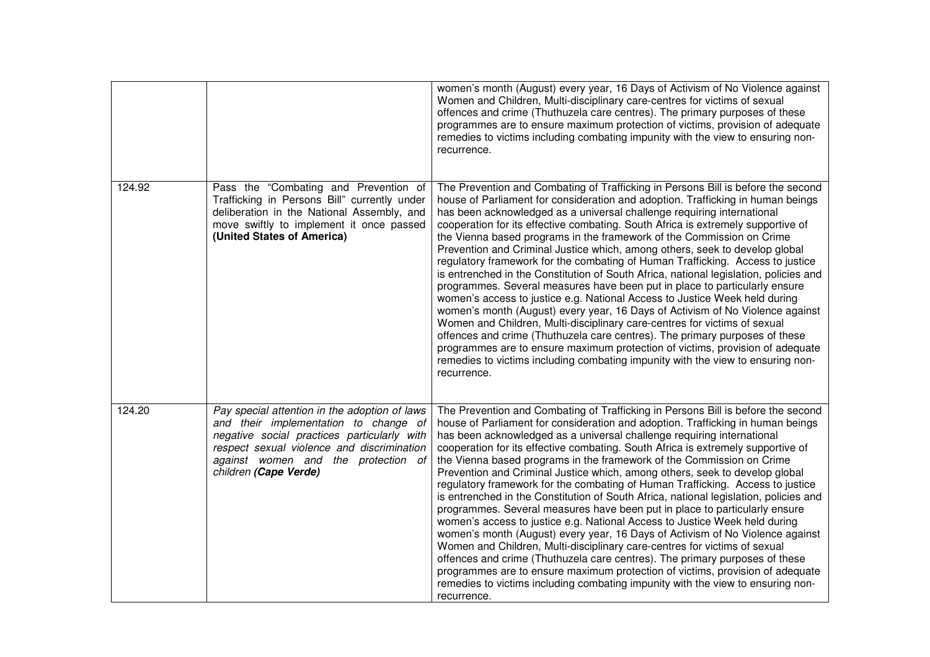|        |                                                                                                                                                                                                                                                     | women's month (August) every year, 16 Days of Activism of No Violence against<br>Women and Children, Multi-disciplinary care-centres for victims of sexual<br>offences and crime (Thuthuzela care centres). The primary purposes of these<br>programmes are to ensure maximum protection of victims, provision of adequate<br>remedies to victims including combating impunity with the view to ensuring non-<br>recurrence.                                                                                                                                                                                                                                                                                                                                                                                                                                                                                                                                                                                                                                                                                                                                                                                                                                     |
|--------|-----------------------------------------------------------------------------------------------------------------------------------------------------------------------------------------------------------------------------------------------------|------------------------------------------------------------------------------------------------------------------------------------------------------------------------------------------------------------------------------------------------------------------------------------------------------------------------------------------------------------------------------------------------------------------------------------------------------------------------------------------------------------------------------------------------------------------------------------------------------------------------------------------------------------------------------------------------------------------------------------------------------------------------------------------------------------------------------------------------------------------------------------------------------------------------------------------------------------------------------------------------------------------------------------------------------------------------------------------------------------------------------------------------------------------------------------------------------------------------------------------------------------------|
| 124.92 | Pass the "Combating and Prevention of<br>Trafficking in Persons Bill" currently under<br>deliberation in the National Assembly, and<br>move swiftly to implement it once passed<br>(United States of America)                                       | The Prevention and Combating of Trafficking in Persons Bill is before the second<br>house of Parliament for consideration and adoption. Trafficking in human beings<br>has been acknowledged as a universal challenge requiring international<br>cooperation for its effective combating. South Africa is extremely supportive of<br>the Vienna based programs in the framework of the Commission on Crime<br>Prevention and Criminal Justice which, among others, seek to develop global<br>regulatory framework for the combating of Human Trafficking. Access to justice<br>is entrenched in the Constitution of South Africa, national legislation, policies and<br>programmes. Several measures have been put in place to particularly ensure<br>women's access to justice e.g. National Access to Justice Week held during<br>women's month (August) every year, 16 Days of Activism of No Violence against<br>Women and Children, Multi-disciplinary care-centres for victims of sexual<br>offences and crime (Thuthuzela care centres). The primary purposes of these<br>programmes are to ensure maximum protection of victims, provision of adequate<br>remedies to victims including combating impunity with the view to ensuring non-<br>recurrence. |
| 124.20 | Pay special attention in the adoption of laws<br>and their implementation to change of<br>negative social practices particularly with<br>respect sexual violence and discrimination<br>against women and the protection of<br>children (Cape Verde) | The Prevention and Combating of Trafficking in Persons Bill is before the second<br>house of Parliament for consideration and adoption. Trafficking in human beings<br>has been acknowledged as a universal challenge requiring international<br>cooperation for its effective combating. South Africa is extremely supportive of<br>the Vienna based programs in the framework of the Commission on Crime<br>Prevention and Criminal Justice which, among others, seek to develop global<br>regulatory framework for the combating of Human Trafficking. Access to justice<br>is entrenched in the Constitution of South Africa, national legislation, policies and<br>programmes. Several measures have been put in place to particularly ensure<br>women's access to justice e.g. National Access to Justice Week held during<br>women's month (August) every year, 16 Days of Activism of No Violence against<br>Women and Children, Multi-disciplinary care-centres for victims of sexual<br>offences and crime (Thuthuzela care centres). The primary purposes of these<br>programmes are to ensure maximum protection of victims, provision of adequate<br>remedies to victims including combating impunity with the view to ensuring non-<br>recurrence. |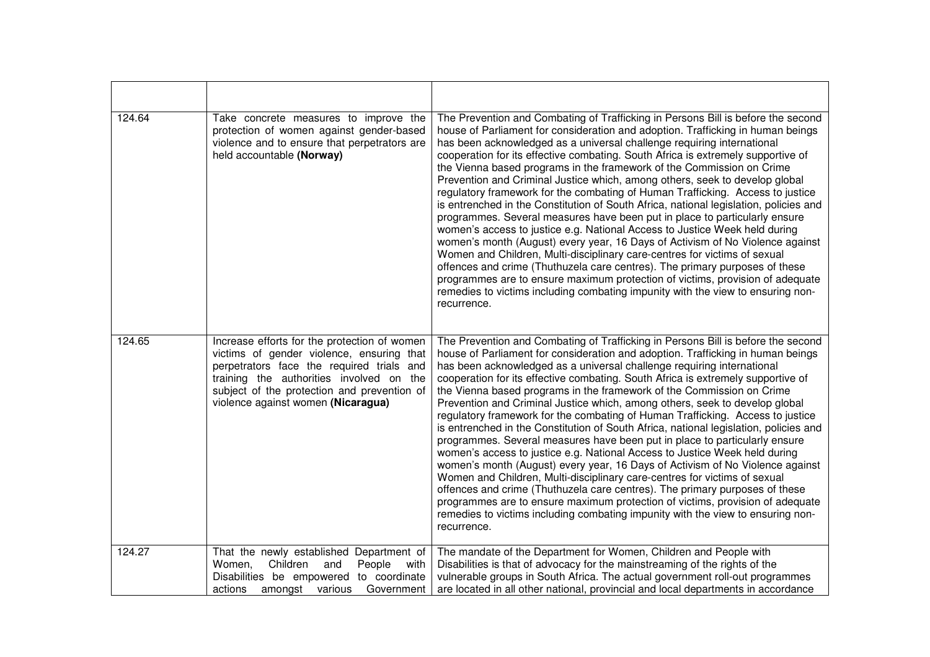| 124.64 | Take concrete measures to improve the<br>protection of women against gender-based<br>violence and to ensure that perpetrators are<br>held accountable (Norway)                                                                                                          | The Prevention and Combating of Trafficking in Persons Bill is before the second<br>house of Parliament for consideration and adoption. Trafficking in human beings<br>has been acknowledged as a universal challenge requiring international<br>cooperation for its effective combating. South Africa is extremely supportive of<br>the Vienna based programs in the framework of the Commission on Crime<br>Prevention and Criminal Justice which, among others, seek to develop global<br>regulatory framework for the combating of Human Trafficking. Access to justice<br>is entrenched in the Constitution of South Africa, national legislation, policies and<br>programmes. Several measures have been put in place to particularly ensure<br>women's access to justice e.g. National Access to Justice Week held during<br>women's month (August) every year, 16 Days of Activism of No Violence against<br>Women and Children, Multi-disciplinary care-centres for victims of sexual<br>offences and crime (Thuthuzela care centres). The primary purposes of these<br>programmes are to ensure maximum protection of victims, provision of adequate<br>remedies to victims including combating impunity with the view to ensuring non-<br>recurrence. |
|--------|-------------------------------------------------------------------------------------------------------------------------------------------------------------------------------------------------------------------------------------------------------------------------|------------------------------------------------------------------------------------------------------------------------------------------------------------------------------------------------------------------------------------------------------------------------------------------------------------------------------------------------------------------------------------------------------------------------------------------------------------------------------------------------------------------------------------------------------------------------------------------------------------------------------------------------------------------------------------------------------------------------------------------------------------------------------------------------------------------------------------------------------------------------------------------------------------------------------------------------------------------------------------------------------------------------------------------------------------------------------------------------------------------------------------------------------------------------------------------------------------------------------------------------------------------|
| 124.65 | Increase efforts for the protection of women<br>victims of gender violence, ensuring that<br>perpetrators face the required trials and<br>training the authorities involved on the<br>subject of the protection and prevention of<br>violence against women (Nicaragua) | The Prevention and Combating of Trafficking in Persons Bill is before the second<br>house of Parliament for consideration and adoption. Trafficking in human beings<br>has been acknowledged as a universal challenge requiring international<br>cooperation for its effective combating. South Africa is extremely supportive of<br>the Vienna based programs in the framework of the Commission on Crime<br>Prevention and Criminal Justice which, among others, seek to develop global<br>regulatory framework for the combating of Human Trafficking. Access to justice<br>is entrenched in the Constitution of South Africa, national legislation, policies and<br>programmes. Several measures have been put in place to particularly ensure<br>women's access to justice e.g. National Access to Justice Week held during<br>women's month (August) every year, 16 Days of Activism of No Violence against<br>Women and Children, Multi-disciplinary care-centres for victims of sexual<br>offences and crime (Thuthuzela care centres). The primary purposes of these<br>programmes are to ensure maximum protection of victims, provision of adequate<br>remedies to victims including combating impunity with the view to ensuring non-<br>recurrence. |
| 124.27 | That the newly established Department of<br>Women,<br>Children<br>and<br>People<br>with                                                                                                                                                                                 | The mandate of the Department for Women, Children and People with<br>Disabilities is that of advocacy for the mainstreaming of the rights of the                                                                                                                                                                                                                                                                                                                                                                                                                                                                                                                                                                                                                                                                                                                                                                                                                                                                                                                                                                                                                                                                                                                 |
|        | Disabilities be empowered to coordinate<br>actions<br>amongst various<br>Government                                                                                                                                                                                     | vulnerable groups in South Africa. The actual government roll-out programmes<br>are located in all other national, provincial and local departments in accordance                                                                                                                                                                                                                                                                                                                                                                                                                                                                                                                                                                                                                                                                                                                                                                                                                                                                                                                                                                                                                                                                                                |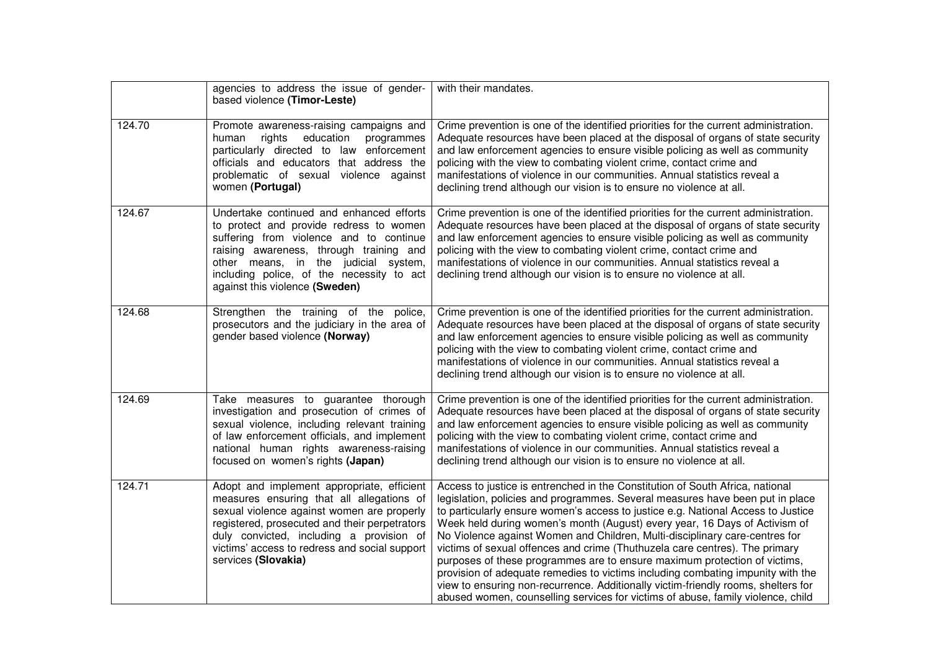|        | agencies to address the issue of gender-<br>based violence (Timor-Leste)                                                                                                                                                                                                                                   | with their mandates.                                                                                                                                                                                                                                                                                                                                                                                                                                                                                                                                                                                                                                                                                                                                                                                                                   |
|--------|------------------------------------------------------------------------------------------------------------------------------------------------------------------------------------------------------------------------------------------------------------------------------------------------------------|----------------------------------------------------------------------------------------------------------------------------------------------------------------------------------------------------------------------------------------------------------------------------------------------------------------------------------------------------------------------------------------------------------------------------------------------------------------------------------------------------------------------------------------------------------------------------------------------------------------------------------------------------------------------------------------------------------------------------------------------------------------------------------------------------------------------------------------|
| 124.70 | Promote awareness-raising campaigns and<br>rights<br>education programmes<br>human<br>particularly directed to law enforcement<br>officials and educators that address the<br>problematic of sexual violence against<br>women (Portugal)                                                                   | Crime prevention is one of the identified priorities for the current administration.<br>Adequate resources have been placed at the disposal of organs of state security<br>and law enforcement agencies to ensure visible policing as well as community<br>policing with the view to combating violent crime, contact crime and<br>manifestations of violence in our communities. Annual statistics reveal a<br>declining trend although our vision is to ensure no violence at all.                                                                                                                                                                                                                                                                                                                                                   |
| 124.67 | Undertake continued and enhanced efforts<br>to protect and provide redress to women<br>suffering from violence and to continue<br>raising awareness, through training and<br>other means, in the judicial system,<br>including police, of the necessity to act<br>against this violence (Sweden)           | Crime prevention is one of the identified priorities for the current administration.<br>Adequate resources have been placed at the disposal of organs of state security<br>and law enforcement agencies to ensure visible policing as well as community<br>policing with the view to combating violent crime, contact crime and<br>manifestations of violence in our communities. Annual statistics reveal a<br>declining trend although our vision is to ensure no violence at all.                                                                                                                                                                                                                                                                                                                                                   |
| 124.68 | Strengthen the training of the police,<br>prosecutors and the judiciary in the area of<br>gender based violence (Norway)                                                                                                                                                                                   | Crime prevention is one of the identified priorities for the current administration.<br>Adequate resources have been placed at the disposal of organs of state security<br>and law enforcement agencies to ensure visible policing as well as community<br>policing with the view to combating violent crime, contact crime and<br>manifestations of violence in our communities. Annual statistics reveal a<br>declining trend although our vision is to ensure no violence at all.                                                                                                                                                                                                                                                                                                                                                   |
| 124.69 | Take measures to guarantee thorough<br>investigation and prosecution of crimes of<br>sexual violence, including relevant training<br>of law enforcement officials, and implement<br>national human rights awareness-raising<br>focused on women's rights (Japan)                                           | Crime prevention is one of the identified priorities for the current administration.<br>Adequate resources have been placed at the disposal of organs of state security<br>and law enforcement agencies to ensure visible policing as well as community<br>policing with the view to combating violent crime, contact crime and<br>manifestations of violence in our communities. Annual statistics reveal a<br>declining trend although our vision is to ensure no violence at all.                                                                                                                                                                                                                                                                                                                                                   |
| 124.71 | Adopt and implement appropriate, efficient<br>measures ensuring that all allegations of<br>sexual violence against women are properly<br>registered, prosecuted and their perpetrators<br>duly convicted, including a provision of<br>victims' access to redress and social support<br>services (Slovakia) | Access to justice is entrenched in the Constitution of South Africa, national<br>legislation, policies and programmes. Several measures have been put in place<br>to particularly ensure women's access to justice e.g. National Access to Justice<br>Week held during women's month (August) every year, 16 Days of Activism of<br>No Violence against Women and Children, Multi-disciplinary care-centres for<br>victims of sexual offences and crime (Thuthuzela care centres). The primary<br>purposes of these programmes are to ensure maximum protection of victims,<br>provision of adequate remedies to victims including combating impunity with the<br>view to ensuring non-recurrence. Additionally victim-friendly rooms, shelters for<br>abused women, counselling services for victims of abuse, family violence, child |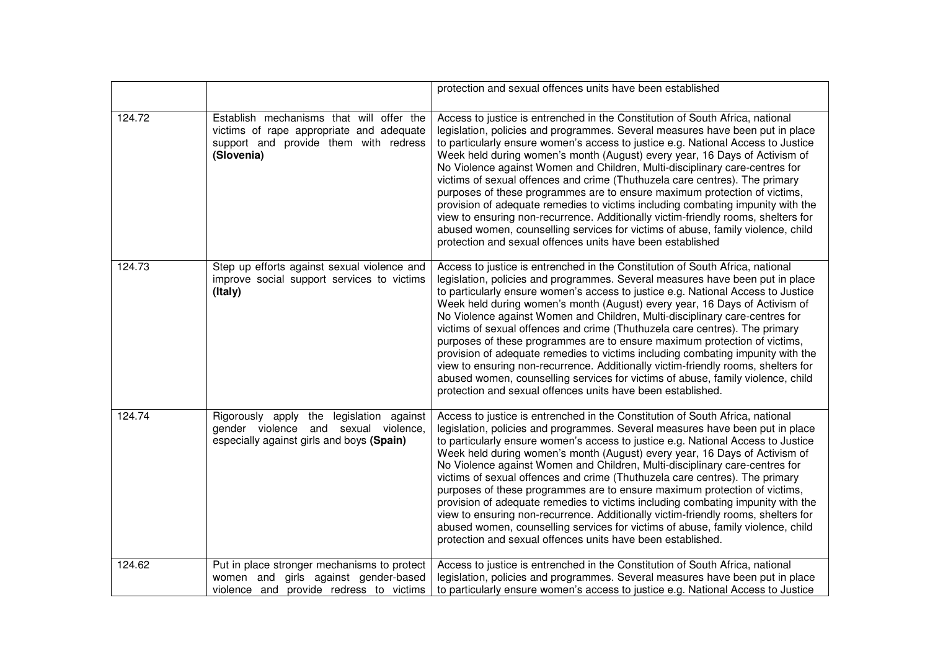|        |                                                                                                                                             | protection and sexual offences units have been established                                                                                                                                                                                                                                                                                                                                                                                                                                                                                                                                                                                                                                                                                                                                                                                                                                            |
|--------|---------------------------------------------------------------------------------------------------------------------------------------------|-------------------------------------------------------------------------------------------------------------------------------------------------------------------------------------------------------------------------------------------------------------------------------------------------------------------------------------------------------------------------------------------------------------------------------------------------------------------------------------------------------------------------------------------------------------------------------------------------------------------------------------------------------------------------------------------------------------------------------------------------------------------------------------------------------------------------------------------------------------------------------------------------------|
| 124.72 | Establish mechanisms that will offer the<br>victims of rape appropriate and adequate<br>support and provide them with redress<br>(Slovenia) | Access to justice is entrenched in the Constitution of South Africa, national<br>legislation, policies and programmes. Several measures have been put in place<br>to particularly ensure women's access to justice e.g. National Access to Justice<br>Week held during women's month (August) every year, 16 Days of Activism of<br>No Violence against Women and Children, Multi-disciplinary care-centres for<br>victims of sexual offences and crime (Thuthuzela care centres). The primary<br>purposes of these programmes are to ensure maximum protection of victims,<br>provision of adequate remedies to victims including combating impunity with the<br>view to ensuring non-recurrence. Additionally victim-friendly rooms, shelters for<br>abused women, counselling services for victims of abuse, family violence, child<br>protection and sexual offences units have been established  |
| 124.73 | Step up efforts against sexual violence and<br>improve social support services to victims<br>(Italy)                                        | Access to justice is entrenched in the Constitution of South Africa, national<br>legislation, policies and programmes. Several measures have been put in place<br>to particularly ensure women's access to justice e.g. National Access to Justice<br>Week held during women's month (August) every year, 16 Days of Activism of<br>No Violence against Women and Children, Multi-disciplinary care-centres for<br>victims of sexual offences and crime (Thuthuzela care centres). The primary<br>purposes of these programmes are to ensure maximum protection of victims,<br>provision of adequate remedies to victims including combating impunity with the<br>view to ensuring non-recurrence. Additionally victim-friendly rooms, shelters for<br>abused women, counselling services for victims of abuse, family violence, child<br>protection and sexual offences units have been established. |
| 124.74 | Rigorously apply the legislation against<br>gender violence and sexual violence,<br>especially against girls and boys (Spain)               | Access to justice is entrenched in the Constitution of South Africa, national<br>legislation, policies and programmes. Several measures have been put in place<br>to particularly ensure women's access to justice e.g. National Access to Justice<br>Week held during women's month (August) every year, 16 Days of Activism of<br>No Violence against Women and Children, Multi-disciplinary care-centres for<br>victims of sexual offences and crime (Thuthuzela care centres). The primary<br>purposes of these programmes are to ensure maximum protection of victims,<br>provision of adequate remedies to victims including combating impunity with the<br>view to ensuring non-recurrence. Additionally victim-friendly rooms, shelters for<br>abused women, counselling services for victims of abuse, family violence, child<br>protection and sexual offences units have been established. |
| 124.62 | Put in place stronger mechanisms to protect<br>women and girls against gender-based<br>violence and provide redress to victims              | Access to justice is entrenched in the Constitution of South Africa, national<br>legislation, policies and programmes. Several measures have been put in place<br>to particularly ensure women's access to justice e.g. National Access to Justice                                                                                                                                                                                                                                                                                                                                                                                                                                                                                                                                                                                                                                                    |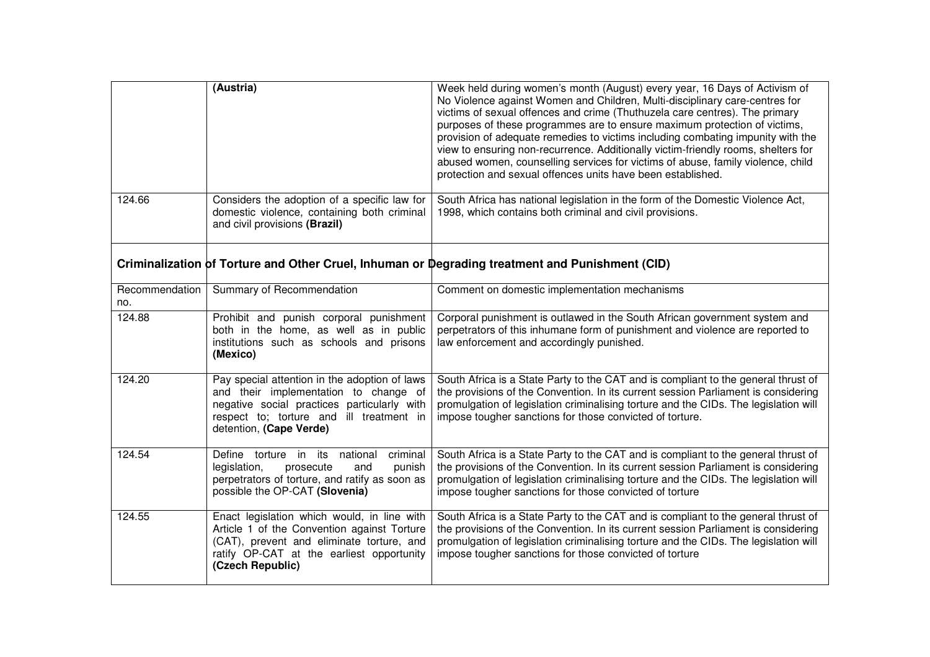|                       | (Austria)                                                                                                                                                                                                    | Week held during women's month (August) every year, 16 Days of Activism of<br>No Violence against Women and Children, Multi-disciplinary care-centres for<br>victims of sexual offences and crime (Thuthuzela care centres). The primary<br>purposes of these programmes are to ensure maximum protection of victims,<br>provision of adequate remedies to victims including combating impunity with the<br>view to ensuring non-recurrence. Additionally victim-friendly rooms, shelters for<br>abused women, counselling services for victims of abuse, family violence, child<br>protection and sexual offences units have been established. |
|-----------------------|--------------------------------------------------------------------------------------------------------------------------------------------------------------------------------------------------------------|-------------------------------------------------------------------------------------------------------------------------------------------------------------------------------------------------------------------------------------------------------------------------------------------------------------------------------------------------------------------------------------------------------------------------------------------------------------------------------------------------------------------------------------------------------------------------------------------------------------------------------------------------|
| 124.66                | Considers the adoption of a specific law for<br>domestic violence, containing both criminal<br>and civil provisions (Brazil)                                                                                 | South Africa has national legislation in the form of the Domestic Violence Act,<br>1998, which contains both criminal and civil provisions.                                                                                                                                                                                                                                                                                                                                                                                                                                                                                                     |
|                       |                                                                                                                                                                                                              | Criminalization of Torture and Other Cruel, Inhuman or Degrading treatment and Punishment (CID)                                                                                                                                                                                                                                                                                                                                                                                                                                                                                                                                                 |
| Recommendation<br>no. | Summary of Recommendation                                                                                                                                                                                    | Comment on domestic implementation mechanisms                                                                                                                                                                                                                                                                                                                                                                                                                                                                                                                                                                                                   |
| 124.88                | Prohibit and punish corporal punishment<br>both in the home, as well as in public<br>institutions such as schools and prisons<br>(Mexico)                                                                    | Corporal punishment is outlawed in the South African government system and<br>perpetrators of this inhumane form of punishment and violence are reported to<br>law enforcement and accordingly punished.                                                                                                                                                                                                                                                                                                                                                                                                                                        |
| 124.20                | Pay special attention in the adoption of laws<br>and their implementation to change of<br>negative social practices particularly with<br>respect to; torture and ill treatment in<br>detention, (Cape Verde) | South Africa is a State Party to the CAT and is compliant to the general thrust of<br>the provisions of the Convention. In its current session Parliament is considering<br>promulgation of legislation criminalising torture and the CIDs. The legislation will<br>impose tougher sanctions for those convicted of torture.                                                                                                                                                                                                                                                                                                                    |
| 124.54                | Define<br>torture in<br>its<br>national<br>criminal<br>legislation,<br>prosecute<br>and<br>punish<br>perpetrators of torture, and ratify as soon as<br>possible the OP-CAT (Slovenia)                        | South Africa is a State Party to the CAT and is compliant to the general thrust of<br>the provisions of the Convention. In its current session Parliament is considering<br>promulgation of legislation criminalising torture and the CIDs. The legislation will<br>impose tougher sanctions for those convicted of torture                                                                                                                                                                                                                                                                                                                     |
| 124.55                | Enact legislation which would, in line with<br>Article 1 of the Convention against Torture<br>(CAT), prevent and eliminate torture, and<br>ratify OP-CAT at the earliest opportunity<br>(Czech Republic)     | South Africa is a State Party to the CAT and is compliant to the general thrust of<br>the provisions of the Convention. In its current session Parliament is considering<br>promulgation of legislation criminalising torture and the CIDs. The legislation will<br>impose tougher sanctions for those convicted of torture                                                                                                                                                                                                                                                                                                                     |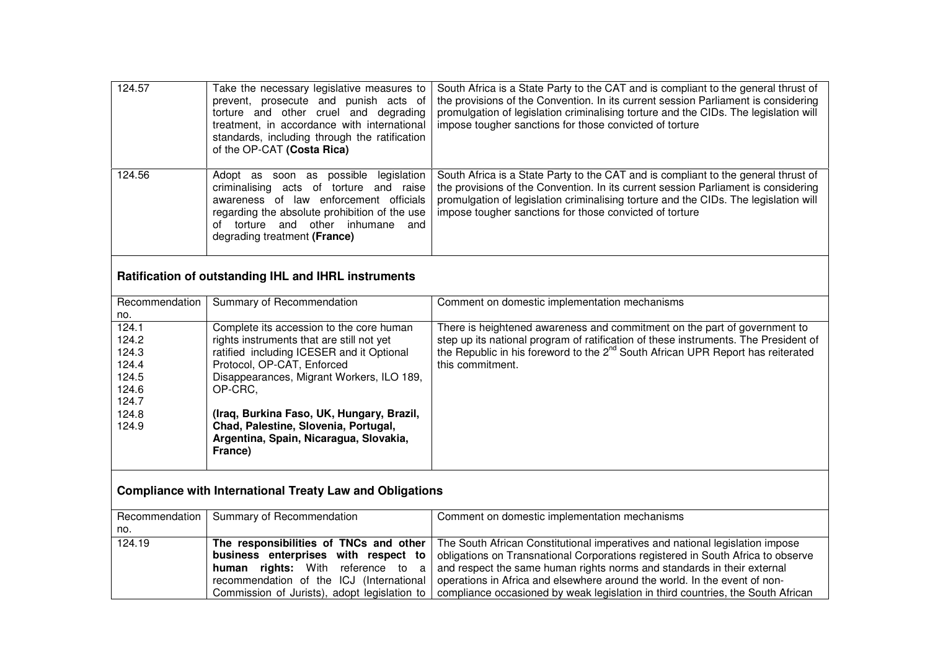| 124.57 | Take the necessary legislative measures to<br>prevent, prosecute and punish acts of<br>torture and other cruel and degrading<br>treatment, in accordance with international<br>standards, including through the ratification<br>of the OP-CAT (Costa Rica)         | South Africa is a State Party to the CAT and is compliant to the general thrust of<br>the provisions of the Convention. In its current session Parliament is considering<br>promulgation of legislation criminalising torture and the CIDs. The legislation will<br>impose tougher sanctions for those convicted of torture |
|--------|--------------------------------------------------------------------------------------------------------------------------------------------------------------------------------------------------------------------------------------------------------------------|-----------------------------------------------------------------------------------------------------------------------------------------------------------------------------------------------------------------------------------------------------------------------------------------------------------------------------|
| 124.56 | possible legislation<br>Adopt as<br>soon as<br>criminalising<br>acts of torture and raise<br>awareness of law enforcement officials<br>regarding the absolute prohibition of the use<br>and other inhumane<br>torture<br>and<br>nt<br>degrading treatment (France) | South Africa is a State Party to the CAT and is compliant to the general thrust of<br>the provisions of the Convention. In its current session Parliament is considering<br>promulgation of legislation criminalising torture and the CIDs. The legislation will<br>impose tougher sanctions for those convicted of torture |

## **Ratification of outstanding IHL and IHRL instruments**

| Recommendation | Summary of Recommendation                 | Comment on domestic implementation mechanisms                                               |
|----------------|-------------------------------------------|---------------------------------------------------------------------------------------------|
| no.            |                                           |                                                                                             |
| 124.1          | Complete its accession to the core human  | There is heightened awareness and commitment on the part of government to                   |
| 124.2          | rights instruments that are still not yet | step up its national program of ratification of these instruments. The President of         |
| 124.3          | ratified including ICESER and it Optional | the Republic in his foreword to the 2 <sup>nd</sup> South African UPR Report has reiterated |
| 124.4          | Protocol, OP-CAT, Enforced                | this commitment.                                                                            |
| 124.5          | Disappearances, Migrant Workers, ILO 189, |                                                                                             |
| 124.6          | OP-CRC.                                   |                                                                                             |
| 124.7          |                                           |                                                                                             |
| 124.8          | (Iraq, Burkina Faso, UK, Hungary, Brazil, |                                                                                             |
| 124.9          | Chad, Palestine, Slovenia, Portugal,      |                                                                                             |
|                | Argentina, Spain, Nicaragua, Slovakia,    |                                                                                             |
|                | France)                                   |                                                                                             |
|                |                                           |                                                                                             |

# **Compliance with International Treaty Law and Obligations**

|        | Recommendation   Summary of Recommendation | Comment on domestic implementation mechanisms                                                                                  |
|--------|--------------------------------------------|--------------------------------------------------------------------------------------------------------------------------------|
| no.    |                                            |                                                                                                                                |
| 124.19 |                                            | The responsibilities of TNCs and other   The South African Constitutional imperatives and national legislation impose          |
|        |                                            | <b>business</b> enterprises with respect to obligations on Transnational Corporations registered in South Africa to observe    |
|        |                                            | <b>human</b> rights: With reference to $a \mid$ and respect the same human rights norms and standards in their external        |
|        |                                            | recommendation of the ICJ (International   operations in Africa and elsewhere around the world. In the event of non-           |
|        |                                            | Commission of Jurists), adopt legislation to   compliance occasioned by weak legislation in third countries, the South African |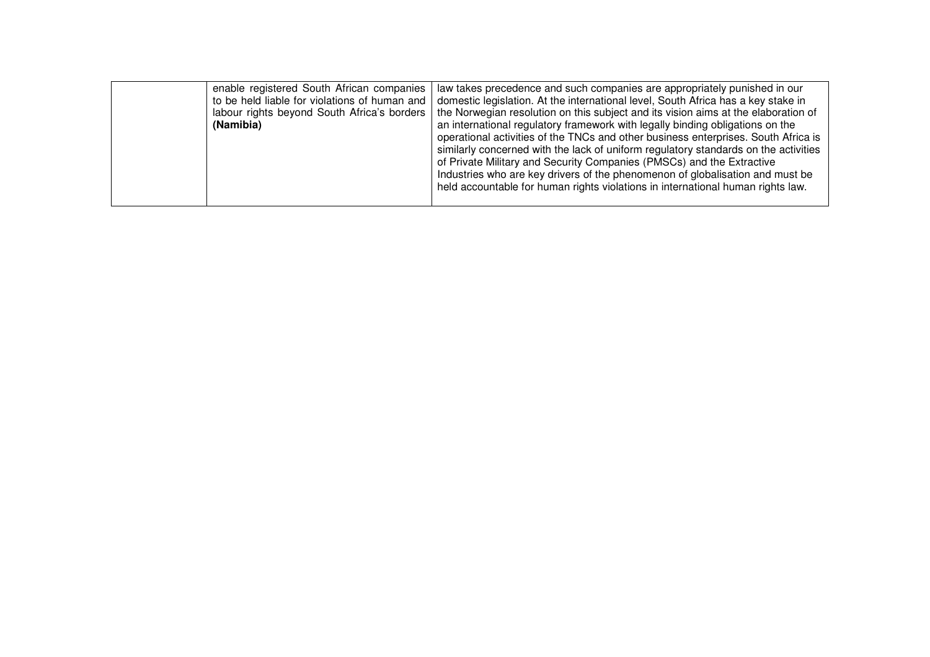| enable registered South African companies<br>to be held liable for violations of human and<br>(Namibia) | law takes precedence and such companies are appropriately punished in our<br>domestic legislation. At the international level, South Africa has a key stake in<br>labour rights beyond South Africa's borders   the Norwegian resolution on this subject and its vision aims at the elaboration of<br>an international regulatory framework with legally binding obligations on the<br>operational activities of the TNCs and other business enterprises. South Africa is<br>similarly concerned with the lack of uniform regulatory standards on the activities<br>of Private Military and Security Companies (PMSCs) and the Extractive<br>Industries who are key drivers of the phenomenon of globalisation and must be<br>held accountable for human rights violations in international human rights law. |
|---------------------------------------------------------------------------------------------------------|---------------------------------------------------------------------------------------------------------------------------------------------------------------------------------------------------------------------------------------------------------------------------------------------------------------------------------------------------------------------------------------------------------------------------------------------------------------------------------------------------------------------------------------------------------------------------------------------------------------------------------------------------------------------------------------------------------------------------------------------------------------------------------------------------------------|
|---------------------------------------------------------------------------------------------------------|---------------------------------------------------------------------------------------------------------------------------------------------------------------------------------------------------------------------------------------------------------------------------------------------------------------------------------------------------------------------------------------------------------------------------------------------------------------------------------------------------------------------------------------------------------------------------------------------------------------------------------------------------------------------------------------------------------------------------------------------------------------------------------------------------------------|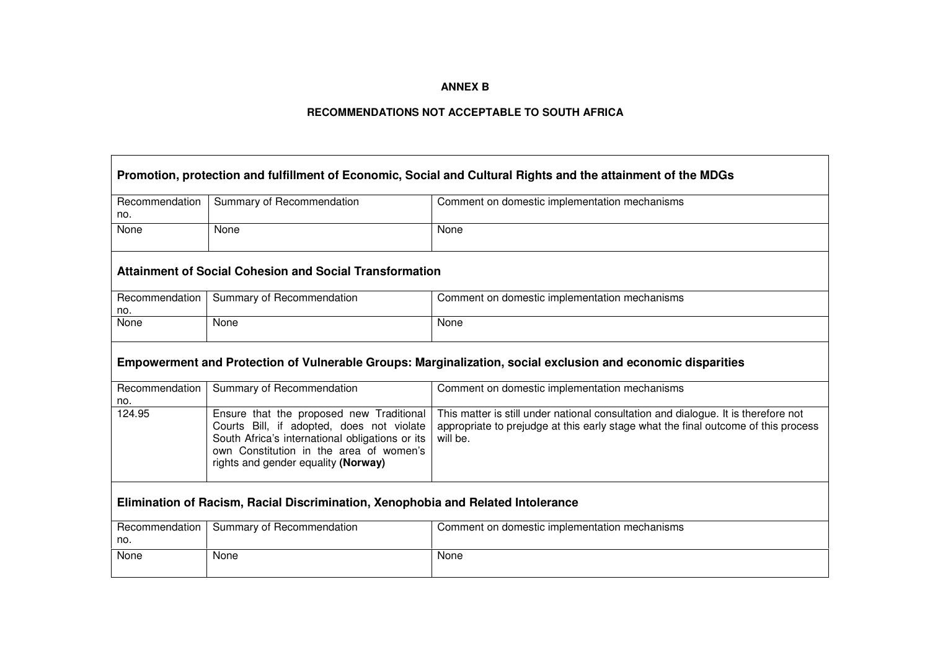## **ANNEX B**

## **RECOMMENDATIONS NOT ACCEPTABLE TO SOUTH AFRICA**

Г

┑

| Promotion, protection and fulfillment of Economic, Social and Cultural Rights and the attainment of the MDGs |                                                                                                                                                                                                                            |                                                                                                                                                                                      |  |
|--------------------------------------------------------------------------------------------------------------|----------------------------------------------------------------------------------------------------------------------------------------------------------------------------------------------------------------------------|--------------------------------------------------------------------------------------------------------------------------------------------------------------------------------------|--|
| Recommendation<br>no.                                                                                        | Summary of Recommendation                                                                                                                                                                                                  | Comment on domestic implementation mechanisms                                                                                                                                        |  |
| None                                                                                                         | None                                                                                                                                                                                                                       | None                                                                                                                                                                                 |  |
|                                                                                                              | <b>Attainment of Social Cohesion and Social Transformation</b>                                                                                                                                                             |                                                                                                                                                                                      |  |
| Recommendation<br>no.                                                                                        | Summary of Recommendation                                                                                                                                                                                                  | Comment on domestic implementation mechanisms                                                                                                                                        |  |
| None                                                                                                         | None                                                                                                                                                                                                                       | None                                                                                                                                                                                 |  |
|                                                                                                              | Empowerment and Protection of Vulnerable Groups: Marginalization, social exclusion and economic disparities                                                                                                                |                                                                                                                                                                                      |  |
| Recommendation<br>no.                                                                                        | Summary of Recommendation                                                                                                                                                                                                  | Comment on domestic implementation mechanisms                                                                                                                                        |  |
| 124.95                                                                                                       | Ensure that the proposed new Traditional<br>Courts Bill, if adopted, does not violate<br>South Africa's international obligations or its<br>own Constitution in the area of women's<br>rights and gender equality (Norway) | This matter is still under national consultation and dialogue. It is therefore not<br>appropriate to prejudge at this early stage what the final outcome of this process<br>will be. |  |
| Elimination of Racism, Racial Discrimination, Xenophobia and Related Intolerance                             |                                                                                                                                                                                                                            |                                                                                                                                                                                      |  |
| Recommendation<br>no.                                                                                        | Summary of Recommendation                                                                                                                                                                                                  | Comment on domestic implementation mechanisms                                                                                                                                        |  |
| None                                                                                                         | None                                                                                                                                                                                                                       | None                                                                                                                                                                                 |  |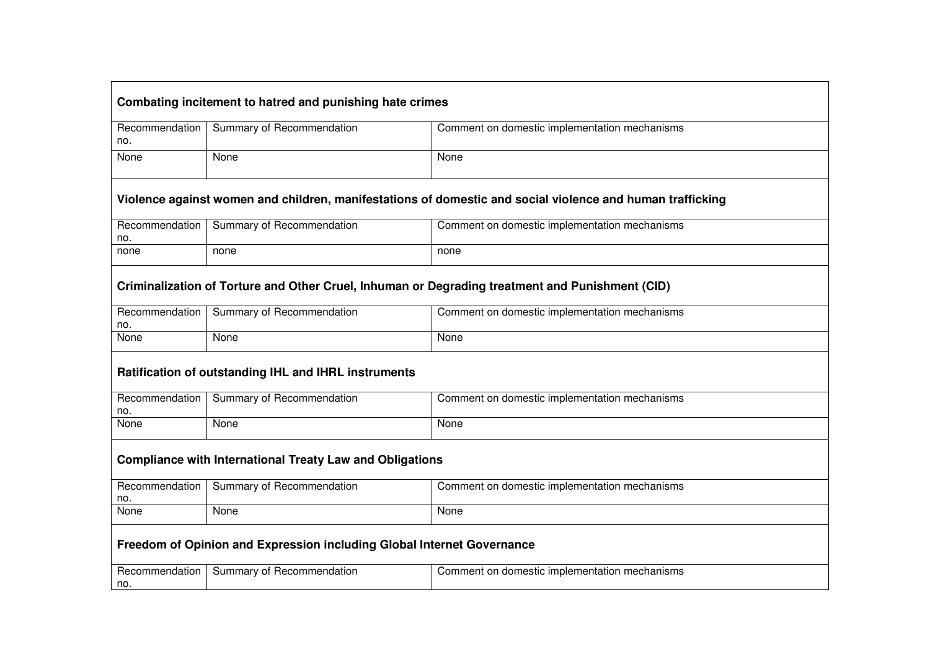# **Combating incitement to hatred and punishing hate crimes**

|             | Recommendation   Summary of Recommendation | Comment on domestic implementation mechanisms |
|-------------|--------------------------------------------|-----------------------------------------------|
|             |                                            |                                               |
|             |                                            |                                               |
|             |                                            |                                               |
|             |                                            |                                               |
|             |                                            |                                               |
| no.<br>None | None                                       | None                                          |

## **Violence against women and children, manifestations of domestic and social violence and human trafficking**

| Recommendation | Summary of Recommendation | Comment on domestic implementation mechanisms |
|----------------|---------------------------|-----------------------------------------------|
| no.            |                           |                                               |
| none           | none                      | none                                          |

## **Criminalization of Torture and Other Cruel, Inhuman or Degrading treatment and Punishment (CID)**

| Recommendation | Summary of Recommendation | Comment on domestic implementation mechanisms |
|----------------|---------------------------|-----------------------------------------------|
| no.            |                           |                                               |
| None           | None                      | None                                          |
|                |                           |                                               |

## **Ratification of outstanding IHL and IHRL instruments**

| Recommendation | Summary of Recommendation | Comment on domestic implementation mechanisms |
|----------------|---------------------------|-----------------------------------------------|
| no.            |                           |                                               |
| None           | None                      | None                                          |

#### **Compliance with International Treaty Law and Obligations**

| Recommendation | Summary of Recommendation | Comment on domestic implementation mechanisms |
|----------------|---------------------------|-----------------------------------------------|
| no.            |                           |                                               |
| None           | None                      | None                                          |

## **Freedom of Opinion and Expression including Global Internet Governance**

| Recommendation | t Recommendation<br>∽ ummarvٽ<br>υı | ı mechanısms<br>i domestic implementation<br>Comi<br>າt or<br>mer |
|----------------|-------------------------------------|-------------------------------------------------------------------|
| no.            |                                     |                                                                   |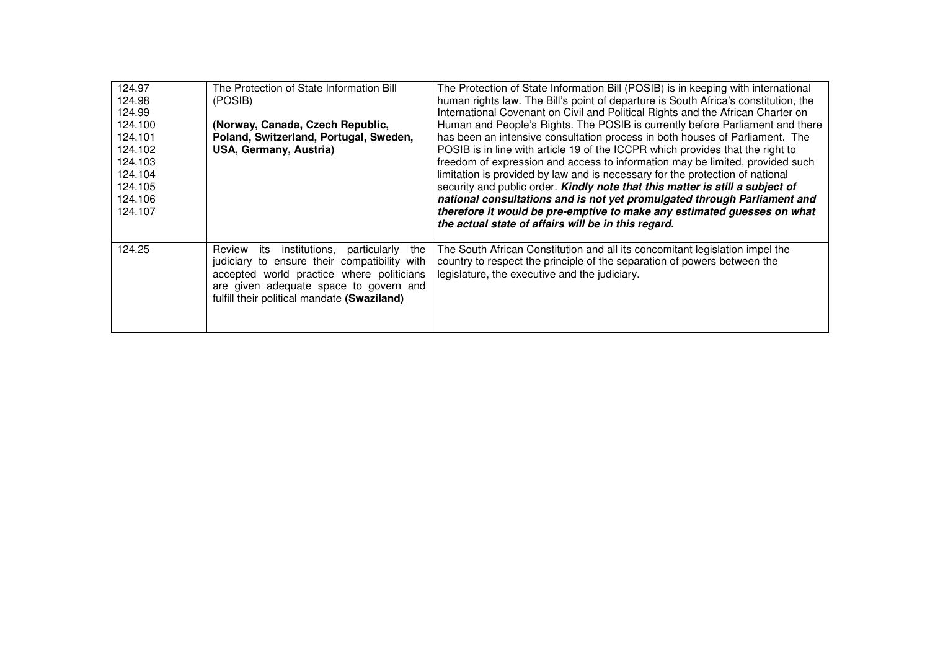| 124.97<br>124.98<br>124.99<br>124.100<br>124.101<br>124.102<br>124.103<br>124.104<br>124.105<br>124.106<br>124.107 | The Protection of State Information Bill<br>(POSIB)<br>(Norway, Canada, Czech Republic,<br>Poland, Switzerland, Portugal, Sweden,<br>USA, Germany, Austria)                                                                           | The Protection of State Information Bill (POSIB) is in keeping with international<br>human rights law. The Bill's point of departure is South Africa's constitution, the<br>International Covenant on Civil and Political Rights and the African Charter on<br>Human and People's Rights. The POSIB is currently before Parliament and there<br>has been an intensive consultation process in both houses of Parliament. The<br>POSIB is in line with article 19 of the ICCPR which provides that the right to<br>freedom of expression and access to information may be limited, provided such<br>limitation is provided by law and is necessary for the protection of national<br>security and public order. Kindly note that this matter is still a subject of<br>national consultations and is not yet promulgated through Parliament and<br>therefore it would be pre-emptive to make any estimated guesses on what<br>the actual state of affairs will be in this regard. |
|--------------------------------------------------------------------------------------------------------------------|---------------------------------------------------------------------------------------------------------------------------------------------------------------------------------------------------------------------------------------|---------------------------------------------------------------------------------------------------------------------------------------------------------------------------------------------------------------------------------------------------------------------------------------------------------------------------------------------------------------------------------------------------------------------------------------------------------------------------------------------------------------------------------------------------------------------------------------------------------------------------------------------------------------------------------------------------------------------------------------------------------------------------------------------------------------------------------------------------------------------------------------------------------------------------------------------------------------------------------|
| 124.25                                                                                                             | institutions, particularly<br>the<br>Review its<br>judiciary to ensure their compatibility with<br>accepted world practice where politicians<br>are given adequate space to govern and<br>fulfill their political mandate (Swaziland) | The South African Constitution and all its concomitant legislation impel the<br>country to respect the principle of the separation of powers between the<br>legislature, the executive and the judiciary.                                                                                                                                                                                                                                                                                                                                                                                                                                                                                                                                                                                                                                                                                                                                                                       |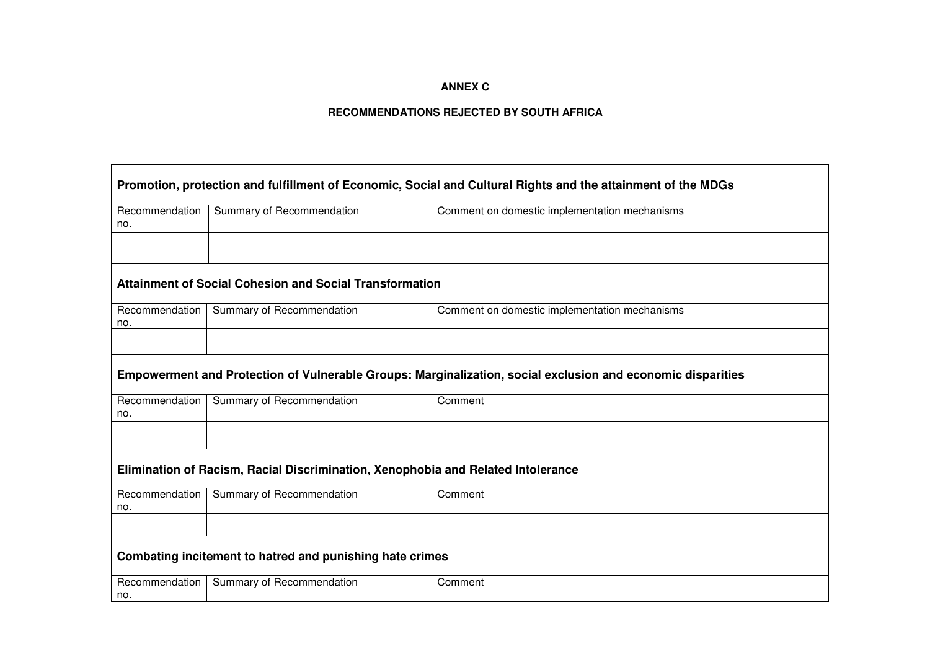## **ANNEX C**

## **RECOMMENDATIONS REJECTED BY SOUTH AFRICA**

 $\overline{\phantom{0}}$ 

 $\blacksquare$ 

| Promotion, protection and fulfillment of Economic, Social and Cultural Rights and the attainment of the MDGs |                                                                                                             |                                               |  |
|--------------------------------------------------------------------------------------------------------------|-------------------------------------------------------------------------------------------------------------|-----------------------------------------------|--|
| Recommendation<br>no.                                                                                        | Summary of Recommendation                                                                                   | Comment on domestic implementation mechanisms |  |
|                                                                                                              |                                                                                                             |                                               |  |
|                                                                                                              | <b>Attainment of Social Cohesion and Social Transformation</b>                                              |                                               |  |
| Recommendation<br>no.                                                                                        | Summary of Recommendation                                                                                   | Comment on domestic implementation mechanisms |  |
|                                                                                                              |                                                                                                             |                                               |  |
|                                                                                                              | Empowerment and Protection of Vulnerable Groups: Marginalization, social exclusion and economic disparities |                                               |  |
| Recommendation<br>no.                                                                                        | Summary of Recommendation                                                                                   | Comment                                       |  |
|                                                                                                              |                                                                                                             |                                               |  |
|                                                                                                              | Elimination of Racism, Racial Discrimination, Xenophobia and Related Intolerance                            |                                               |  |
| Recommendation<br>no.                                                                                        | Summary of Recommendation                                                                                   | Comment                                       |  |
|                                                                                                              |                                                                                                             |                                               |  |
|                                                                                                              | Combating incitement to hatred and punishing hate crimes                                                    |                                               |  |
| Recommendation<br>no.                                                                                        | Summary of Recommendation                                                                                   | Comment                                       |  |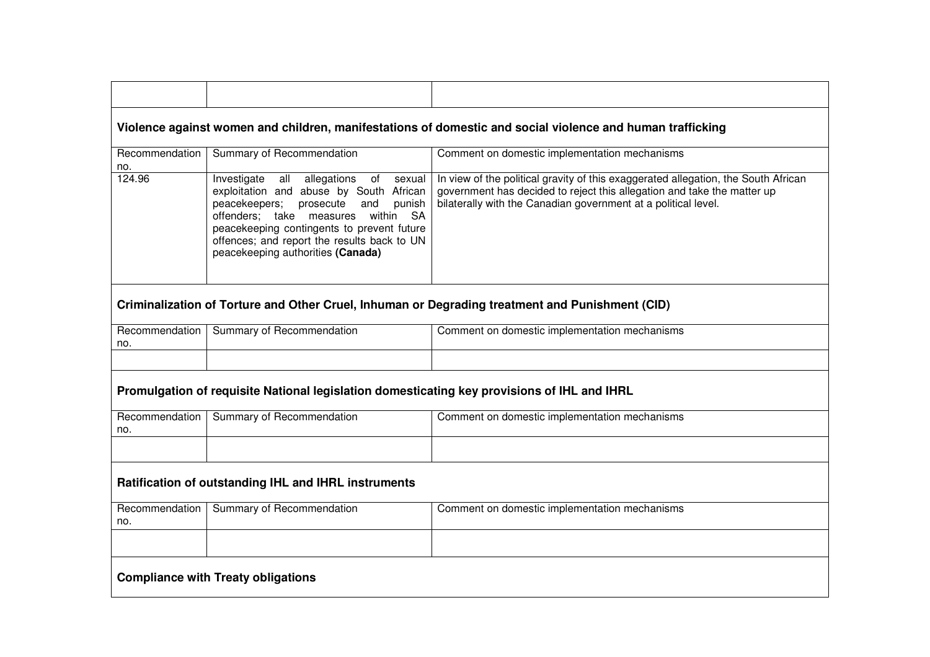|                                           |                                                                                                                                                                                                                                                                                                                               | Violence against women and children, manifestations of domestic and social violence and human trafficking                                                                                                                       |
|-------------------------------------------|-------------------------------------------------------------------------------------------------------------------------------------------------------------------------------------------------------------------------------------------------------------------------------------------------------------------------------|---------------------------------------------------------------------------------------------------------------------------------------------------------------------------------------------------------------------------------|
| Recommendation<br>no.                     | Summary of Recommendation                                                                                                                                                                                                                                                                                                     | Comment on domestic implementation mechanisms                                                                                                                                                                                   |
| 124.96                                    | Investigate<br>allegations of<br>all<br>sexual<br>exploitation and abuse by South African<br>peacekeepers;<br>punish<br>prosecute<br>and<br>offenders; take measures<br>within<br><b>SA</b><br>peacekeeping contingents to prevent future<br>offences; and report the results back to UN<br>peacekeeping authorities (Canada) | In view of the political gravity of this exaggerated allegation, the South African<br>government has decided to reject this allegation and take the matter up<br>bilaterally with the Canadian government at a political level. |
|                                           |                                                                                                                                                                                                                                                                                                                               | Criminalization of Torture and Other Cruel, Inhuman or Degrading treatment and Punishment (CID)                                                                                                                                 |
| Recommendation  <br>no.                   | Summary of Recommendation                                                                                                                                                                                                                                                                                                     | Comment on domestic implementation mechanisms                                                                                                                                                                                   |
|                                           |                                                                                                                                                                                                                                                                                                                               |                                                                                                                                                                                                                                 |
|                                           | Promulgation of requisite National legislation domesticating key provisions of IHL and IHRL                                                                                                                                                                                                                                   |                                                                                                                                                                                                                                 |
| no.                                       | Recommendation   Summary of Recommendation                                                                                                                                                                                                                                                                                    | Comment on domestic implementation mechanisms                                                                                                                                                                                   |
|                                           |                                                                                                                                                                                                                                                                                                                               |                                                                                                                                                                                                                                 |
|                                           | Ratification of outstanding IHL and IHRL instruments                                                                                                                                                                                                                                                                          |                                                                                                                                                                                                                                 |
| Recommendation<br>no.                     | Summary of Recommendation                                                                                                                                                                                                                                                                                                     | Comment on domestic implementation mechanisms                                                                                                                                                                                   |
|                                           |                                                                                                                                                                                                                                                                                                                               |                                                                                                                                                                                                                                 |
| <b>Compliance with Treaty obligations</b> |                                                                                                                                                                                                                                                                                                                               |                                                                                                                                                                                                                                 |